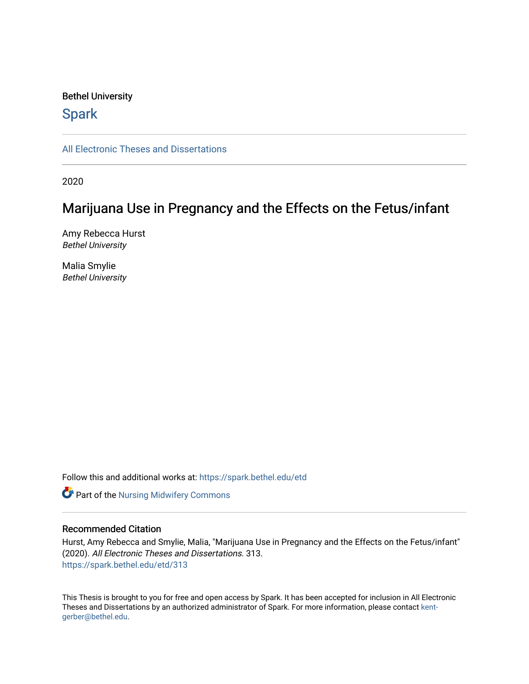#### Bethel University

## **Spark**

[All Electronic Theses and Dissertations](https://spark.bethel.edu/etd) 

2020

# Marijuana Use in Pregnancy and the Effects on the Fetus/infant

Amy Rebecca Hurst Bethel University

Malia Smylie Bethel University

Follow this and additional works at: [https://spark.bethel.edu/etd](https://spark.bethel.edu/etd?utm_source=spark.bethel.edu%2Fetd%2F313&utm_medium=PDF&utm_campaign=PDFCoverPages)



#### Recommended Citation

Hurst, Amy Rebecca and Smylie, Malia, "Marijuana Use in Pregnancy and the Effects on the Fetus/infant" (2020). All Electronic Theses and Dissertations. 313. [https://spark.bethel.edu/etd/313](https://spark.bethel.edu/etd/313?utm_source=spark.bethel.edu%2Fetd%2F313&utm_medium=PDF&utm_campaign=PDFCoverPages)

This Thesis is brought to you for free and open access by Spark. It has been accepted for inclusion in All Electronic Theses and Dissertations by an authorized administrator of Spark. For more information, please contact [kent](mailto:kent-gerber@bethel.edu)[gerber@bethel.edu.](mailto:kent-gerber@bethel.edu)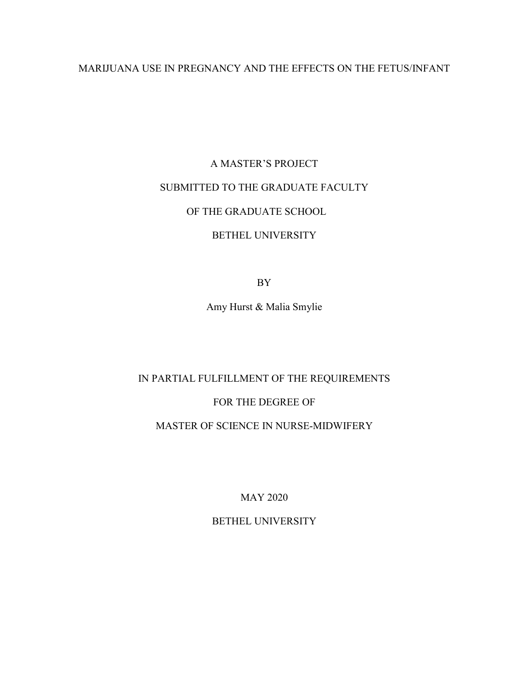## MARIJUANA USE IN PREGNANCY AND THE EFFECTS ON THE FETUS/INFANT

# A MASTER'S PROJECT SUBMITTED TO THE GRADUATE FACULTY OF THE GRADUATE SCHOOL

## BETHEL UNIVERSITY

BY

Amy Hurst & Malia Smylie

## IN PARTIAL FULFILLMENT OF THE REQUIREMENTS

## FOR THE DEGREE OF

## MASTER OF SCIENCE IN NURSE-MIDWIFERY

MAY 2020

## BETHEL UNIVERSITY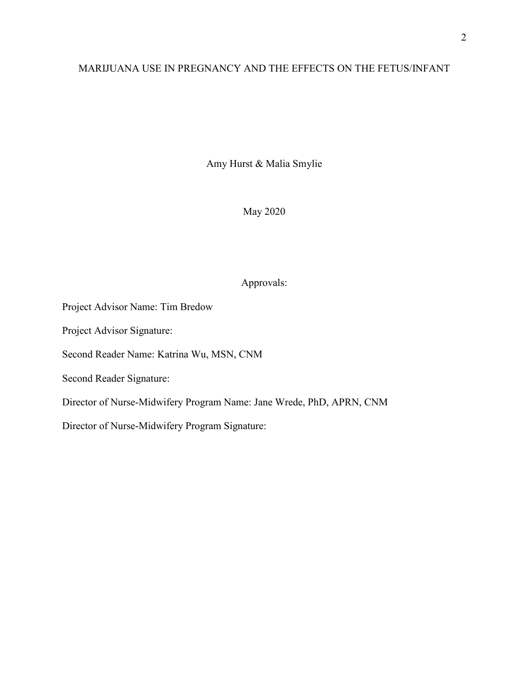## MARIJUANA USE IN PREGNANCY AND THE EFFECTS ON THE FETUS/INFANT

Amy Hurst & Malia Smylie

May 2020

## Approvals:

Project Advisor Name: Tim Bredow Project Advisor Signature:

Second Reader Name: Katrina Wu, MSN, CNM

Second Reader Signature:

Director of Nurse-Midwifery Program Name: Jane Wrede, PhD, APRN, CNM

Director of Nurse-Midwifery Program Signature: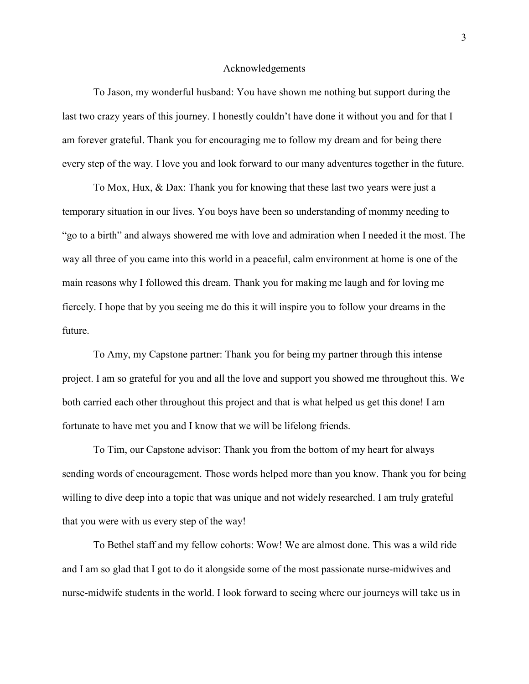#### Acknowledgements

To Jason, my wonderful husband: You have shown me nothing but support during the last two crazy years of this journey. I honestly couldn't have done it without you and for that I am forever grateful. Thank you for encouraging me to follow my dream and for being there every step of the way. I love you and look forward to our many adventures together in the future.

 To Mox, Hux, & Dax: Thank you for knowing that these last two years were just a temporary situation in our lives. You boys have been so understanding of mommy needing to "go to a birth" and always showered me with love and admiration when I needed it the most. The way all three of you came into this world in a peaceful, calm environment at home is one of the main reasons why I followed this dream. Thank you for making me laugh and for loving me fiercely. I hope that by you seeing me do this it will inspire you to follow your dreams in the future.

 To Amy, my Capstone partner: Thank you for being my partner through this intense project. I am so grateful for you and all the love and support you showed me throughout this. We both carried each other throughout this project and that is what helped us get this done! I am fortunate to have met you and I know that we will be lifelong friends.

 To Tim, our Capstone advisor: Thank you from the bottom of my heart for always sending words of encouragement. Those words helped more than you know. Thank you for being willing to dive deep into a topic that was unique and not widely researched. I am truly grateful that you were with us every step of the way!

 To Bethel staff and my fellow cohorts: Wow! We are almost done. This was a wild ride and I am so glad that I got to do it alongside some of the most passionate nurse-midwives and nurse-midwife students in the world. I look forward to seeing where our journeys will take us in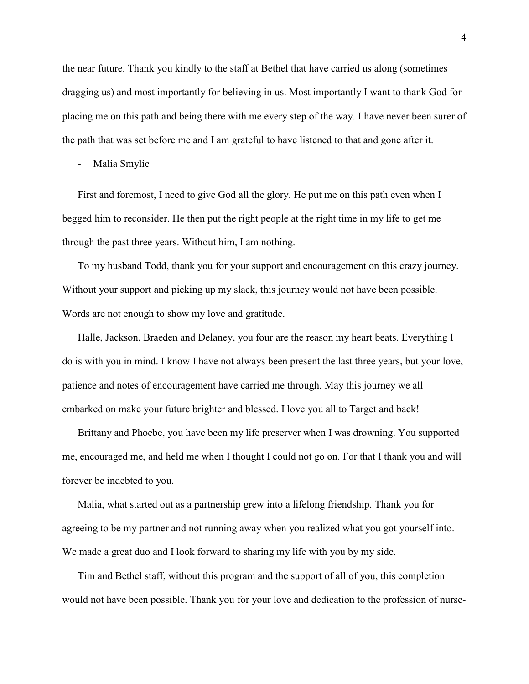the near future. Thank you kindly to the staff at Bethel that have carried us along (sometimes dragging us) and most importantly for believing in us. Most importantly I want to thank God for placing me on this path and being there with me every step of the way. I have never been surer of the path that was set before me and I am grateful to have listened to that and gone after it.

Malia Smylie

First and foremost, I need to give God all the glory. He put me on this path even when I begged him to reconsider. He then put the right people at the right time in my life to get me through the past three years. Without him, I am nothing.

To my husband Todd, thank you for your support and encouragement on this crazy journey. Without your support and picking up my slack, this journey would not have been possible. Words are not enough to show my love and gratitude.

Halle, Jackson, Braeden and Delaney, you four are the reason my heart beats. Everything I do is with you in mind. I know I have not always been present the last three years, but your love, patience and notes of encouragement have carried me through. May this journey we all embarked on make your future brighter and blessed. I love you all to Target and back!

Brittany and Phoebe, you have been my life preserver when I was drowning. You supported me, encouraged me, and held me when I thought I could not go on. For that I thank you and will forever be indebted to you.

Malia, what started out as a partnership grew into a lifelong friendship. Thank you for agreeing to be my partner and not running away when you realized what you got yourself into. We made a great duo and I look forward to sharing my life with you by my side.

Tim and Bethel staff, without this program and the support of all of you, this completion would not have been possible. Thank you for your love and dedication to the profession of nurse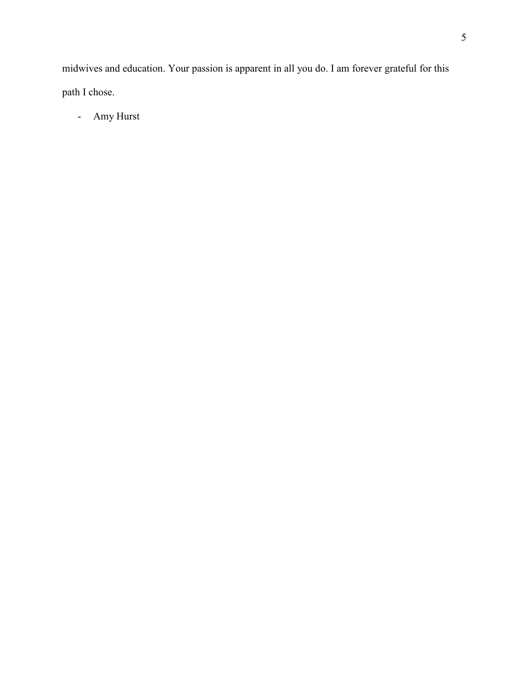midwives and education. Your passion is apparent in all you do. I am forever grateful for this path I chose.

- Amy Hurst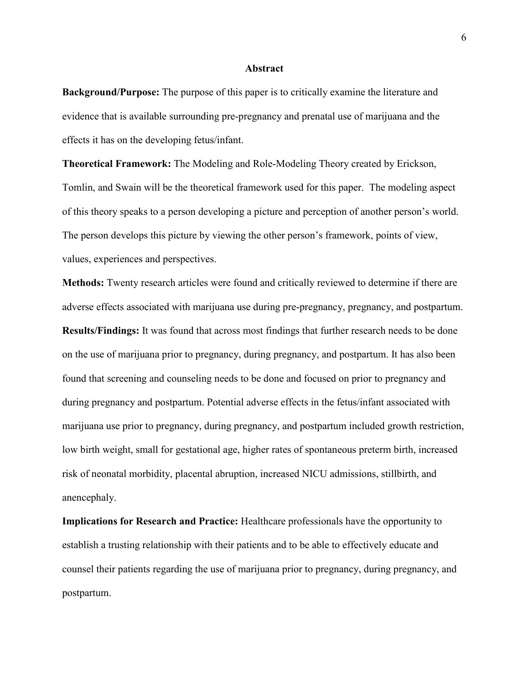#### **Abstract**

**Background/Purpose:** The purpose of this paper is to critically examine the literature and evidence that is available surrounding pre-pregnancy and prenatal use of marijuana and the effects it has on the developing fetus/infant.

**Theoretical Framework:** The Modeling and Role-Modeling Theory created by Erickson, Tomlin, and Swain will be the theoretical framework used for this paper. The modeling aspect of this theory speaks to a person developing a picture and perception of another person's world. The person develops this picture by viewing the other person's framework, points of view, values, experiences and perspectives.

**Methods:** Twenty research articles were found and critically reviewed to determine if there are adverse effects associated with marijuana use during pre-pregnancy, pregnancy, and postpartum. **Results/Findings:** It was found that across most findings that further research needs to be done on the use of marijuana prior to pregnancy, during pregnancy, and postpartum. It has also been found that screening and counseling needs to be done and focused on prior to pregnancy and during pregnancy and postpartum. Potential adverse effects in the fetus/infant associated with marijuana use prior to pregnancy, during pregnancy, and postpartum included growth restriction, low birth weight, small for gestational age, higher rates of spontaneous preterm birth, increased risk of neonatal morbidity, placental abruption, increased NICU admissions, stillbirth, and anencephaly.

**Implications for Research and Practice:** Healthcare professionals have the opportunity to establish a trusting relationship with their patients and to be able to effectively educate and counsel their patients regarding the use of marijuana prior to pregnancy, during pregnancy, and postpartum.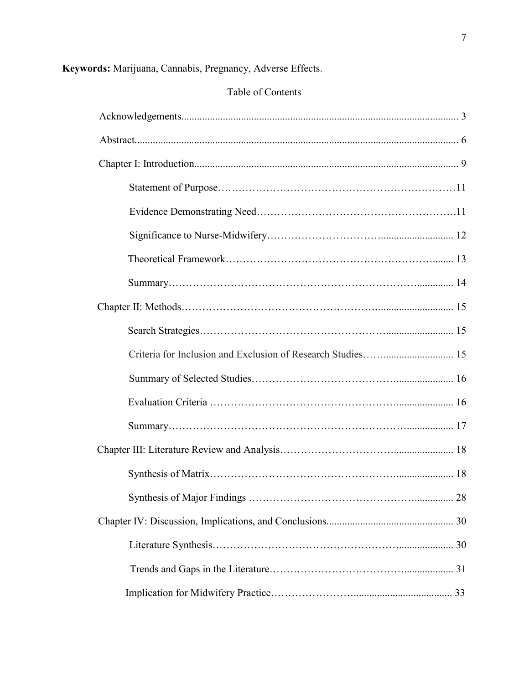## **Keywords:** Marijuana, Cannabis, Pregnancy, Adverse Effects.

## Table of Contents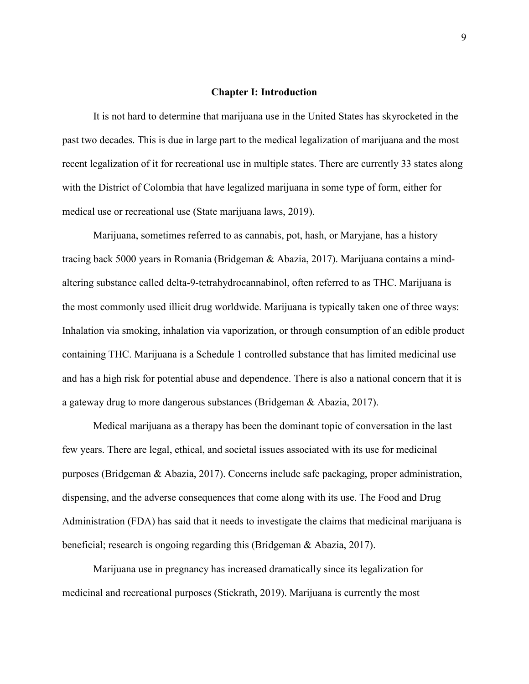#### **Chapter I: Introduction**

It is not hard to determine that marijuana use in the United States has skyrocketed in the past two decades. This is due in large part to the medical legalization of marijuana and the most recent legalization of it for recreational use in multiple states. There are currently 33 states along with the District of Colombia that have legalized marijuana in some type of form, either for medical use or recreational use (State marijuana laws, 2019).

Marijuana, sometimes referred to as cannabis, pot, hash, or Maryjane, has a history tracing back 5000 years in Romania (Bridgeman & Abazia, 2017). Marijuana contains a mindaltering substance called delta-9-tetrahydrocannabinol, often referred to as THC. Marijuana is the most commonly used illicit drug worldwide. Marijuana is typically taken one of three ways: Inhalation via smoking, inhalation via vaporization, or through consumption of an edible product containing THC. Marijuana is a Schedule 1 controlled substance that has limited medicinal use and has a high risk for potential abuse and dependence. There is also a national concern that it is a gateway drug to more dangerous substances (Bridgeman & Abazia, 2017).

Medical marijuana as a therapy has been the dominant topic of conversation in the last few years. There are legal, ethical, and societal issues associated with its use for medicinal purposes (Bridgeman & Abazia, 2017). Concerns include safe packaging, proper administration, dispensing, and the adverse consequences that come along with its use. The Food and Drug Administration (FDA) has said that it needs to investigate the claims that medicinal marijuana is beneficial; research is ongoing regarding this (Bridgeman & Abazia, 2017).

Marijuana use in pregnancy has increased dramatically since its legalization for medicinal and recreational purposes (Stickrath, 2019). Marijuana is currently the most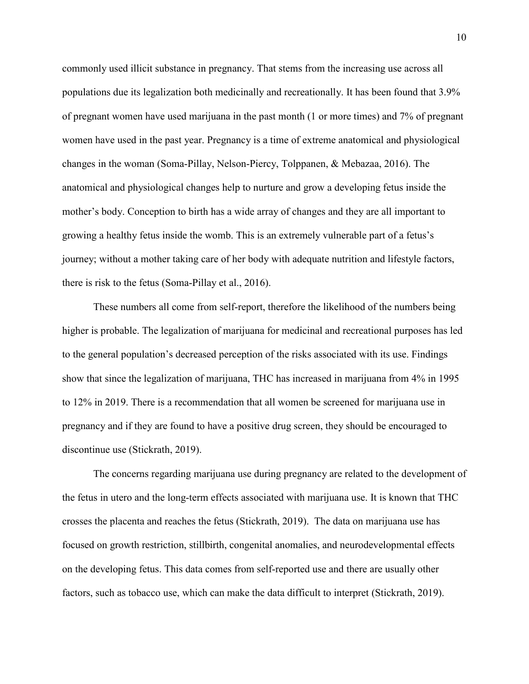commonly used illicit substance in pregnancy. That stems from the increasing use across all populations due its legalization both medicinally and recreationally. It has been found that 3.9% of pregnant women have used marijuana in the past month (1 or more times) and 7% of pregnant women have used in the past year. Pregnancy is a time of extreme anatomical and physiological changes in the woman (Soma-Pillay, Nelson-Piercy, Tolppanen, & Mebazaa, 2016). The anatomical and physiological changes help to nurture and grow a developing fetus inside the mother's body. Conception to birth has a wide array of changes and they are all important to growing a healthy fetus inside the womb. This is an extremely vulnerable part of a fetus's journey; without a mother taking care of her body with adequate nutrition and lifestyle factors, there is risk to the fetus (Soma-Pillay et al., 2016).

These numbers all come from self-report, therefore the likelihood of the numbers being higher is probable. The legalization of marijuana for medicinal and recreational purposes has led to the general population's decreased perception of the risks associated with its use. Findings show that since the legalization of marijuana, THC has increased in marijuana from 4% in 1995 to 12% in 2019. There is a recommendation that all women be screened for marijuana use in pregnancy and if they are found to have a positive drug screen, they should be encouraged to discontinue use (Stickrath, 2019).

 The concerns regarding marijuana use during pregnancy are related to the development of the fetus in utero and the long-term effects associated with marijuana use. It is known that THC crosses the placenta and reaches the fetus (Stickrath, 2019). The data on marijuana use has focused on growth restriction, stillbirth, congenital anomalies, and neurodevelopmental effects on the developing fetus. This data comes from self-reported use and there are usually other factors, such as tobacco use, which can make the data difficult to interpret (Stickrath, 2019).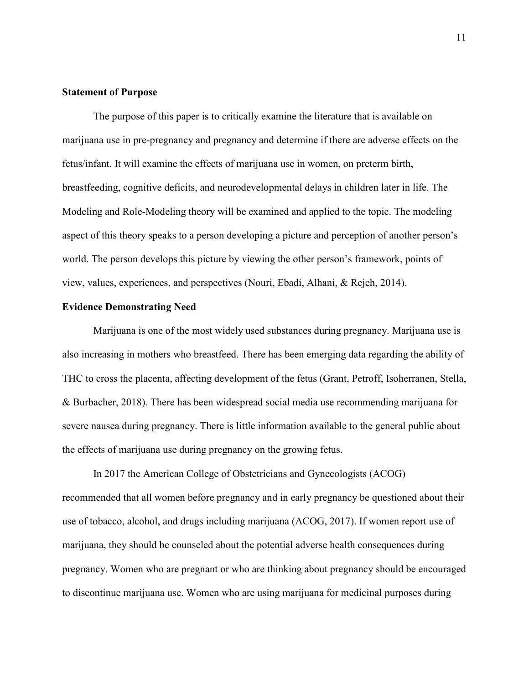#### **Statement of Purpose**

The purpose of this paper is to critically examine the literature that is available on marijuana use in pre-pregnancy and pregnancy and determine if there are adverse effects on the fetus/infant. It will examine the effects of marijuana use in women, on preterm birth, breastfeeding, cognitive deficits, and neurodevelopmental delays in children later in life. The Modeling and Role-Modeling theory will be examined and applied to the topic. The modeling aspect of this theory speaks to a person developing a picture and perception of another person's world. The person develops this picture by viewing the other person's framework, points of view, values, experiences, and perspectives (Nouri, Ebadi, Alhani, & Rejeh, 2014).

#### **Evidence Demonstrating Need**

Marijuana is one of the most widely used substances during pregnancy. Marijuana use is also increasing in mothers who breastfeed. There has been emerging data regarding the ability of THC to cross the placenta, affecting development of the fetus (Grant, Petroff, Isoherranen, Stella, & Burbacher, 2018). There has been widespread social media use recommending marijuana for severe nausea during pregnancy. There is little information available to the general public about the effects of marijuana use during pregnancy on the growing fetus.

 In 2017 the American College of Obstetricians and Gynecologists (ACOG) recommended that all women before pregnancy and in early pregnancy be questioned about their use of tobacco, alcohol, and drugs including marijuana (ACOG, 2017). If women report use of marijuana, they should be counseled about the potential adverse health consequences during pregnancy. Women who are pregnant or who are thinking about pregnancy should be encouraged to discontinue marijuana use. Women who are using marijuana for medicinal purposes during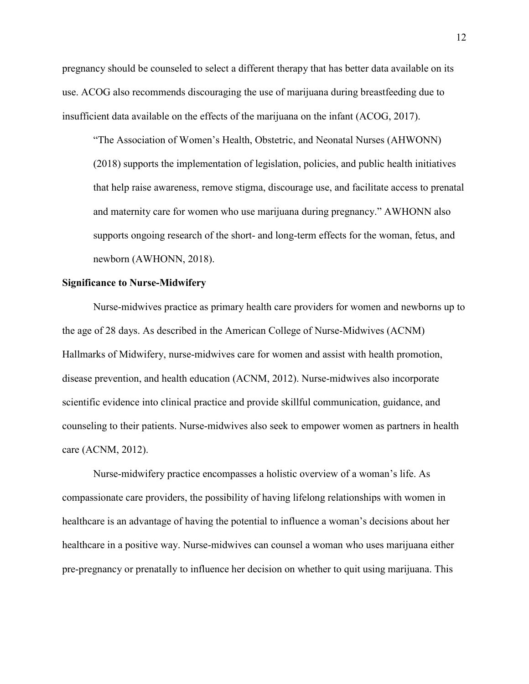pregnancy should be counseled to select a different therapy that has better data available on its use. ACOG also recommends discouraging the use of marijuana during breastfeeding due to insufficient data available on the effects of the marijuana on the infant (ACOG, 2017).

"The Association of Women's Health, Obstetric, and Neonatal Nurses (AHWONN) (2018) supports the implementation of legislation, policies, and public health initiatives that help raise awareness, remove stigma, discourage use, and facilitate access to prenatal and maternity care for women who use marijuana during pregnancy." AWHONN also supports ongoing research of the short- and long-term effects for the woman, fetus, and newborn (AWHONN, 2018).

#### **Significance to Nurse-Midwifery**

Nurse-midwives practice as primary health care providers for women and newborns up to the age of 28 days. As described in the American College of Nurse-Midwives (ACNM) Hallmarks of Midwifery, nurse-midwives care for women and assist with health promotion, disease prevention, and health education (ACNM, 2012). Nurse-midwives also incorporate scientific evidence into clinical practice and provide skillful communication, guidance, and counseling to their patients. Nurse-midwives also seek to empower women as partners in health care (ACNM, 2012).

Nurse-midwifery practice encompasses a holistic overview of a woman's life. As compassionate care providers, the possibility of having lifelong relationships with women in healthcare is an advantage of having the potential to influence a woman's decisions about her healthcare in a positive way. Nurse-midwives can counsel a woman who uses marijuana either pre-pregnancy or prenatally to influence her decision on whether to quit using marijuana. This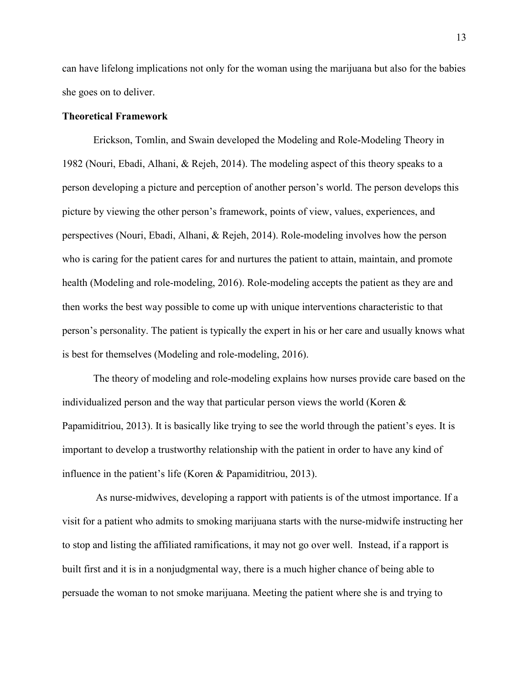can have lifelong implications not only for the woman using the marijuana but also for the babies she goes on to deliver.

#### **Theoretical Framework**

Erickson, Tomlin, and Swain developed the Modeling and Role-Modeling Theory in 1982 (Nouri, Ebadi, Alhani, & Rejeh, 2014). The modeling aspect of this theory speaks to a person developing a picture and perception of another person's world. The person develops this picture by viewing the other person's framework, points of view, values, experiences, and perspectives (Nouri, Ebadi, Alhani, & Rejeh, 2014). Role-modeling involves how the person who is caring for the patient cares for and nurtures the patient to attain, maintain, and promote health (Modeling and role-modeling, 2016). Role-modeling accepts the patient as they are and then works the best way possible to come up with unique interventions characteristic to that person's personality. The patient is typically the expert in his or her care and usually knows what is best for themselves (Modeling and role-modeling, 2016).

The theory of modeling and role-modeling explains how nurses provide care based on the individualized person and the way that particular person views the world (Koren & Papamiditriou, 2013). It is basically like trying to see the world through the patient's eyes. It is important to develop a trustworthy relationship with the patient in order to have any kind of influence in the patient's life (Koren & Papamiditriou, 2013).

 As nurse-midwives, developing a rapport with patients is of the utmost importance. If a visit for a patient who admits to smoking marijuana starts with the nurse-midwife instructing her to stop and listing the affiliated ramifications, it may not go over well. Instead, if a rapport is built first and it is in a nonjudgmental way, there is a much higher chance of being able to persuade the woman to not smoke marijuana. Meeting the patient where she is and trying to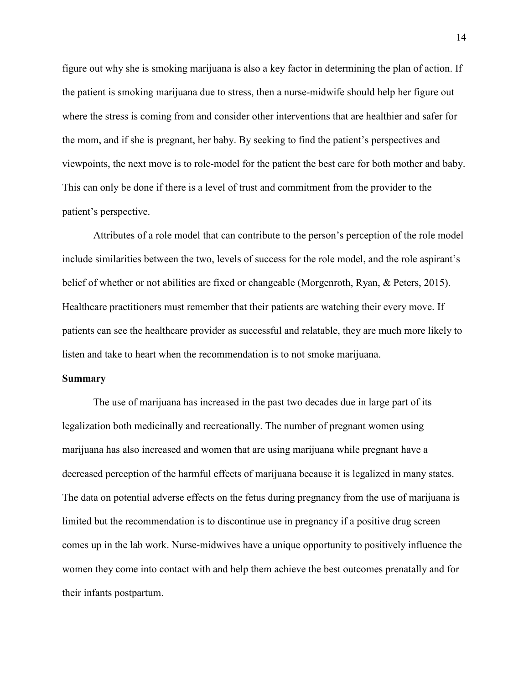figure out why she is smoking marijuana is also a key factor in determining the plan of action. If the patient is smoking marijuana due to stress, then a nurse-midwife should help her figure out where the stress is coming from and consider other interventions that are healthier and safer for the mom, and if she is pregnant, her baby. By seeking to find the patient's perspectives and viewpoints, the next move is to role-model for the patient the best care for both mother and baby. This can only be done if there is a level of trust and commitment from the provider to the patient's perspective.

 Attributes of a role model that can contribute to the person's perception of the role model include similarities between the two, levels of success for the role model, and the role aspirant's belief of whether or not abilities are fixed or changeable (Morgenroth, Ryan, & Peters, 2015). Healthcare practitioners must remember that their patients are watching their every move. If patients can see the healthcare provider as successful and relatable, they are much more likely to listen and take to heart when the recommendation is to not smoke marijuana.

#### **Summary**

The use of marijuana has increased in the past two decades due in large part of its legalization both medicinally and recreationally. The number of pregnant women using marijuana has also increased and women that are using marijuana while pregnant have a decreased perception of the harmful effects of marijuana because it is legalized in many states. The data on potential adverse effects on the fetus during pregnancy from the use of marijuana is limited but the recommendation is to discontinue use in pregnancy if a positive drug screen comes up in the lab work. Nurse-midwives have a unique opportunity to positively influence the women they come into contact with and help them achieve the best outcomes prenatally and for their infants postpartum.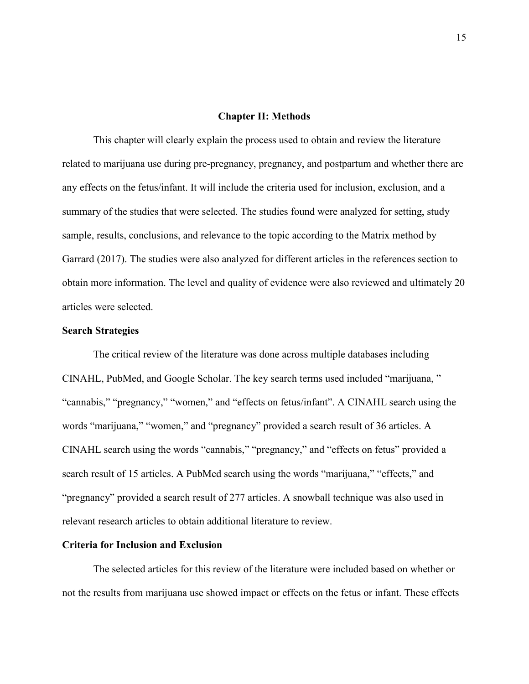#### **Chapter II: Methods**

This chapter will clearly explain the process used to obtain and review the literature related to marijuana use during pre-pregnancy, pregnancy, and postpartum and whether there are any effects on the fetus/infant. It will include the criteria used for inclusion, exclusion, and a summary of the studies that were selected. The studies found were analyzed for setting, study sample, results, conclusions, and relevance to the topic according to the Matrix method by Garrard (2017). The studies were also analyzed for different articles in the references section to obtain more information. The level and quality of evidence were also reviewed and ultimately 20 articles were selected.

#### **Search Strategies**

The critical review of the literature was done across multiple databases including CINAHL, PubMed, and Google Scholar. The key search terms used included "marijuana, " "cannabis," "pregnancy," "women," and "effects on fetus/infant". A CINAHL search using the words "marijuana," "women," and "pregnancy" provided a search result of 36 articles. A CINAHL search using the words "cannabis," "pregnancy," and "effects on fetus" provided a search result of 15 articles. A PubMed search using the words "marijuana," "effects," and "pregnancy" provided a search result of 277 articles. A snowball technique was also used in relevant research articles to obtain additional literature to review.

#### **Criteria for Inclusion and Exclusion**

The selected articles for this review of the literature were included based on whether or not the results from marijuana use showed impact or effects on the fetus or infant. These effects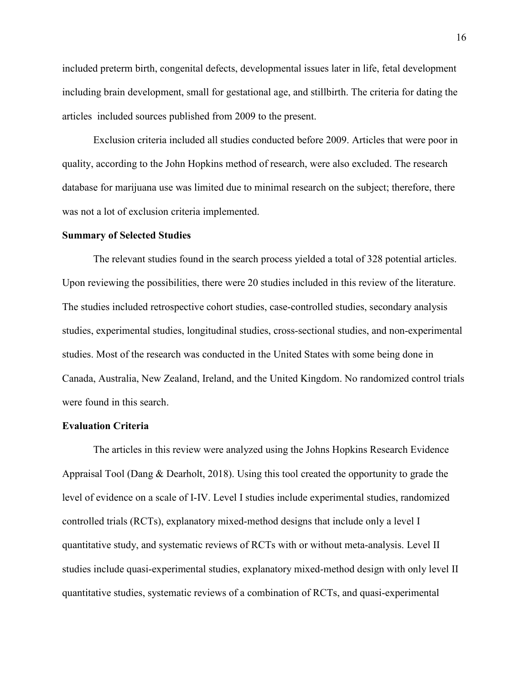included preterm birth, congenital defects, developmental issues later in life, fetal development including brain development, small for gestational age, and stillbirth. The criteria for dating the articles included sources published from 2009 to the present.

Exclusion criteria included all studies conducted before 2009. Articles that were poor in quality, according to the John Hopkins method of research, were also excluded. The research database for marijuana use was limited due to minimal research on the subject; therefore, there was not a lot of exclusion criteria implemented.

#### **Summary of Selected Studies**

The relevant studies found in the search process yielded a total of 328 potential articles. Upon reviewing the possibilities, there were 20 studies included in this review of the literature. The studies included retrospective cohort studies, case-controlled studies, secondary analysis studies, experimental studies, longitudinal studies, cross-sectional studies, and non-experimental studies. Most of the research was conducted in the United States with some being done in Canada, Australia, New Zealand, Ireland, and the United Kingdom. No randomized control trials were found in this search.

#### **Evaluation Criteria**

The articles in this review were analyzed using the Johns Hopkins Research Evidence Appraisal Tool (Dang & Dearholt, 2018). Using this tool created the opportunity to grade the level of evidence on a scale of I-IV. Level I studies include experimental studies, randomized controlled trials (RCTs), explanatory mixed-method designs that include only a level I quantitative study, and systematic reviews of RCTs with or without meta-analysis. Level II studies include quasi-experimental studies, explanatory mixed-method design with only level II quantitative studies, systematic reviews of a combination of RCTs, and quasi-experimental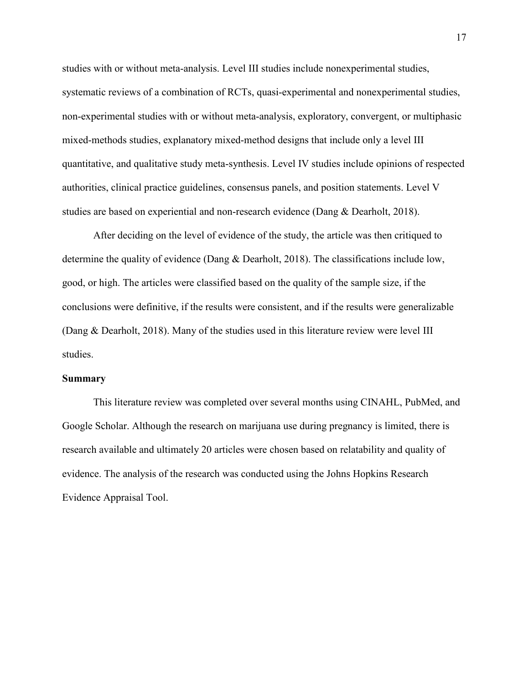studies with or without meta-analysis. Level III studies include nonexperimental studies, systematic reviews of a combination of RCTs, quasi-experimental and nonexperimental studies, non-experimental studies with or without meta-analysis, exploratory, convergent, or multiphasic mixed-methods studies, explanatory mixed-method designs that include only a level III quantitative, and qualitative study meta-synthesis. Level IV studies include opinions of respected authorities, clinical practice guidelines, consensus panels, and position statements. Level V studies are based on experiential and non-research evidence (Dang & Dearholt, 2018).

 After deciding on the level of evidence of the study, the article was then critiqued to determine the quality of evidence (Dang & Dearholt, 2018). The classifications include low, good, or high. The articles were classified based on the quality of the sample size, if the conclusions were definitive, if the results were consistent, and if the results were generalizable (Dang & Dearholt, 2018). Many of the studies used in this literature review were level III studies.

#### **Summary**

This literature review was completed over several months using CINAHL, PubMed, and Google Scholar. Although the research on marijuana use during pregnancy is limited, there is research available and ultimately 20 articles were chosen based on relatability and quality of evidence. The analysis of the research was conducted using the Johns Hopkins Research Evidence Appraisal Tool.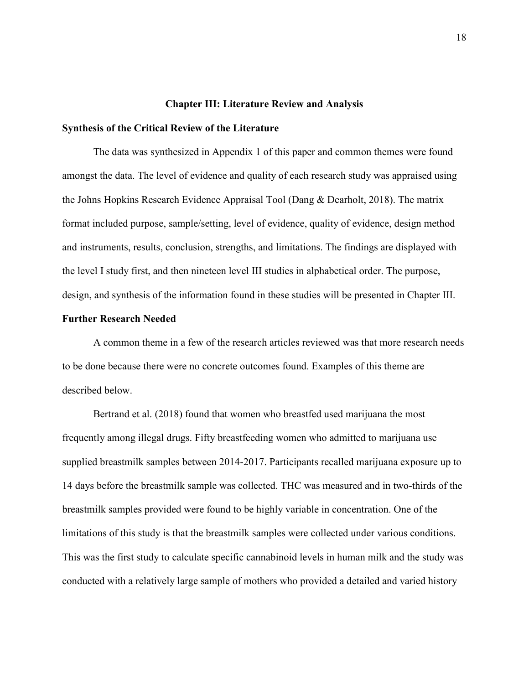#### **Chapter III: Literature Review and Analysis**

#### **Synthesis of the Critical Review of the Literature**

The data was synthesized in Appendix 1 of this paper and common themes were found amongst the data. The level of evidence and quality of each research study was appraised using the Johns Hopkins Research Evidence Appraisal Tool (Dang & Dearholt, 2018). The matrix format included purpose, sample/setting, level of evidence, quality of evidence, design method and instruments, results, conclusion, strengths, and limitations. The findings are displayed with the level I study first, and then nineteen level III studies in alphabetical order. The purpose, design, and synthesis of the information found in these studies will be presented in Chapter III.

#### **Further Research Needed**

A common theme in a few of the research articles reviewed was that more research needs to be done because there were no concrete outcomes found. Examples of this theme are described below.

Bertrand et al. (2018) found that women who breastfed used marijuana the most frequently among illegal drugs. Fifty breastfeeding women who admitted to marijuana use supplied breastmilk samples between 2014-2017. Participants recalled marijuana exposure up to 14 days before the breastmilk sample was collected. THC was measured and in two-thirds of the breastmilk samples provided were found to be highly variable in concentration. One of the limitations of this study is that the breastmilk samples were collected under various conditions. This was the first study to calculate specific cannabinoid levels in human milk and the study was conducted with a relatively large sample of mothers who provided a detailed and varied history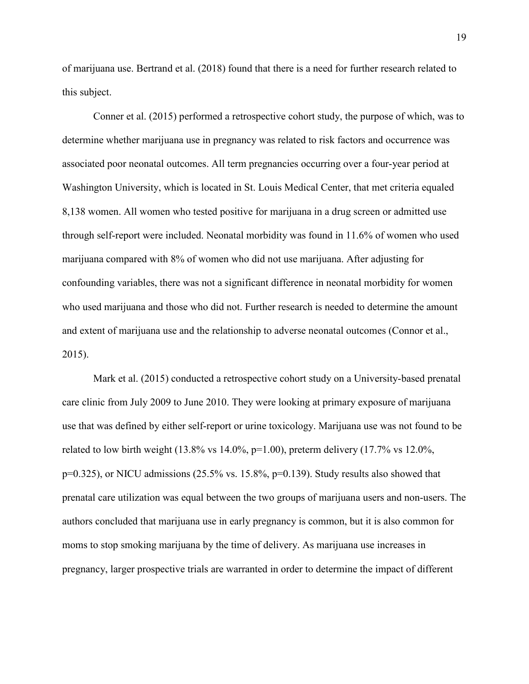of marijuana use. Bertrand et al. (2018) found that there is a need for further research related to this subject.

 Conner et al. (2015) performed a retrospective cohort study, the purpose of which, was to determine whether marijuana use in pregnancy was related to risk factors and occurrence was associated poor neonatal outcomes. All term pregnancies occurring over a four-year period at Washington University, which is located in St. Louis Medical Center, that met criteria equaled 8,138 women. All women who tested positive for marijuana in a drug screen or admitted use through self-report were included. Neonatal morbidity was found in 11.6% of women who used marijuana compared with 8% of women who did not use marijuana. After adjusting for confounding variables, there was not a significant difference in neonatal morbidity for women who used marijuana and those who did not. Further research is needed to determine the amount and extent of marijuana use and the relationship to adverse neonatal outcomes (Connor et al., 2015).

Mark et al. (2015) conducted a retrospective cohort study on a University-based prenatal care clinic from July 2009 to June 2010. They were looking at primary exposure of marijuana use that was defined by either self-report or urine toxicology. Marijuana use was not found to be related to low birth weight  $(13.8\% \text{ vs } 14.0\%, \text{p=1.00})$ , preterm delivery  $(17.7\% \text{ vs } 12.0\%, \text{p=1.00})$  $p=0.325$ ), or NICU admissions (25.5% vs. 15.8%,  $p=0.139$ ). Study results also showed that prenatal care utilization was equal between the two groups of marijuana users and non-users. The authors concluded that marijuana use in early pregnancy is common, but it is also common for moms to stop smoking marijuana by the time of delivery. As marijuana use increases in pregnancy, larger prospective trials are warranted in order to determine the impact of different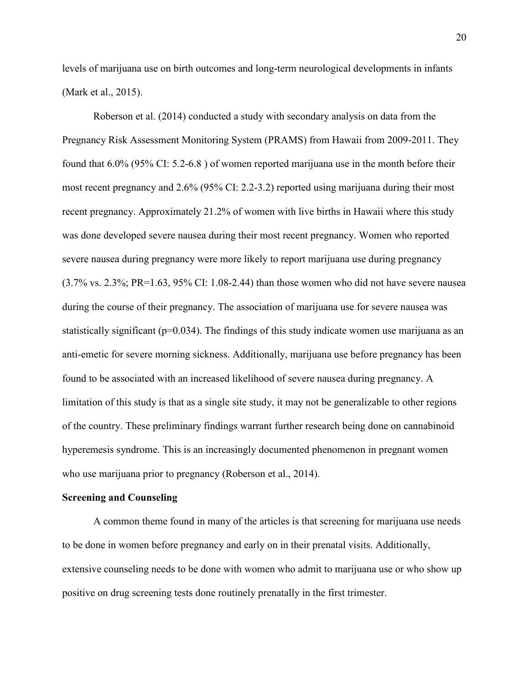levels of marijuana use on birth outcomes and long-term neurological developments in infants (Mark et al., 2015).

 Roberson et al. (2014) conducted a study with secondary analysis on data from the Pregnancy Risk Assessment Monitoring System (PRAMS) from Hawaii from 2009-2011. They found that 6.0% (95% CI: 5.2-6.8 ) of women reported marijuana use in the month before their most recent pregnancy and 2.6% (95% CI: 2.2-3.2) reported using marijuana during their most recent pregnancy. Approximately 21.2% of women with live births in Hawaii where this study was done developed severe nausea during their most recent pregnancy. Women who reported severe nausea during pregnancy were more likely to report marijuana use during pregnancy (3.7% vs. 2.3%; PR=1.63, 95% CI: 1.08-2.44) than those women who did not have severe nausea during the course of their pregnancy. The association of marijuana use for severe nausea was statistically significant ( $p=0.034$ ). The findings of this study indicate women use marijuana as an anti-emetic for severe morning sickness. Additionally, marijuana use before pregnancy has been found to be associated with an increased likelihood of severe nausea during pregnancy. A limitation of this study is that as a single site study, it may not be generalizable to other regions of the country. These preliminary findings warrant further research being done on cannabinoid hyperemesis syndrome. This is an increasingly documented phenomenon in pregnant women who use marijuana prior to pregnancy (Roberson et al., 2014).

#### **Screening and Counseling**

A common theme found in many of the articles is that screening for marijuana use needs to be done in women before pregnancy and early on in their prenatal visits. Additionally, extensive counseling needs to be done with women who admit to marijuana use or who show up positive on drug screening tests done routinely prenatally in the first trimester.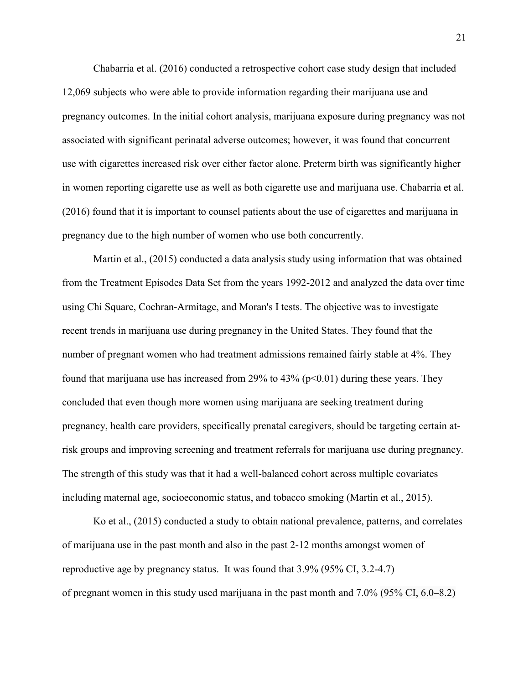Chabarria et al. (2016) conducted a retrospective cohort case study design that included 12,069 subjects who were able to provide information regarding their marijuana use and pregnancy outcomes. In the initial cohort analysis, marijuana exposure during pregnancy was not associated with significant perinatal adverse outcomes; however, it was found that concurrent use with cigarettes increased risk over either factor alone. Preterm birth was significantly higher in women reporting cigarette use as well as both cigarette use and marijuana use. Chabarria et al. (2016) found that it is important to counsel patients about the use of cigarettes and marijuana in pregnancy due to the high number of women who use both concurrently.

 Martin et al., (2015) conducted a data analysis study using information that was obtained from the Treatment Episodes Data Set from the years 1992-2012 and analyzed the data over time using Chi Square, Cochran-Armitage, and Moran's I tests. The objective was to investigate recent trends in marijuana use during pregnancy in the United States. They found that the number of pregnant women who had treatment admissions remained fairly stable at 4%. They found that marijuana use has increased from 29% to  $43\%$  (p<0.01) during these years. They concluded that even though more women using marijuana are seeking treatment during pregnancy, health care providers, specifically prenatal caregivers, should be targeting certain atrisk groups and improving screening and treatment referrals for marijuana use during pregnancy. The strength of this study was that it had a well-balanced cohort across multiple covariates including maternal age, socioeconomic status, and tobacco smoking (Martin et al., 2015).

Ko et al., (2015) conducted a study to obtain national prevalence, patterns, and correlates of marijuana use in the past month and also in the past 2-12 months amongst women of reproductive age by pregnancy status. It was found that 3.9% (95% CI, 3.2-4.7) of pregnant women in this study used marijuana in the past month and 7.0% (95% CI, 6.0–8.2)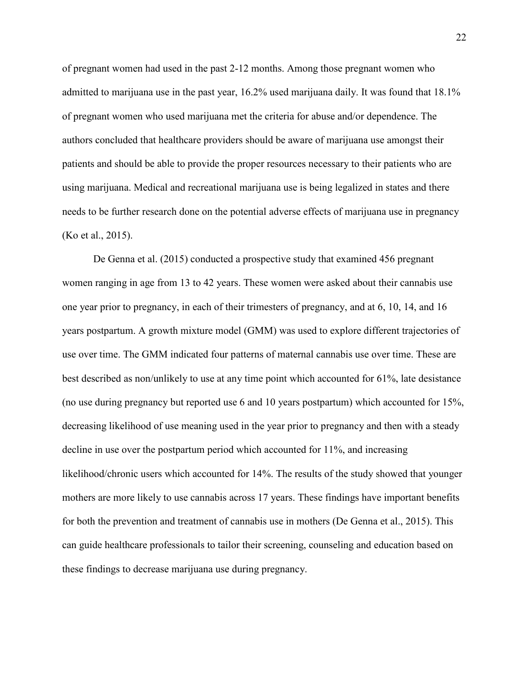of pregnant women had used in the past 2-12 months. Among those pregnant women who admitted to marijuana use in the past year, 16.2% used marijuana daily. It was found that 18.1% of pregnant women who used marijuana met the criteria for abuse and/or dependence. The authors concluded that healthcare providers should be aware of marijuana use amongst their patients and should be able to provide the proper resources necessary to their patients who are using marijuana. Medical and recreational marijuana use is being legalized in states and there needs to be further research done on the potential adverse effects of marijuana use in pregnancy (Ko et al., 2015).

De Genna et al. (2015) conducted a prospective study that examined 456 pregnant women ranging in age from 13 to 42 years. These women were asked about their cannabis use one year prior to pregnancy, in each of their trimesters of pregnancy, and at 6, 10, 14, and 16 years postpartum. A growth mixture model (GMM) was used to explore different trajectories of use over time. The GMM indicated four patterns of maternal cannabis use over time. These are best described as non/unlikely to use at any time point which accounted for 61%, late desistance (no use during pregnancy but reported use 6 and 10 years postpartum) which accounted for 15%, decreasing likelihood of use meaning used in the year prior to pregnancy and then with a steady decline in use over the postpartum period which accounted for 11%, and increasing likelihood/chronic users which accounted for 14%. The results of the study showed that younger mothers are more likely to use cannabis across 17 years. These findings have important benefits for both the prevention and treatment of cannabis use in mothers (De Genna et al., 2015). This can guide healthcare professionals to tailor their screening, counseling and education based on these findings to decrease marijuana use during pregnancy.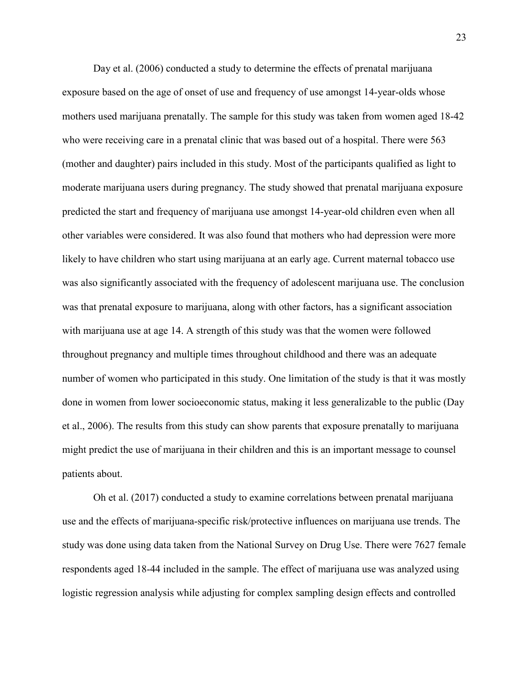Day et al. (2006) conducted a study to determine the effects of prenatal marijuana exposure based on the age of onset of use and frequency of use amongst 14-year-olds whose mothers used marijuana prenatally. The sample for this study was taken from women aged 18-42 who were receiving care in a prenatal clinic that was based out of a hospital. There were 563 (mother and daughter) pairs included in this study. Most of the participants qualified as light to moderate marijuana users during pregnancy. The study showed that prenatal marijuana exposure predicted the start and frequency of marijuana use amongst 14-year-old children even when all other variables were considered. It was also found that mothers who had depression were more likely to have children who start using marijuana at an early age. Current maternal tobacco use was also significantly associated with the frequency of adolescent marijuana use. The conclusion was that prenatal exposure to marijuana, along with other factors, has a significant association with marijuana use at age 14. A strength of this study was that the women were followed throughout pregnancy and multiple times throughout childhood and there was an adequate number of women who participated in this study. One limitation of the study is that it was mostly done in women from lower socioeconomic status, making it less generalizable to the public (Day et al., 2006). The results from this study can show parents that exposure prenatally to marijuana might predict the use of marijuana in their children and this is an important message to counsel patients about.

Oh et al. (2017) conducted a study to examine correlations between prenatal marijuana use and the effects of marijuana-specific risk/protective influences on marijuana use trends. The study was done using data taken from the National Survey on Drug Use. There were 7627 female respondents aged 18-44 included in the sample. The effect of marijuana use was analyzed using logistic regression analysis while adjusting for complex sampling design effects and controlled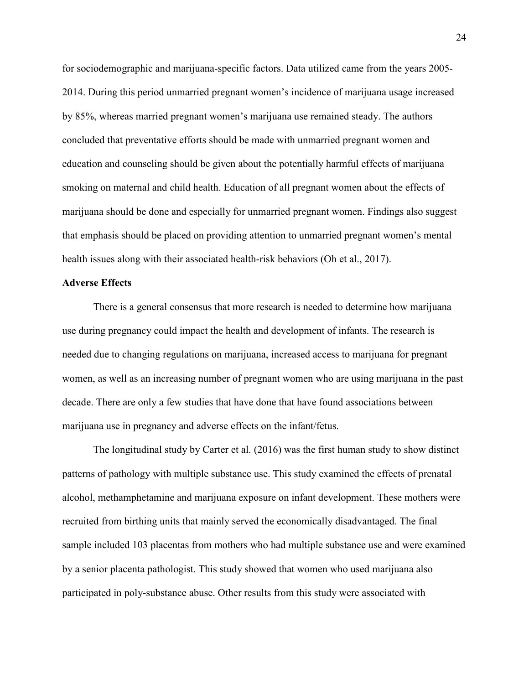for sociodemographic and marijuana-specific factors. Data utilized came from the years 2005- 2014. During this period unmarried pregnant women's incidence of marijuana usage increased by 85%, whereas married pregnant women's marijuana use remained steady. The authors concluded that preventative efforts should be made with unmarried pregnant women and education and counseling should be given about the potentially harmful effects of marijuana smoking on maternal and child health. Education of all pregnant women about the effects of marijuana should be done and especially for unmarried pregnant women. Findings also suggest that emphasis should be placed on providing attention to unmarried pregnant women's mental health issues along with their associated health-risk behaviors (Oh et al., 2017).

#### **Adverse Effects**

There is a general consensus that more research is needed to determine how marijuana use during pregnancy could impact the health and development of infants. The research is needed due to changing regulations on marijuana, increased access to marijuana for pregnant women, as well as an increasing number of pregnant women who are using marijuana in the past decade. There are only a few studies that have done that have found associations between marijuana use in pregnancy and adverse effects on the infant/fetus.

The longitudinal study by Carter et al. (2016) was the first human study to show distinct patterns of pathology with multiple substance use. This study examined the effects of prenatal alcohol, methamphetamine and marijuana exposure on infant development. These mothers were recruited from birthing units that mainly served the economically disadvantaged. The final sample included 103 placentas from mothers who had multiple substance use and were examined by a senior placenta pathologist. This study showed that women who used marijuana also participated in poly-substance abuse. Other results from this study were associated with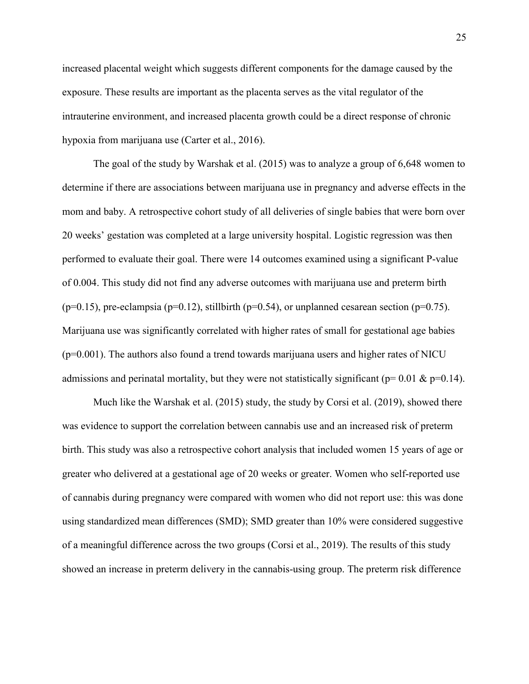increased placental weight which suggests different components for the damage caused by the exposure. These results are important as the placenta serves as the vital regulator of the intrauterine environment, and increased placenta growth could be a direct response of chronic hypoxia from marijuana use (Carter et al., 2016).

The goal of the study by Warshak et al. (2015) was to analyze a group of 6,648 women to determine if there are associations between marijuana use in pregnancy and adverse effects in the mom and baby. A retrospective cohort study of all deliveries of single babies that were born over 20 weeks' gestation was completed at a large university hospital. Logistic regression was then performed to evaluate their goal. There were 14 outcomes examined using a significant P-value of 0.004. This study did not find any adverse outcomes with marijuana use and preterm birth ( $p=0.15$ ), pre-eclampsia ( $p=0.12$ ), stillbirth ( $p=0.54$ ), or unplanned cesarean section ( $p=0.75$ ). Marijuana use was significantly correlated with higher rates of small for gestational age babies  $(p=0.001)$ . The authors also found a trend towards marijuana users and higher rates of NICU admissions and perinatal mortality, but they were not statistically significant ( $p= 0.01 \& p=0.14$ ).

Much like the Warshak et al. (2015) study, the study by Corsi et al. (2019), showed there was evidence to support the correlation between cannabis use and an increased risk of preterm birth. This study was also a retrospective cohort analysis that included women 15 years of age or greater who delivered at a gestational age of 20 weeks or greater. Women who self-reported use of cannabis during pregnancy were compared with women who did not report use: this was done using standardized mean differences (SMD); SMD greater than 10% were considered suggestive of a meaningful difference across the two groups (Corsi et al., 2019). The results of this study showed an increase in preterm delivery in the cannabis-using group. The preterm risk difference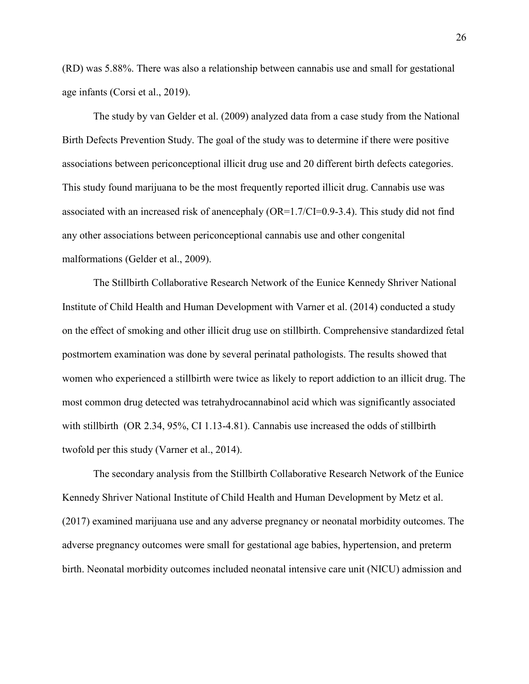(RD) was 5.88%. There was also a relationship between cannabis use and small for gestational age infants (Corsi et al., 2019).

The study by van Gelder et al. (2009) analyzed data from a case study from the National Birth Defects Prevention Study. The goal of the study was to determine if there were positive associations between periconceptional illicit drug use and 20 different birth defects categories. This study found marijuana to be the most frequently reported illicit drug. Cannabis use was associated with an increased risk of anencephaly (OR=1.7/CI=0.9-3.4). This study did not find any other associations between periconceptional cannabis use and other congenital malformations (Gelder et al., 2009).

The Stillbirth Collaborative Research Network of the Eunice Kennedy Shriver National Institute of Child Health and Human Development with Varner et al. (2014) conducted a study on the effect of smoking and other illicit drug use on stillbirth. Comprehensive standardized fetal postmortem examination was done by several perinatal pathologists. The results showed that women who experienced a stillbirth were twice as likely to report addiction to an illicit drug. The most common drug detected was tetrahydrocannabinol acid which was significantly associated with stillbirth (OR 2.34, 95%, CI 1.13-4.81). Cannabis use increased the odds of stillbirth twofold per this study (Varner et al., 2014).

The secondary analysis from the Stillbirth Collaborative Research Network of the Eunice Kennedy Shriver National Institute of Child Health and Human Development by Metz et al. (2017) examined marijuana use and any adverse pregnancy or neonatal morbidity outcomes. The adverse pregnancy outcomes were small for gestational age babies, hypertension, and preterm birth. Neonatal morbidity outcomes included neonatal intensive care unit (NICU) admission and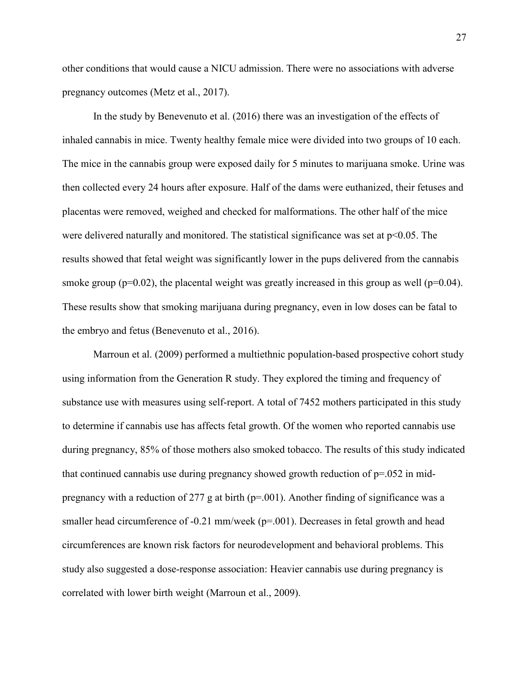other conditions that would cause a NICU admission. There were no associations with adverse pregnancy outcomes (Metz et al., 2017).

In the study by Benevenuto et al. (2016) there was an investigation of the effects of inhaled cannabis in mice. Twenty healthy female mice were divided into two groups of 10 each. The mice in the cannabis group were exposed daily for 5 minutes to marijuana smoke. Urine was then collected every 24 hours after exposure. Half of the dams were euthanized, their fetuses and placentas were removed, weighed and checked for malformations. The other half of the mice were delivered naturally and monitored. The statistical significance was set at  $p<0.05$ . The results showed that fetal weight was significantly lower in the pups delivered from the cannabis smoke group ( $p=0.02$ ), the placental weight was greatly increased in this group as well ( $p=0.04$ ). These results show that smoking marijuana during pregnancy, even in low doses can be fatal to the embryo and fetus (Benevenuto et al., 2016).

Marroun et al. (2009) performed a multiethnic population-based prospective cohort study using information from the Generation R study. They explored the timing and frequency of substance use with measures using self-report. A total of 7452 mothers participated in this study to determine if cannabis use has affects fetal growth. Of the women who reported cannabis use during pregnancy, 85% of those mothers also smoked tobacco. The results of this study indicated that continued cannabis use during pregnancy showed growth reduction of  $p=0.052$  in midpregnancy with a reduction of 277 g at birth ( $p=0.01$ ). Another finding of significance was a smaller head circumference of  $-0.21$  mm/week ( $p=0.01$ ). Decreases in fetal growth and head circumferences are known risk factors for neurodevelopment and behavioral problems. This study also suggested a dose-response association: Heavier cannabis use during pregnancy is correlated with lower birth weight (Marroun et al., 2009).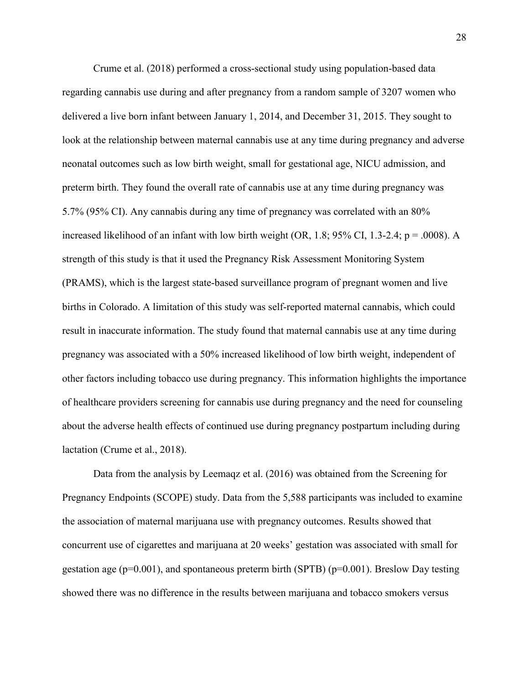Crume et al. (2018) performed a cross-sectional study using population-based data regarding cannabis use during and after pregnancy from a random sample of 3207 women who delivered a live born infant between January 1, 2014, and December 31, 2015. They sought to look at the relationship between maternal cannabis use at any time during pregnancy and adverse neonatal outcomes such as low birth weight, small for gestational age, NICU admission, and preterm birth. They found the overall rate of cannabis use at any time during pregnancy was 5.7% (95% CI). Any cannabis during any time of pregnancy was correlated with an 80% increased likelihood of an infant with low birth weight (OR, 1.8; 95% CI, 1.3-2.4;  $p = .0008$ ). A strength of this study is that it used the Pregnancy Risk Assessment Monitoring System (PRAMS), which is the largest state-based surveillance program of pregnant women and live births in Colorado. A limitation of this study was self-reported maternal cannabis, which could result in inaccurate information. The study found that maternal cannabis use at any time during pregnancy was associated with a 50% increased likelihood of low birth weight, independent of other factors including tobacco use during pregnancy. This information highlights the importance of healthcare providers screening for cannabis use during pregnancy and the need for counseling about the adverse health effects of continued use during pregnancy postpartum including during lactation (Crume et al., 2018).

Data from the analysis by Leemaqz et al. (2016) was obtained from the Screening for Pregnancy Endpoints (SCOPE) study. Data from the 5,588 participants was included to examine the association of maternal marijuana use with pregnancy outcomes. Results showed that concurrent use of cigarettes and marijuana at 20 weeks' gestation was associated with small for gestation age ( $p=0.001$ ), and spontaneous preterm birth (SPTB) ( $p=0.001$ ). Breslow Day testing showed there was no difference in the results between marijuana and tobacco smokers versus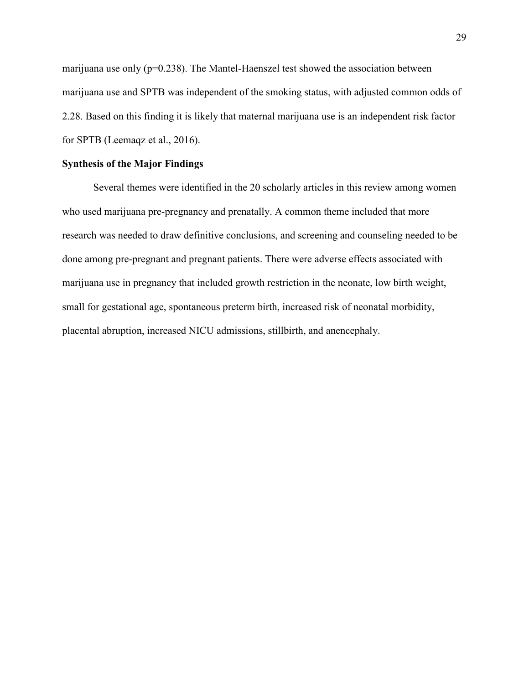marijuana use only ( $p=0.238$ ). The Mantel-Haenszel test showed the association between marijuana use and SPTB was independent of the smoking status, with adjusted common odds of 2.28. Based on this finding it is likely that maternal marijuana use is an independent risk factor for SPTB (Leemaqz et al., 2016).

#### **Synthesis of the Major Findings**

Several themes were identified in the 20 scholarly articles in this review among women who used marijuana pre-pregnancy and prenatally. A common theme included that more research was needed to draw definitive conclusions, and screening and counseling needed to be done among pre-pregnant and pregnant patients. There were adverse effects associated with marijuana use in pregnancy that included growth restriction in the neonate, low birth weight, small for gestational age, spontaneous preterm birth, increased risk of neonatal morbidity, placental abruption, increased NICU admissions, stillbirth, and anencephaly.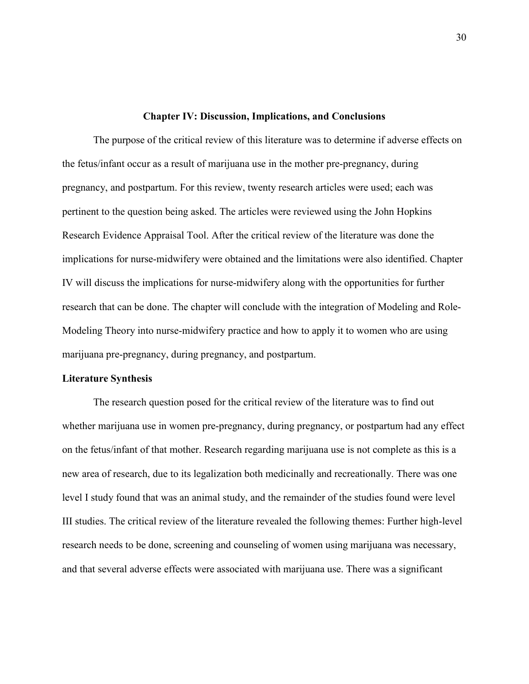#### **Chapter IV: Discussion, Implications, and Conclusions**

The purpose of the critical review of this literature was to determine if adverse effects on the fetus/infant occur as a result of marijuana use in the mother pre-pregnancy, during pregnancy, and postpartum. For this review, twenty research articles were used; each was pertinent to the question being asked. The articles were reviewed using the John Hopkins Research Evidence Appraisal Tool. After the critical review of the literature was done the implications for nurse-midwifery were obtained and the limitations were also identified. Chapter IV will discuss the implications for nurse-midwifery along with the opportunities for further research that can be done. The chapter will conclude with the integration of Modeling and Role-Modeling Theory into nurse-midwifery practice and how to apply it to women who are using marijuana pre-pregnancy, during pregnancy, and postpartum.

#### **Literature Synthesis**

The research question posed for the critical review of the literature was to find out whether marijuana use in women pre-pregnancy, during pregnancy, or postpartum had any effect on the fetus/infant of that mother. Research regarding marijuana use is not complete as this is a new area of research, due to its legalization both medicinally and recreationally. There was one level I study found that was an animal study, and the remainder of the studies found were level III studies. The critical review of the literature revealed the following themes: Further high-level research needs to be done, screening and counseling of women using marijuana was necessary, and that several adverse effects were associated with marijuana use. There was a significant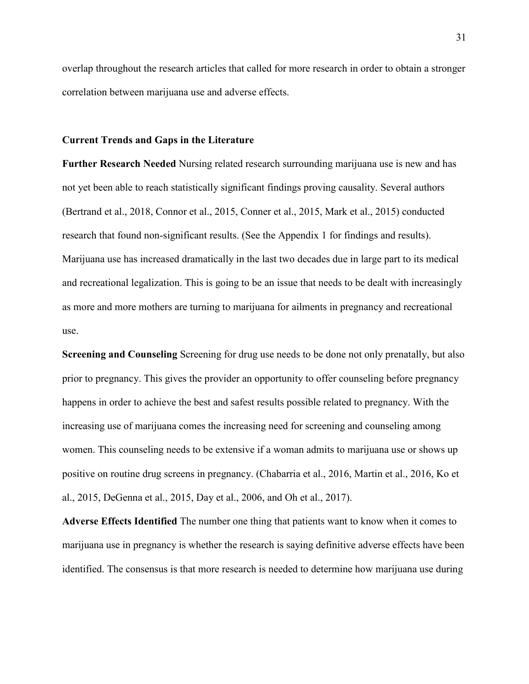overlap throughout the research articles that called for more research in order to obtain a stronger correlation between marijuana use and adverse effects.

#### **Current Trends and Gaps in the Literature**

**Further Research Needed** Nursing related research surrounding marijuana use is new and has not yet been able to reach statistically significant findings proving causality. Several authors (Bertrand et al., 2018, Connor et al., 2015, Conner et al., 2015, Mark et al., 2015) conducted research that found non-significant results. (See the Appendix 1 for findings and results). Marijuana use has increased dramatically in the last two decades due in large part to its medical and recreational legalization. This is going to be an issue that needs to be dealt with increasingly as more and more mothers are turning to marijuana for ailments in pregnancy and recreational use.

**Screening and Counseling** Screening for drug use needs to be done not only prenatally, but also prior to pregnancy. This gives the provider an opportunity to offer counseling before pregnancy happens in order to achieve the best and safest results possible related to pregnancy. With the increasing use of marijuana comes the increasing need for screening and counseling among women. This counseling needs to be extensive if a woman admits to marijuana use or shows up positive on routine drug screens in pregnancy. (Chabarria et al., 2016, Martin et al., 2016, Ko et al., 2015, DeGenna et al., 2015, Day et al., 2006, and Oh et al., 2017).

**Adverse Effects Identified** The number one thing that patients want to know when it comes to marijuana use in pregnancy is whether the research is saying definitive adverse effects have been identified. The consensus is that more research is needed to determine how marijuana use during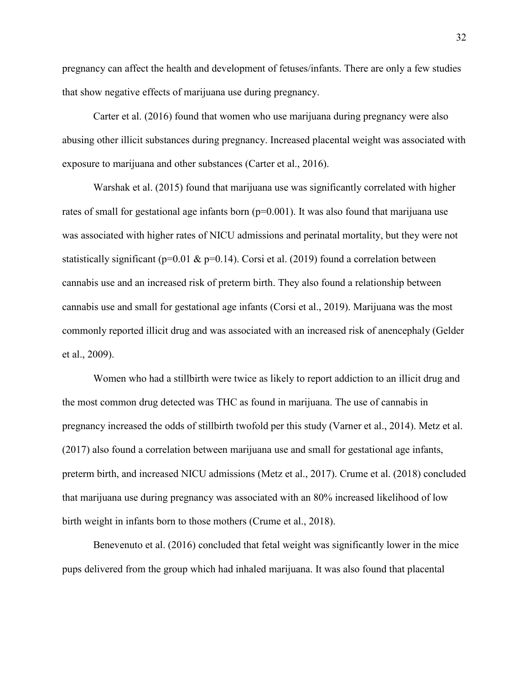pregnancy can affect the health and development of fetuses/infants. There are only a few studies that show negative effects of marijuana use during pregnancy.

 Carter et al. (2016) found that women who use marijuana during pregnancy were also abusing other illicit substances during pregnancy. Increased placental weight was associated with exposure to marijuana and other substances (Carter et al., 2016).

 Warshak et al. (2015) found that marijuana use was significantly correlated with higher rates of small for gestational age infants born  $(p=0.001)$ . It was also found that marijuana use was associated with higher rates of NICU admissions and perinatal mortality, but they were not statistically significant ( $p=0.01 \& p=0.14$ ). Corsi et al. (2019) found a correlation between cannabis use and an increased risk of preterm birth. They also found a relationship between cannabis use and small for gestational age infants (Corsi et al., 2019). Marijuana was the most commonly reported illicit drug and was associated with an increased risk of anencephaly (Gelder et al., 2009).

Women who had a stillbirth were twice as likely to report addiction to an illicit drug and the most common drug detected was THC as found in marijuana. The use of cannabis in pregnancy increased the odds of stillbirth twofold per this study (Varner et al., 2014). Metz et al. (2017) also found a correlation between marijuana use and small for gestational age infants, preterm birth, and increased NICU admissions (Metz et al., 2017). Crume et al. (2018) concluded that marijuana use during pregnancy was associated with an 80% increased likelihood of low birth weight in infants born to those mothers (Crume et al., 2018).

 Benevenuto et al. (2016) concluded that fetal weight was significantly lower in the mice pups delivered from the group which had inhaled marijuana. It was also found that placental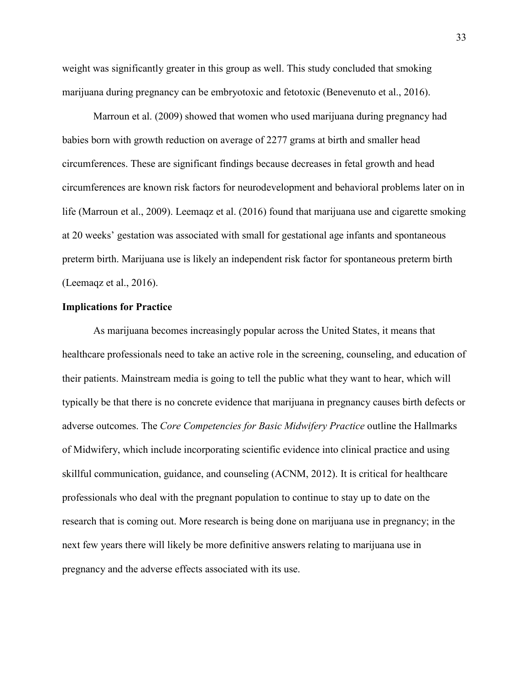weight was significantly greater in this group as well. This study concluded that smoking marijuana during pregnancy can be embryotoxic and fetotoxic (Benevenuto et al., 2016).

 Marroun et al. (2009) showed that women who used marijuana during pregnancy had babies born with growth reduction on average of 2277 grams at birth and smaller head circumferences. These are significant findings because decreases in fetal growth and head circumferences are known risk factors for neurodevelopment and behavioral problems later on in life (Marroun et al., 2009). Leemaqz et al. (2016) found that marijuana use and cigarette smoking at 20 weeks' gestation was associated with small for gestational age infants and spontaneous preterm birth. Marijuana use is likely an independent risk factor for spontaneous preterm birth (Leemaqz et al., 2016).

#### **Implications for Practice**

As marijuana becomes increasingly popular across the United States, it means that healthcare professionals need to take an active role in the screening, counseling, and education of their patients. Mainstream media is going to tell the public what they want to hear, which will typically be that there is no concrete evidence that marijuana in pregnancy causes birth defects or adverse outcomes. The *Core Competencies for Basic Midwifery Practice* outline the Hallmarks of Midwifery, which include incorporating scientific evidence into clinical practice and using skillful communication, guidance, and counseling (ACNM, 2012). It is critical for healthcare professionals who deal with the pregnant population to continue to stay up to date on the research that is coming out. More research is being done on marijuana use in pregnancy; in the next few years there will likely be more definitive answers relating to marijuana use in pregnancy and the adverse effects associated with its use.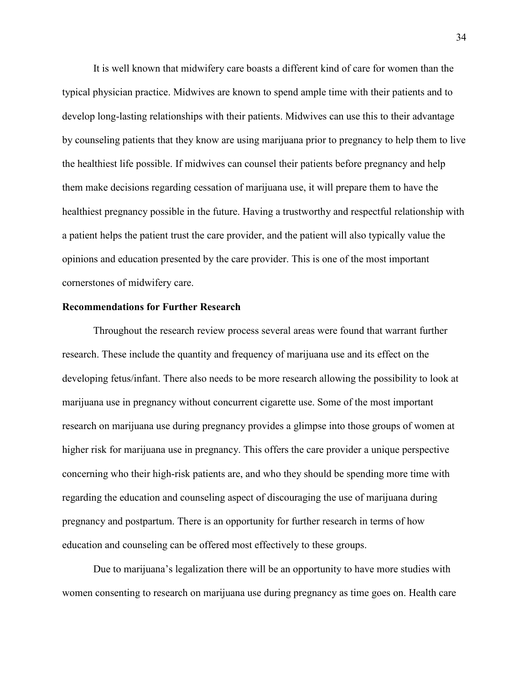It is well known that midwifery care boasts a different kind of care for women than the typical physician practice. Midwives are known to spend ample time with their patients and to develop long-lasting relationships with their patients. Midwives can use this to their advantage by counseling patients that they know are using marijuana prior to pregnancy to help them to live the healthiest life possible. If midwives can counsel their patients before pregnancy and help them make decisions regarding cessation of marijuana use, it will prepare them to have the healthiest pregnancy possible in the future. Having a trustworthy and respectful relationship with a patient helps the patient trust the care provider, and the patient will also typically value the opinions and education presented by the care provider. This is one of the most important cornerstones of midwifery care.

#### **Recommendations for Further Research**

Throughout the research review process several areas were found that warrant further research. These include the quantity and frequency of marijuana use and its effect on the developing fetus/infant. There also needs to be more research allowing the possibility to look at marijuana use in pregnancy without concurrent cigarette use. Some of the most important research on marijuana use during pregnancy provides a glimpse into those groups of women at higher risk for marijuana use in pregnancy. This offers the care provider a unique perspective concerning who their high-risk patients are, and who they should be spending more time with regarding the education and counseling aspect of discouraging the use of marijuana during pregnancy and postpartum. There is an opportunity for further research in terms of how education and counseling can be offered most effectively to these groups.

Due to marijuana's legalization there will be an opportunity to have more studies with women consenting to research on marijuana use during pregnancy as time goes on. Health care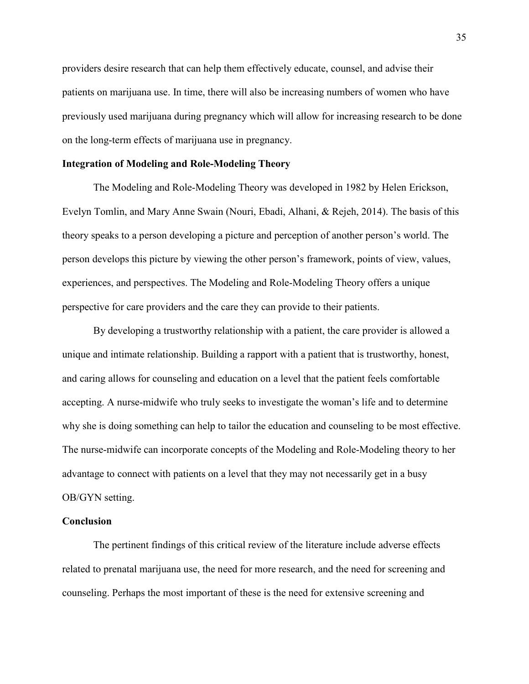providers desire research that can help them effectively educate, counsel, and advise their patients on marijuana use. In time, there will also be increasing numbers of women who have previously used marijuana during pregnancy which will allow for increasing research to be done on the long-term effects of marijuana use in pregnancy.

#### **Integration of Modeling and Role-Modeling Theory**

The Modeling and Role-Modeling Theory was developed in 1982 by Helen Erickson, Evelyn Tomlin, and Mary Anne Swain (Nouri, Ebadi, Alhani, & Rejeh, 2014). The basis of this theory speaks to a person developing a picture and perception of another person's world. The person develops this picture by viewing the other person's framework, points of view, values, experiences, and perspectives. The Modeling and Role-Modeling Theory offers a unique perspective for care providers and the care they can provide to their patients.

By developing a trustworthy relationship with a patient, the care provider is allowed a unique and intimate relationship. Building a rapport with a patient that is trustworthy, honest, and caring allows for counseling and education on a level that the patient feels comfortable accepting. A nurse-midwife who truly seeks to investigate the woman's life and to determine why she is doing something can help to tailor the education and counseling to be most effective. The nurse-midwife can incorporate concepts of the Modeling and Role-Modeling theory to her advantage to connect with patients on a level that they may not necessarily get in a busy OB/GYN setting.

#### **Conclusion**

The pertinent findings of this critical review of the literature include adverse effects related to prenatal marijuana use, the need for more research, and the need for screening and counseling. Perhaps the most important of these is the need for extensive screening and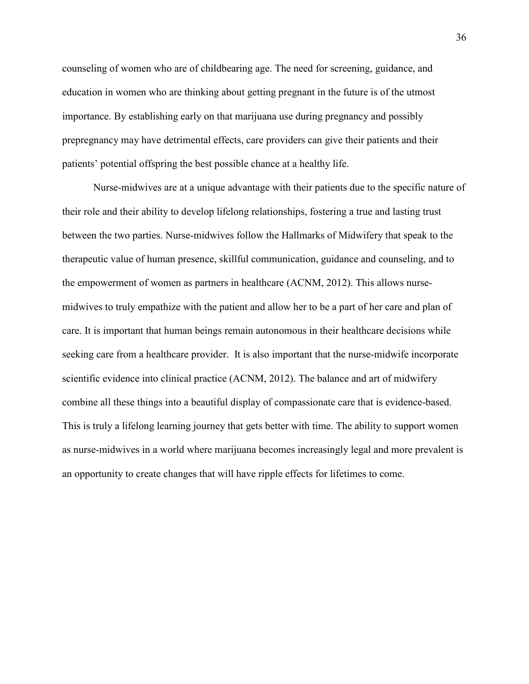counseling of women who are of childbearing age. The need for screening, guidance, and education in women who are thinking about getting pregnant in the future is of the utmost importance. By establishing early on that marijuana use during pregnancy and possibly prepregnancy may have detrimental effects, care providers can give their patients and their patients' potential offspring the best possible chance at a healthy life.

Nurse-midwives are at a unique advantage with their patients due to the specific nature of their role and their ability to develop lifelong relationships, fostering a true and lasting trust between the two parties. Nurse-midwives follow the Hallmarks of Midwifery that speak to the therapeutic value of human presence, skillful communication, guidance and counseling, and to the empowerment of women as partners in healthcare (ACNM, 2012). This allows nursemidwives to truly empathize with the patient and allow her to be a part of her care and plan of care. It is important that human beings remain autonomous in their healthcare decisions while seeking care from a healthcare provider. It is also important that the nurse-midwife incorporate scientific evidence into clinical practice (ACNM, 2012). The balance and art of midwifery combine all these things into a beautiful display of compassionate care that is evidence-based. This is truly a lifelong learning journey that gets better with time. The ability to support women as nurse-midwives in a world where marijuana becomes increasingly legal and more prevalent is an opportunity to create changes that will have ripple effects for lifetimes to come.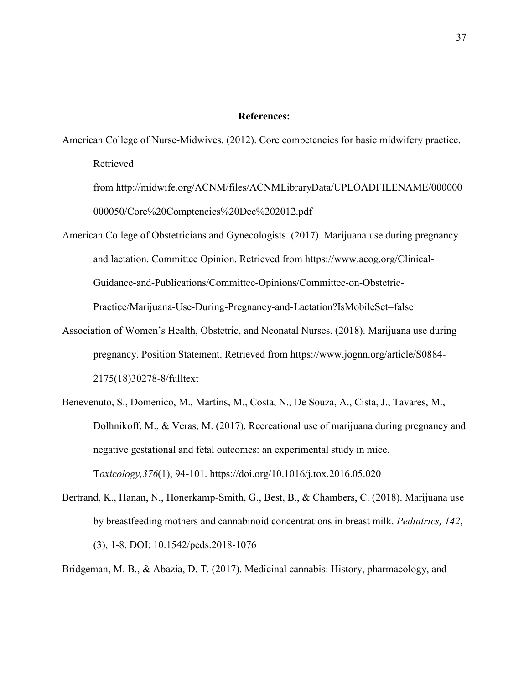#### **References:**

American College of Nurse-Midwives. (2012). Core competencies for basic midwifery practice. Retrieved

from http://midwife.org/ACNM/files/ACNMLibraryData/UPLOADFILENAME/000000 000050/Core%20Comptencies%20Dec%202012.pdf

American College of Obstetricians and Gynecologists. (2017). Marijuana use during pregnancy and lactation. Committee Opinion. Retrieved from https://www.acog.org/Clinical-Guidance-and-Publications/Committee-Opinions/Committee-on-Obstetric-

Practice/Marijuana-Use-During-Pregnancy-and-Lactation?IsMobileSet=false

- Association of Women's Health, Obstetric, and Neonatal Nurses. (2018). Marijuana use during pregnancy. Position Statement. Retrieved from https://www.jognn.org/article/S0884- 2175(18)30278-8/fulltext
- Benevenuto, S., Domenico, M., Martins, M., Costa, N., De Souza, A., Cista, J., Tavares, M., Dolhnikoff, M., & Veras, M. (2017). Recreational use of marijuana during pregnancy and negative gestational and fetal outcomes: an experimental study in mice. T*oxicology,376*(1), 94-101.<https://doi.org/10.1016/j.tox.2016.05.020>
- Bertrand, K., Hanan, N., Honerkamp-Smith, G., Best, B., & Chambers, C. (2018). Marijuana use by breastfeeding mothers and cannabinoid concentrations in breast milk. *Pediatrics, 142*, (3), 1-8. DOI: 10.1542/peds.2018-1076

Bridgeman, M. B., & Abazia, D. T. (2017). Medicinal cannabis: History, pharmacology, and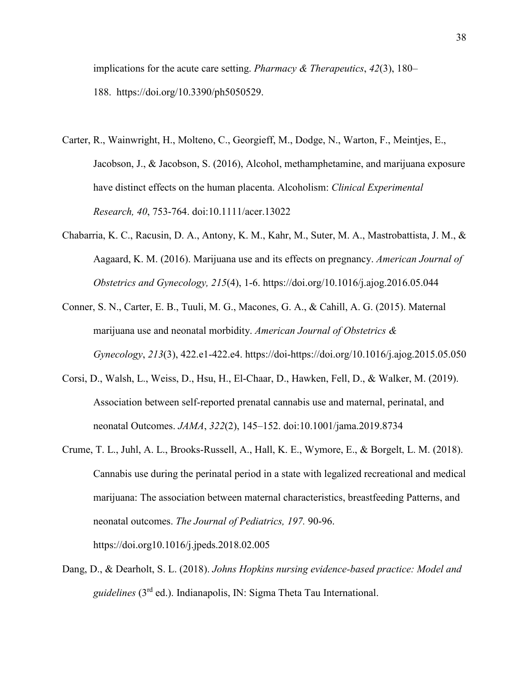implications for the acute care setting. *Pharmacy & Therapeutics*, *42*(3), 180– 188. [https://doi.org/10.3390/ph5050529.](https://doi.org/10.3390/ph5050529)

- Carter, R., Wainwright, H., Molteno, C., Georgieff, M., Dodge, N., Warton, F., Meintjes, E., Jacobson, J., & Jacobson, S. (2016), Alcohol, methamphetamine, and marijuana exposure have distinct effects on the human placenta. Alcoholism: *Clinical Experimental Research, 40*, 753-764. doi:10.1111/acer.13022
- Chabarria, K. C., Racusin, D. A., Antony, K. M., Kahr, M., Suter, M. A., Mastrobattista, J. M., & Aagaard, K. M. (2016). Marijuana use and its effects on pregnancy. *American Journal of Obstetrics and Gynecology, 215*(4), 1-6.<https://doi.org/10.1016/j.ajog.2016.05.044>
- Conner, S. N., Carter, E. B., Tuuli, M. G., Macones, G. A., & Cahill, A. G. (2015). Maternal marijuana use and neonatal morbidity. *American Journal of Obstetrics & Gynecology*, *213*(3), 422.e1-422.e4. https://doi[-https://doi.org/10.1016/j.ajog.2015.05.050](https://doi-org.ezproxy.bethel.edu/10.1016/j.ajog.2015.05.050)
- Corsi, D., Walsh, L., Weiss, D., Hsu, H., El-Chaar, D., Hawken, Fell, D., & Walker, M. (2019). Association between self-reported prenatal cannabis use and maternal, perinatal, and neonatal Outcomes. *JAMA*, *322*(2), 145–152. doi:10.1001/jama.2019.8734
- Crume, T. L., Juhl, A. L., Brooks-Russell, A., Hall, K. E., Wymore, E., & Borgelt, L. M. (2018). Cannabis use during the perinatal period in a state with legalized recreational and medical marijuana: The association between maternal characteristics, breastfeeding Patterns, and neonatal outcomes. *The Journal of Pediatrics, 197.* 90-96.

https://doi.org10.1016/j.jpeds.2018.02.005

Dang, D., & Dearholt, S. L. (2018). *Johns Hopkins nursing evidence-based practice: Model and guidelines* (3rd ed.). Indianapolis, IN: Sigma Theta Tau International.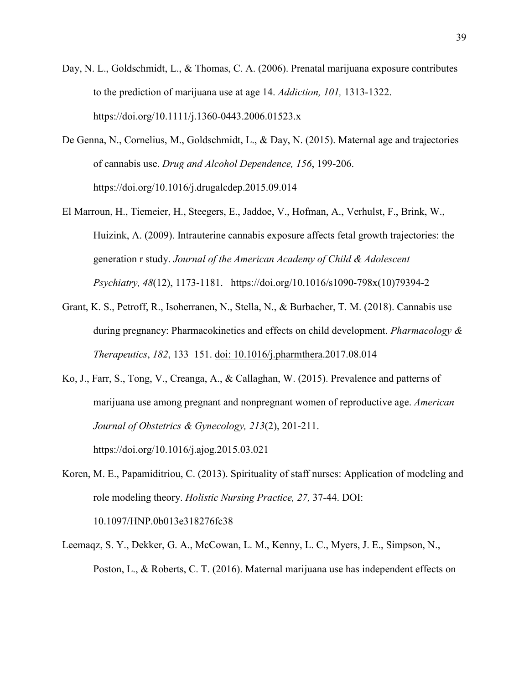- Day, N. L., Goldschmidt, L., & Thomas, C. A. (2006). Prenatal marijuana exposure contributes to the prediction of marijuana use at age 14. *Addiction, 101,* 1313-1322. https://doi.org/10.1111/j.1360-0443.2006.01523.x
- De Genna, N., Cornelius, M., Goldschmidt, L., & Day, N. (2015). Maternal age and trajectories of cannabis use. *Drug and Alcohol Dependence, 156*, 199-206. <https://doi.org/10.1016/j.drugalcdep.2015.09.014>
- El Marroun, H., Tiemeier, H., Steegers, E., Jaddoe, V., Hofman, A., Verhulst, F., Brink, W., Huizink, A. (2009). Intrauterine cannabis exposure affects fetal growth trajectories: the generation r study. *Journal of the American Academy of Child & Adolescent Psychiatry, 48*(12), 1173-1181. https://doi.org/10.1016/s1090-798x(10)79394-2
- Grant, K. S., Petroff, R., Isoherranen, N., Stella, N., & Burbacher, T. M. (2018). Cannabis use during pregnancy: Pharmacokinetics and effects on child development. *Pharmacology & Therapeutics*, *182*, 133–151. doi: 10.1016/j.pharmthera.2017.08.014
- Ko, J., Farr, S., Tong, V., Creanga, A., & Callaghan, W. (2015). Prevalence and patterns of marijuana use among pregnant and nonpregnant women of reproductive age. *American Journal of Obstetrics & Gynecology, 213*(2), 201-211. https://doi.org/10.1016/j.ajog.2015.03.021
- Koren, M. E., Papamiditriou, C. (2013). Spirituality of staff nurses: Application of modeling and role modeling theory. *Holistic Nursing Practice, 27,* 37-44. DOI: 10.1097/HNP.0b013e318276fc38
- Leemaqz, S. Y., Dekker, G. A., McCowan, L. M., Kenny, L. C., Myers, J. E., Simpson, N., Poston, L., & Roberts, C. T. (2016). Maternal marijuana use has independent effects on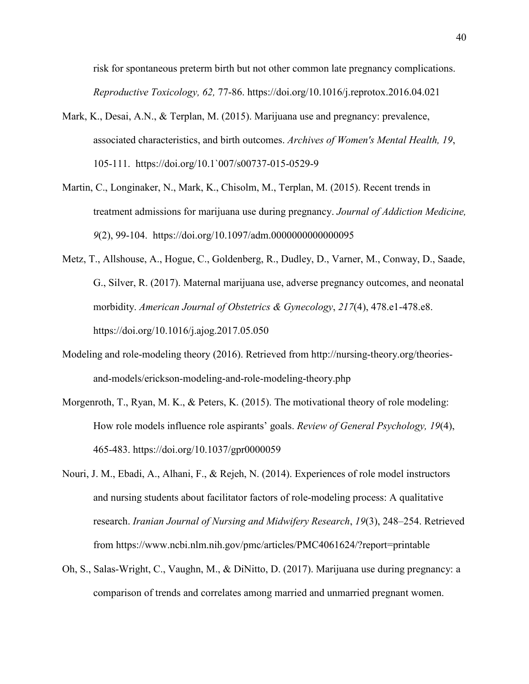risk for spontaneous preterm birth but not other common late pregnancy complications. *Reproductive Toxicology, 62,* 77-86.<https://doi.org/10.1016/j.reprotox.2016.04.021>

- Mark, K., Desai, A.N., & Terplan, M. (2015). Marijuana use and pregnancy: prevalence, associated characteristics, and birth outcomes. *Archives of Women's Mental Health, 19*, 105-111. [https://doi.org/10.1`007/s00737-015-0529-9](https://doi.org/10.1%60007/s00737-015-0529-9)
- Martin, C., Longinaker, N., Mark, K., Chisolm, M., Terplan, M. (2015). Recent trends in treatment admissions for marijuana use during pregnancy. *Journal of Addiction Medicine, 9*(2), 99-104. <https://doi.org/10.1097/adm.0000000000000095>
- Metz, T., Allshouse, A., Hogue, C., Goldenberg, R., Dudley, D., Varner, M., Conway, D., Saade, G., Silver, R. (2017). Maternal marijuana use, adverse pregnancy outcomes, and neonatal morbidity. *American Journal of Obstetrics & Gynecology*, *217*(4), 478.e1-478.e8. https://doi.org/10.1016/j.ajog.2017.05.050
- Modeling and role-modeling theory (2016). Retrieved from http://nursing-theory.org/theoriesand-models/erickson-modeling-and-role-modeling-theory.php
- Morgenroth, T., Ryan, M. K., & Peters, K. (2015). The motivational theory of role modeling: How role models influence role aspirants' goals. *Review of General Psychology, 19*(4), 465-483. https://doi.org[/10.1037/gpr0000059](https://doi-org.ezproxy.bethel.edu/10.1037/gpr0000059)
- Nouri, J. M., Ebadi, A., Alhani, F., & Rejeh, N. (2014). Experiences of role model instructors and nursing students about facilitator factors of role-modeling process: A qualitative research. *Iranian Journal of Nursing and Midwifery Research*, *19*(3), 248–254. Retrieved from<https://www.ncbi.nlm.nih.gov/pmc/articles/PMC4061624/?report=printable>
- Oh, S., Salas-Wright, C., Vaughn, M., & DiNitto, D. (2017). Marijuana use during pregnancy: a comparison of trends and correlates among married and unmarried pregnant women.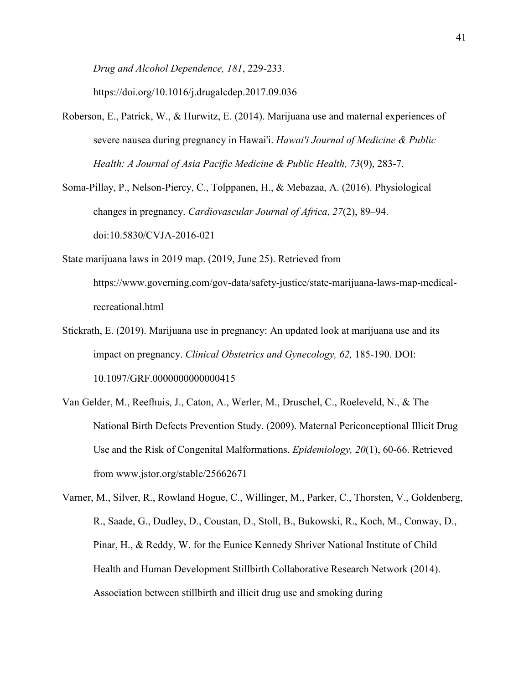*Drug and Alcohol Dependence, 181*, 229-233.

https://doi.org/10.1016/j.drugalcdep.2017.09.036

Roberson, E., Patrick, W., & Hurwitz, E. (2014). Marijuana use and maternal experiences of severe nausea during pregnancy in Hawai'i. *Hawai'i Journal of Medicine & Public Health: A Journal of Asia Pacific Medicine & Public Health, 73*(9), 283-7.

Soma-Pillay, P., Nelson-Piercy, C., Tolppanen, H., & Mebazaa, A. (2016). Physiological changes in pregnancy. *Cardiovascular Journal of Africa*, *27*(2), 89–94. doi:10.5830/CVJA-2016-021

State marijuana laws in 2019 map. (2019, June 25). Retrieved from https://www.governing.com/gov-data/safety-justice/state-marijuana-laws-map-medicalrecreational.html

- Stickrath, E. (2019). Marijuana use in pregnancy: An updated look at marijuana use and its impact on pregnancy. *Clinical Obstetrics and Gynecology, 62,* 185-190. DOI: 10.1097/GRF.0000000000000415
- Van Gelder, M., Reefhuis, J., Caton, A., Werler, M., Druschel, C., Roeleveld, N., & The National Birth Defects Prevention Study. (2009). Maternal Periconceptional Illicit Drug Use and the Risk of Congenital Malformations. *Epidemiology, 20*(1), 60-66. Retrieved from [www.jstor.org/stable/25662671](http://www.jstor.org/stable/25662671)

Varner, M., Silver, R., Rowland Hogue, C., Willinger, M., Parker, C., Thorsten, V., Goldenberg, R., Saade, G., Dudley, D., Coustan, D., Stoll, B., Bukowski, R., Koch, M., Conway, D., Pinar, H., & Reddy, W. for the Eunice Kennedy Shriver National Institute of Child Health and Human Development Stillbirth Collaborative Research Network (2014). Association between stillbirth and illicit drug use and smoking during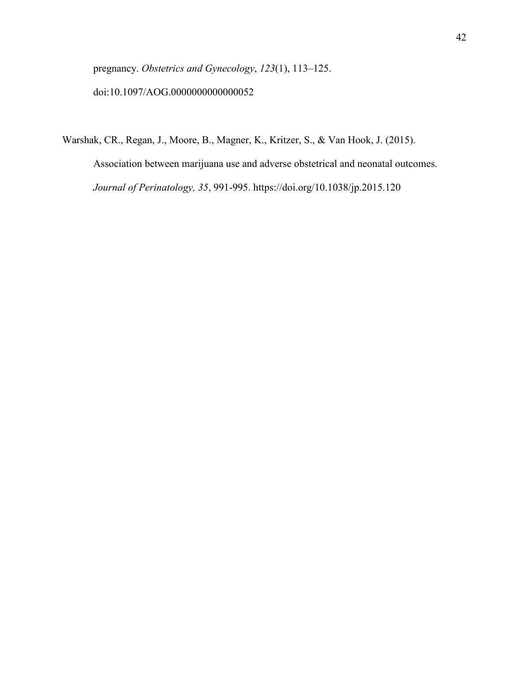pregnancy. *Obstetrics and Gynecology*, *123*(1), 113–125. doi:10.1097/AOG.0000000000000052

Warshak, CR., Regan, J., Moore, B., Magner, K., Kritzer, S., & Van Hook, J. (2015).

Association between marijuana use and adverse obstetrical and neonatal outcomes. *Journal of Perinatology, 35*, 991-995. https://doi.org/10.1038/jp.2015.120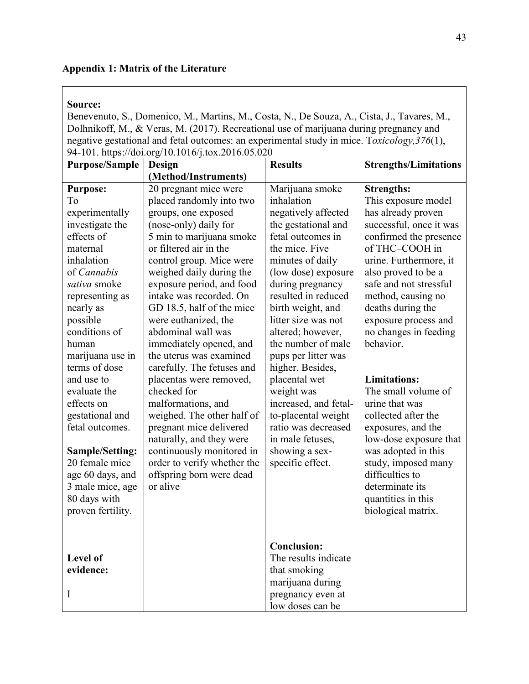## **Appendix 1: Matrix of the Literature**

## **Source:**

Benevenuto, S., Domenico, M., Martins, M., Costa, N., De Souza, A., Cista, J., Tavares, M., Dolhnikoff, M., & Veras, M. (2017). Recreational use of marijuana during pregnancy and negative gestational and fetal outcomes: an experimental study in mice. T*oxicology,376*(1), 94-101. https://doi.org/10.1016/j.tox.2016.05.020

| <b>Purpose/Sample</b>  | Design                      | <b>Results</b>        | <b>Strengths/Limitations</b> |
|------------------------|-----------------------------|-----------------------|------------------------------|
|                        | (Method/Instruments)        |                       |                              |
| <b>Purpose:</b>        | 20 pregnant mice were       | Marijuana smoke       | <b>Strengths:</b>            |
| To                     | placed randomly into two    | inhalation            | This exposure model          |
| experimentally         | groups, one exposed         | negatively affected   | has already proven           |
| investigate the        | (nose-only) daily for       | the gestational and   | successful, once it was      |
| effects of             | 5 min to marijuana smoke    | fetal outcomes in     | confirmed the presence       |
| maternal               | or filtered air in the      | the mice. Five        | of THC-COOH in               |
| inhalation             | control group. Mice were    | minutes of daily      | urine. Furthermore, it       |
| of Cannabis            | weighed daily during the    | (low dose) exposure   | also proved to be a          |
| sativa smoke           | exposure period, and food   | during pregnancy      | safe and not stressful       |
| representing as        | intake was recorded. On     | resulted in reduced   | method, causing no           |
| nearly as              | GD 18.5, half of the mice   | birth weight, and     | deaths during the            |
| possible               | were euthanized, the        | litter size was not   | exposure process and         |
| conditions of          | abdominal wall was          | altered; however,     | no changes in feeding        |
| human                  | immediately opened, and     | the number of male    | behavior.                    |
| marijuana use in       | the uterus was examined     | pups per litter was   |                              |
| terms of dose          | carefully. The fetuses and  | higher. Besides,      |                              |
| and use to             | placentas were removed,     | placental wet         | <b>Limitations:</b>          |
| evaluate the           | checked for                 | weight was            | The small volume of          |
| effects on             | malformations, and          | increased, and fetal- | urine that was               |
| gestational and        | weighed. The other half of  | to-placental weight   | collected after the          |
| fetal outcomes.        | pregnant mice delivered     | ratio was decreased   | exposures, and the           |
|                        | naturally, and they were    | in male fetuses,      | low-dose exposure that       |
| <b>Sample/Setting:</b> | continuously monitored in   | showing a sex-        | was adopted in this          |
| 20 female mice         | order to verify whether the | specific effect.      | study, imposed many          |
| age 60 days, and       | offspring born were dead    |                       | difficulties to              |
| 3 male mice, age       | or alive                    |                       | determinate its              |
| 80 days with           |                             |                       | quantities in this           |
| proven fertility.      |                             |                       | biological matrix.           |
|                        |                             |                       |                              |
|                        |                             |                       |                              |
|                        |                             | <b>Conclusion:</b>    |                              |
| <b>Level of</b>        |                             | The results indicate  |                              |
| evidence:              |                             | that smoking          |                              |
|                        |                             | marijuana during      |                              |
| I                      |                             | pregnancy even at     |                              |
|                        |                             | low doses can be      |                              |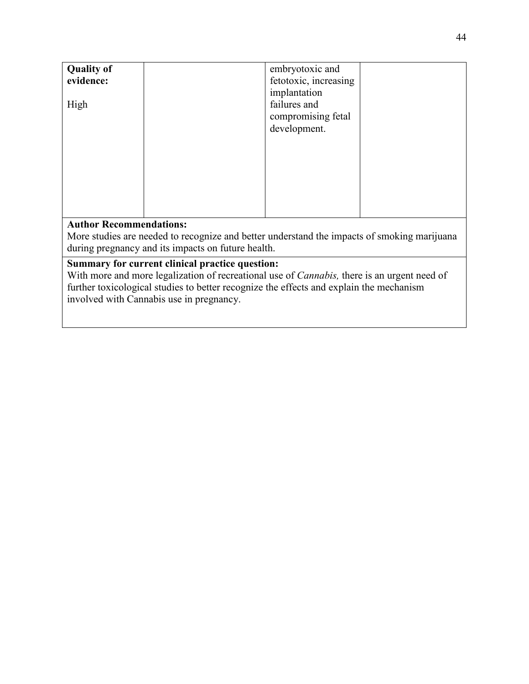| <b>Quality of</b><br>evidence: | embryotoxic and<br>fetotoxic, increasing<br>implantation |  |
|--------------------------------|----------------------------------------------------------|--|
| High                           | failures and<br>compromising fetal<br>development.       |  |

More studies are needed to recognize and better understand the impacts of smoking marijuana during pregnancy and its impacts on future health.

## **Summary for current clinical practice question:**

With more and more legalization of recreational use of *Cannabis,* there is an urgent need of further toxicological studies to better recognize the effects and explain the mechanism involved with Cannabis use in pregnancy.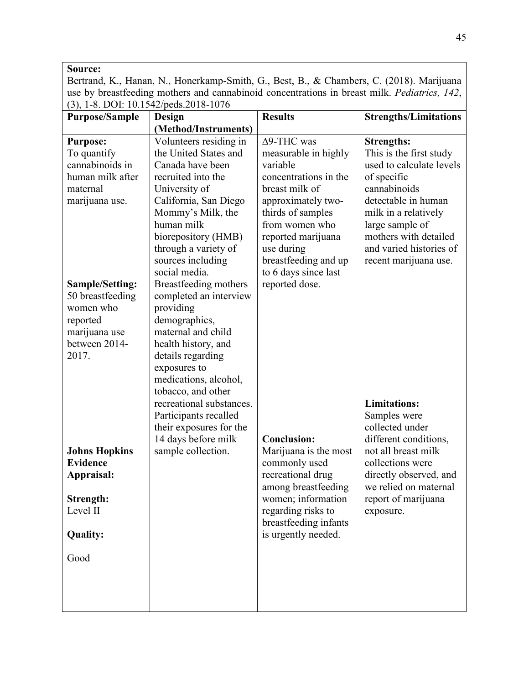## **Source:**

Bertrand, K., Hanan, N., Honerkamp-Smith, G., Best, B., & Chambers, C. (2018). Marijuana use by breastfeeding mothers and cannabinoid concentrations in breast milk. *Pediatrics, 142*, (3), 1-8. DOI: 10.1542/peds.2018-1076

| <b>Purpose/Sample</b>         | Design                     | <b>Results</b>        | <b>Strengths/Limitations</b> |
|-------------------------------|----------------------------|-----------------------|------------------------------|
|                               | (Method/Instruments)       |                       |                              |
| <b>Purpose:</b>               | Volunteers residing in     | $\Delta$ 9-THC was    | <b>Strengths:</b>            |
| To quantify                   | the United States and      | measurable in highly  | This is the first study      |
| cannabinoids in               | Canada have been           | variable              | used to calculate levels     |
| human milk after              | recruited into the         | concentrations in the | of specific                  |
| maternal                      | University of              | breast milk of        | cannabinoids                 |
| marijuana use.                | California, San Diego      | approximately two-    | detectable in human          |
|                               | Mommy's Milk, the          | thirds of samples     | milk in a relatively         |
|                               | human milk                 | from women who        | large sample of              |
|                               | biorepository (HMB)        | reported marijuana    | mothers with detailed        |
|                               | through a variety of       | use during            | and varied histories of      |
|                               | sources including          | breastfeeding and up  | recent marijuana use.        |
|                               | social media.              | to 6 days since last  |                              |
| <b>Sample/Setting:</b>        | Breastfeeding mothers      | reported dose.        |                              |
| 50 breastfeeding<br>women who | completed an interview     |                       |                              |
| reported                      | providing<br>demographics, |                       |                              |
| marijuana use                 | maternal and child         |                       |                              |
| between 2014-                 | health history, and        |                       |                              |
| 2017.                         | details regarding          |                       |                              |
|                               | exposures to               |                       |                              |
|                               | medications, alcohol,      |                       |                              |
|                               | tobacco, and other         |                       |                              |
|                               | recreational substances.   |                       | <b>Limitations:</b>          |
|                               | Participants recalled      |                       | Samples were                 |
|                               | their exposures for the    |                       | collected under              |
|                               | 14 days before milk        | <b>Conclusion:</b>    | different conditions,        |
| <b>Johns Hopkins</b>          | sample collection.         | Marijuana is the most | not all breast milk          |
| <b>Evidence</b>               |                            | commonly used         | collections were             |
| Appraisal:                    |                            | recreational drug     | directly observed, and       |
|                               |                            | among breastfeeding   | we relied on maternal        |
| Strength:                     |                            | women; information    | report of marijuana          |
| Level II                      |                            | regarding risks to    | exposure.                    |
|                               |                            | breastfeeding infants |                              |
| <b>Quality:</b>               |                            | is urgently needed.   |                              |
| Good                          |                            |                       |                              |
|                               |                            |                       |                              |
|                               |                            |                       |                              |
|                               |                            |                       |                              |
|                               |                            |                       |                              |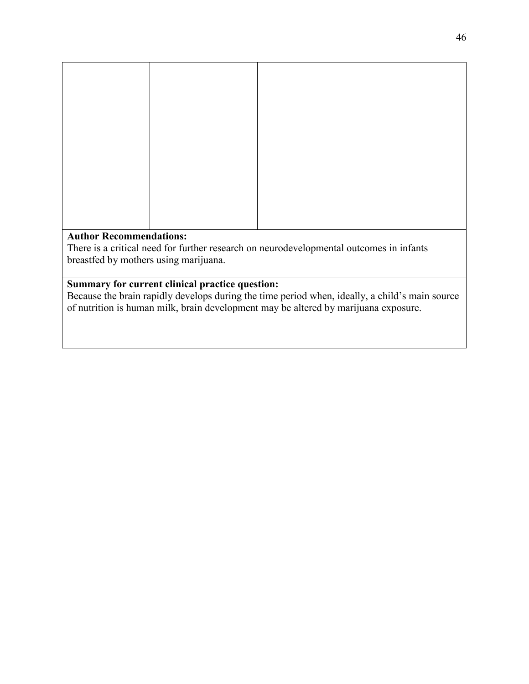There is a critical need for further research on neurodevelopmental outcomes in infants breastfed by mothers using marijuana.

# **Summary for current clinical practice question:**

Because the brain rapidly develops during the time period when, ideally, a child's main source of nutrition is human milk, brain development may be altered by marijuana exposure.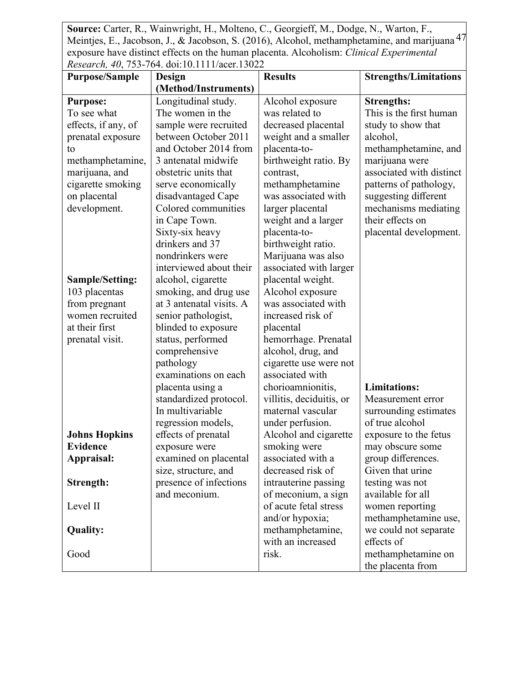Meintjes, E., Jacobson, J., & Jacobson, S. (2016), Alcohol, methamphetamine, and marijuana <sup>47</sup> **Source:** Carter, R., Wainwright, H., Molteno, C., Georgieff, M., Dodge, N., Warton, F., exposure have distinct effects on the human placenta. Alcoholism: *Clinical Experimental Research, 40*, 753-764. doi:10.1111/acer.13022

| <b>Purpose/Sample</b>  | Acseurch, 70, 199-104. GOI.10.11111/acci.19022<br>Design | <b>Results</b>           | <b>Strengths/Limitations</b>                 |
|------------------------|----------------------------------------------------------|--------------------------|----------------------------------------------|
|                        | (Method/Instruments)                                     |                          |                                              |
| <b>Purpose:</b>        | Longitudinal study.                                      | Alcohol exposure         | <b>Strengths:</b>                            |
| To see what            | The women in the                                         | was related to           | This is the first human                      |
| effects, if any, of    | sample were recruited                                    | decreased placental      | study to show that                           |
| prenatal exposure      | between October 2011                                     | weight and a smaller     | alcohol,                                     |
| to                     | and October 2014 from                                    | placenta-to-             | methamphetamine, and                         |
| methamphetamine,       | 3 antenatal midwife                                      | birthweight ratio. By    | marijuana were                               |
| marijuana, and         | obstetric units that                                     | contrast,                | associated with distinct                     |
| cigarette smoking      | serve economically                                       | methamphetamine          | patterns of pathology,                       |
| on placental           | disadvantaged Cape                                       | was associated with      |                                              |
|                        | Colored communities                                      |                          | suggesting different<br>mechanisms mediating |
| development.           |                                                          | larger placental         | their effects on                             |
|                        | in Cape Town.                                            | weight and a larger      |                                              |
|                        | Sixty-six heavy                                          | placenta-to-             | placental development.                       |
|                        | drinkers and 37                                          | birthweight ratio.       |                                              |
|                        | nondrinkers were                                         | Marijuana was also       |                                              |
|                        | interviewed about their                                  | associated with larger   |                                              |
| <b>Sample/Setting:</b> | alcohol, cigarette                                       | placental weight.        |                                              |
| 103 placentas          | smoking, and drug use                                    | Alcohol exposure         |                                              |
| from pregnant          | at 3 antenatal visits. A                                 | was associated with      |                                              |
| women recruited        | senior pathologist,                                      | increased risk of        |                                              |
| at their first         | blinded to exposure                                      | placental                |                                              |
| prenatal visit.        | status, performed                                        | hemorrhage. Prenatal     |                                              |
|                        | comprehensive                                            | alcohol, drug, and       |                                              |
|                        | pathology                                                | cigarette use were not   |                                              |
|                        | examinations on each                                     | associated with          |                                              |
|                        | placenta using a                                         | chorioamnionitis,        | <b>Limitations:</b>                          |
|                        | standardized protocol.                                   | villitis, deciduitis, or | Measurement error                            |
|                        | In multivariable                                         | maternal vascular        | surrounding estimates                        |
|                        | regression models,                                       | under perfusion.         | of true alcohol                              |
| <b>Johns Hopkins</b>   | effects of prenatal                                      | Alcohol and cigarette    | exposure to the fetus                        |
| <b>Evidence</b>        | exposure were                                            | smoking were             | may obscure some                             |
| Appraisal:             | examined on placental                                    | associated with a        | group differences.                           |
|                        | size, structure, and                                     | decreased risk of        | Given that urine                             |
| Strength:              | presence of infections                                   | intrauterine passing     | testing was not                              |
|                        | and meconium.                                            | of meconium, a sign      | available for all                            |
| Level II               |                                                          | of acute fetal stress    | women reporting                              |
|                        |                                                          | and/or hypoxia;          | methamphetamine use,                         |
| <b>Quality:</b>        |                                                          | methamphetamine,         | we could not separate                        |
|                        |                                                          | with an increased        | effects of                                   |
| Good                   |                                                          | risk.                    | methamphetamine on                           |
|                        |                                                          |                          | the placenta from                            |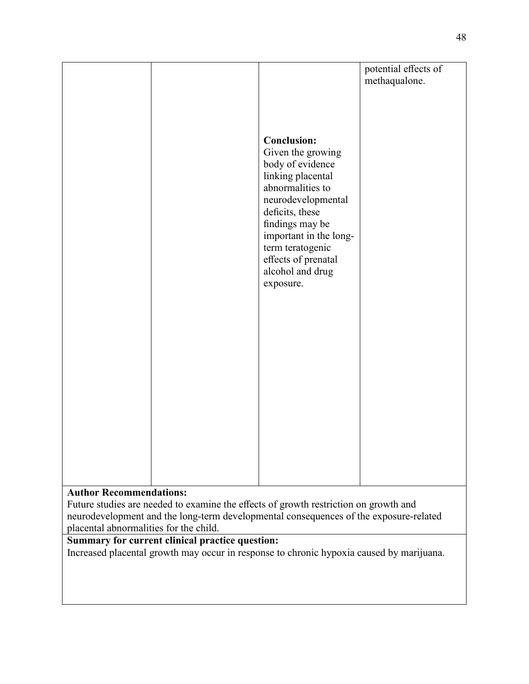|                                |                        | potential effects of |
|--------------------------------|------------------------|----------------------|
|                                |                        | methaqualone.        |
|                                |                        |                      |
|                                |                        |                      |
|                                |                        |                      |
|                                |                        |                      |
|                                | <b>Conclusion:</b>     |                      |
|                                | Given the growing      |                      |
|                                | body of evidence       |                      |
|                                | linking placental      |                      |
|                                | abnormalities to       |                      |
|                                | neurodevelopmental     |                      |
|                                |                        |                      |
|                                | deficits, these        |                      |
|                                | findings may be        |                      |
|                                | important in the long- |                      |
|                                | term teratogenic       |                      |
|                                | effects of prenatal    |                      |
|                                | alcohol and drug       |                      |
|                                | exposure.              |                      |
|                                |                        |                      |
|                                |                        |                      |
|                                |                        |                      |
|                                |                        |                      |
|                                |                        |                      |
|                                |                        |                      |
|                                |                        |                      |
|                                |                        |                      |
|                                |                        |                      |
|                                |                        |                      |
|                                |                        |                      |
|                                |                        |                      |
|                                |                        |                      |
|                                |                        |                      |
|                                |                        |                      |
|                                |                        |                      |
|                                |                        |                      |
| <b>Author Recommendations:</b> |                        |                      |
|                                |                        |                      |

Future studies are needed to examine the effects of growth restriction on growth and neurodevelopment and the long-term developmental consequences of the exposure-related placental abnormalities for the child.

# **Summary for current clinical practice question:**

Increased placental growth may occur in response to chronic hypoxia caused by marijuana.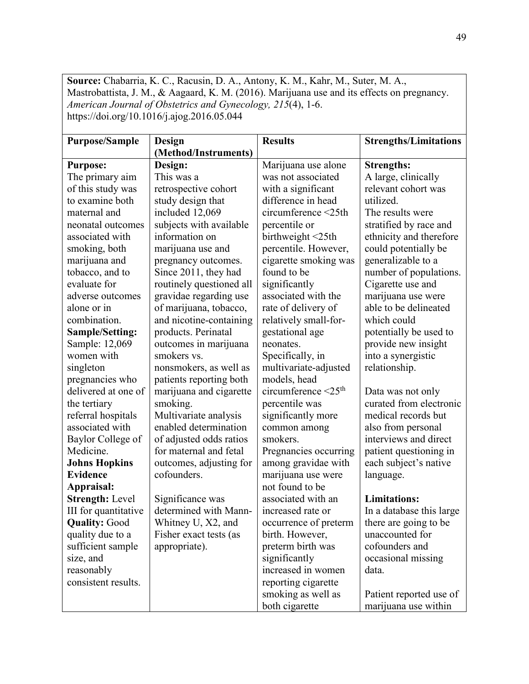**Source:** Chabarria, K. C., Racusin, D. A., Antony, K. M., Kahr, M., Suter, M. A., Mastrobattista, J. M., & Aagaard, K. M. (2016). Marijuana use and its effects on pregnancy. *American Journal of Obstetrics and Gynecology, 215*(4), 1-6. https://doi.org/10.1016/j.ajog.2016.05.044

| <b>Purpose/Sample</b>  | Design<br>(Method/Instruments) | <b>Results</b>                      | <b>Strengths/Limitations</b> |
|------------------------|--------------------------------|-------------------------------------|------------------------------|
|                        |                                |                                     |                              |
| <b>Purpose:</b>        | Design:                        | Marijuana use alone                 | <b>Strengths:</b>            |
| The primary aim        | This was a                     | was not associated                  | A large, clinically          |
| of this study was      | retrospective cohort           | with a significant                  | relevant cohort was          |
| to examine both        | study design that              | difference in head                  | utilized.                    |
| maternal and           | included 12,069                | circumference <25th                 | The results were             |
| neonatal outcomes      | subjects with available        | percentile or                       | stratified by race and       |
| associated with        | information on                 | birthweight <25th                   | ethnicity and therefore      |
| smoking, both          | marijuana use and              | percentile. However,                | could potentially be         |
| marijuana and          | pregnancy outcomes.            | cigarette smoking was               | generalizable to a           |
| tobacco, and to        | Since 2011, they had           | found to be                         | number of populations.       |
| evaluate for           | routinely questioned all       | significantly                       | Cigarette use and            |
| adverse outcomes       | gravidae regarding use         | associated with the                 | marijuana use were           |
| alone or in            | of marijuana, tobacco,         | rate of delivery of                 | able to be delineated        |
| combination.           | and nicotine-containing        | relatively small-for-               | which could                  |
| <b>Sample/Setting:</b> | products. Perinatal            | gestational age                     | potentially be used to       |
| Sample: 12,069         | outcomes in marijuana          | neonates.                           | provide new insight          |
| women with             | smokers vs.                    | Specifically, in                    | into a synergistic           |
| singleton              | nonsmokers, as well as         | multivariate-adjusted               | relationship.                |
| pregnancies who        | patients reporting both        | models, head                        |                              |
| delivered at one of    | marijuana and cigarette        | circumference $\leq 25^{\text{th}}$ | Data was not only            |
| the tertiary           | smoking.                       | percentile was                      | curated from electronic      |
| referral hospitals     | Multivariate analysis          | significantly more                  | medical records but          |
| associated with        | enabled determination          | common among                        | also from personal           |
| Baylor College of      | of adjusted odds ratios        | smokers.                            | interviews and direct        |
| Medicine.              | for maternal and fetal         | Pregnancies occurring               | patient questioning in       |
| <b>Johns Hopkins</b>   | outcomes, adjusting for        | among gravidae with                 | each subject's native        |
| <b>Evidence</b>        | cofounders.                    | marijuana use were                  | language.                    |
| Appraisal:             |                                | not found to be                     |                              |
| <b>Strength: Level</b> | Significance was               | associated with an                  | <b>Limitations:</b>          |
| III for quantitative   | determined with Mann-          | increased rate or                   | In a database this large     |
| <b>Quality: Good</b>   | Whitney U, X2, and             | occurrence of preterm               | there are going to be        |
| quality due to a       | Fisher exact tests (as         | birth. However,                     | unaccounted for              |
| sufficient sample      | appropriate).                  | preterm birth was                   | cofounders and               |
| size, and              |                                | significantly                       | occasional missing           |
| reasonably             |                                | increased in women                  | data.                        |
| consistent results.    |                                | reporting cigarette                 |                              |
|                        |                                | smoking as well as                  | Patient reported use of      |
|                        |                                | both cigarette                      | marijuana use within         |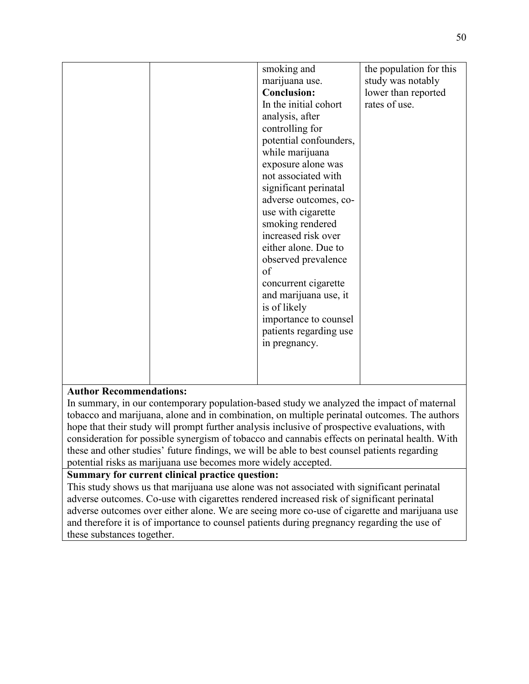| smoking and<br>the population for this<br>marijuana use.<br>study was notably<br><b>Conclusion:</b><br>lower than reported |  |
|----------------------------------------------------------------------------------------------------------------------------|--|
|                                                                                                                            |  |
|                                                                                                                            |  |
| In the initial cohort<br>rates of use.                                                                                     |  |
| analysis, after                                                                                                            |  |
| controlling for                                                                                                            |  |
| potential confounders,                                                                                                     |  |
| while marijuana                                                                                                            |  |
| exposure alone was                                                                                                         |  |
| not associated with                                                                                                        |  |
| significant perinatal                                                                                                      |  |
| adverse outcomes, co-                                                                                                      |  |
| use with cigarette                                                                                                         |  |
| smoking rendered                                                                                                           |  |
| increased risk over                                                                                                        |  |
| either alone. Due to                                                                                                       |  |
| observed prevalence                                                                                                        |  |
| of                                                                                                                         |  |
| concurrent cigarette                                                                                                       |  |
| and marijuana use, it                                                                                                      |  |
| is of likely                                                                                                               |  |
| importance to counsel                                                                                                      |  |
| patients regarding use                                                                                                     |  |
| in pregnancy.                                                                                                              |  |
|                                                                                                                            |  |
|                                                                                                                            |  |
|                                                                                                                            |  |

In summary, in our contemporary population-based study we analyzed the impact of maternal tobacco and marijuana, alone and in combination, on multiple perinatal outcomes. The authors hope that their study will prompt further analysis inclusive of prospective evaluations, with consideration for possible synergism of tobacco and cannabis effects on perinatal health. With these and other studies' future findings, we will be able to best counsel patients regarding potential risks as marijuana use becomes more widely accepted.

# **Summary for current clinical practice question:**

This study shows us that marijuana use alone was not associated with significant perinatal adverse outcomes. Co-use with cigarettes rendered increased risk of significant perinatal adverse outcomes over either alone. We are seeing more co-use of cigarette and marijuana use and therefore it is of importance to counsel patients during pregnancy regarding the use of these substances together.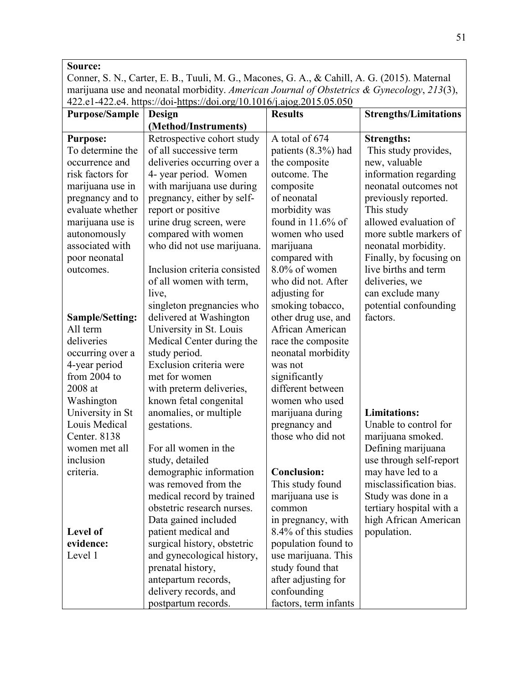# **Source:**

Conner, S. N., Carter, E. B., Tuuli, M. G., Macones, G. A., & Cahill, A. G. (2015). Maternal marijuana use and neonatal morbidity. *American Journal of Obstetrics & Gynecology*, *213*(3), 422.e1-422.e4. https://doi[-https://doi.org/10.1016/j.ajog.2015.05.050](https://doi-org.ezproxy.bethel.edu/10.1016/j.ajog.2015.05.050)

| <b>Purpose/Sample</b>  | Design                       | <b>Results</b>        | <b>Strengths/Limitations</b> |
|------------------------|------------------------------|-----------------------|------------------------------|
|                        | (Method/Instruments)         |                       |                              |
| <b>Purpose:</b>        | Retrospective cohort study   | A total of 674        | <b>Strengths:</b>            |
| To determine the       | of all successive term       | patients (8.3%) had   | This study provides,         |
| occurrence and         | deliveries occurring over a  | the composite         | new, valuable                |
| risk factors for       | 4- year period. Women        | outcome. The          | information regarding        |
| marijuana use in       | with marijuana use during    | composite             | neonatal outcomes not        |
| pregnancy and to       | pregnancy, either by self-   | of neonatal           | previously reported.         |
| evaluate whether       | report or positive           | morbidity was         | This study                   |
| marijuana use is       | urine drug screen, were      | found in $11.6\%$ of  | allowed evaluation of        |
| autonomously           | compared with women          | women who used        | more subtle markers of       |
| associated with        | who did not use marijuana.   | marijuana             | neonatal morbidity.          |
| poor neonatal          |                              | compared with         | Finally, by focusing on      |
| outcomes.              | Inclusion criteria consisted | 8.0% of women         | live births and term         |
|                        | of all women with term,      | who did not. After    | deliveries, we               |
|                        | live,                        | adjusting for         | can exclude many             |
|                        | singleton pregnancies who    | smoking tobacco,      | potential confounding        |
| <b>Sample/Setting:</b> | delivered at Washington      | other drug use, and   | factors.                     |
| All term               | University in St. Louis      | African American      |                              |
| deliveries             | Medical Center during the    | race the composite    |                              |
| occurring over a       | study period.                | neonatal morbidity    |                              |
| 4-year period          | Exclusion criteria were      | was not               |                              |
| from 2004 to           | met for women                | significantly         |                              |
| 2008 at                | with preterm deliveries,     | different between     |                              |
| Washington             | known fetal congenital       | women who used        |                              |
| University in St       | anomalies, or multiple       | marijuana during      | <b>Limitations:</b>          |
| Louis Medical          | gestations.                  | pregnancy and         | Unable to control for        |
| Center. 8138           |                              | those who did not     | marijuana smoked.            |
| women met all          | For all women in the         |                       | Defining marijuana           |
| inclusion              | study, detailed              |                       | use through self-report      |
| criteria.              | demographic information      | <b>Conclusion:</b>    | may have led to a            |
|                        | was removed from the         | This study found      | misclassification bias.      |
|                        | medical record by trained    | marijuana use is      | Study was done in a          |
|                        | obstetric research nurses.   | common                | tertiary hospital with a     |
|                        | Data gained included         | in pregnancy, with    | high African American        |
| <b>Level of</b>        | patient medical and          | 8.4% of this studies  | population.                  |
| evidence:              | surgical history, obstetric  | population found to   |                              |
| Level 1                | and gynecological history,   | use marijuana. This   |                              |
|                        | prenatal history,            | study found that      |                              |
|                        | antepartum records,          | after adjusting for   |                              |
|                        | delivery records, and        | confounding           |                              |
|                        | postpartum records.          | factors, term infants |                              |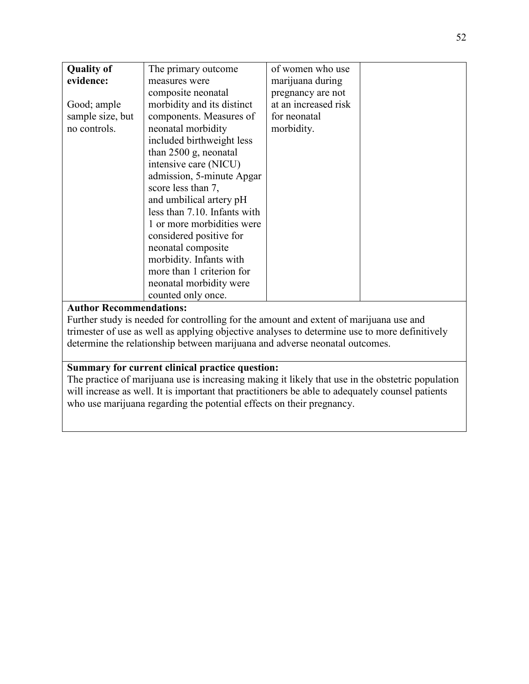| <b>Quality of</b> | The primary outcome          | of women who use     |  |
|-------------------|------------------------------|----------------------|--|
| evidence:         | measures were                | marijuana during     |  |
|                   | composite neonatal           | pregnancy are not    |  |
| Good; ample       | morbidity and its distinct   | at an increased risk |  |
| sample size, but  | components. Measures of      | for neonatal         |  |
| no controls.      | neonatal morbidity           | morbidity.           |  |
|                   | included birthweight less    |                      |  |
|                   | than $2500$ g, neonatal      |                      |  |
|                   | intensive care (NICU)        |                      |  |
|                   | admission, 5-minute Apgar    |                      |  |
|                   | score less than 7,           |                      |  |
|                   | and umbilical artery pH      |                      |  |
|                   | less than 7.10. Infants with |                      |  |
|                   | 1 or more morbidities were   |                      |  |
|                   | considered positive for      |                      |  |
|                   | neonatal composite           |                      |  |
|                   | morbidity. Infants with      |                      |  |
|                   | more than 1 criterion for    |                      |  |
|                   | neonatal morbidity were      |                      |  |
|                   | counted only once.           |                      |  |
|                   |                              |                      |  |

Further study is needed for controlling for the amount and extent of marijuana use and trimester of use as well as applying objective analyses to determine use to more definitively determine the relationship between marijuana and adverse neonatal outcomes.

## **Summary for current clinical practice question:**

The practice of marijuana use is increasing making it likely that use in the obstetric population will increase as well. It is important that practitioners be able to adequately counsel patients who use marijuana regarding the potential effects on their pregnancy.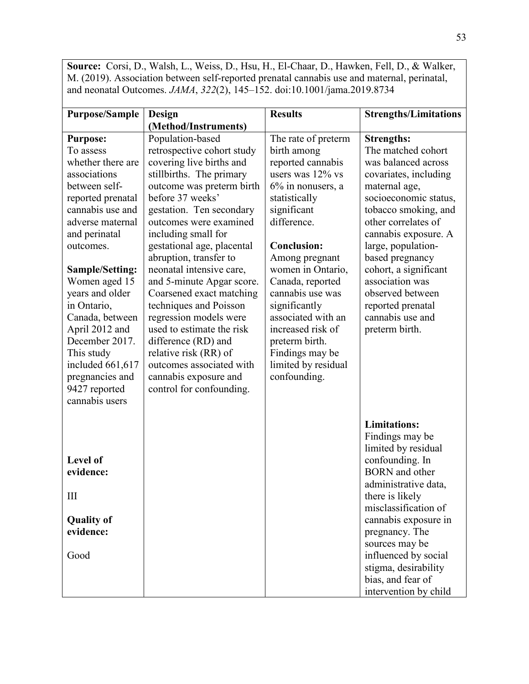**Source:** Corsi, D., Walsh, L., Weiss, D., Hsu, H., El-Chaar, D., Hawken, Fell, D., & Walker, M. (2019). Association between self-reported prenatal cannabis use and maternal, perinatal, and neonatal Outcomes. *JAMA*, *322*(2), 145–152. doi:10.1001/jama.2019.8734

| <b>Purpose/Sample</b>          | Design                     | <b>Results</b>      | <b>Strengths/Limitations</b> |
|--------------------------------|----------------------------|---------------------|------------------------------|
|                                | (Method/Instruments)       |                     |                              |
| <b>Purpose:</b>                | Population-based           | The rate of preterm | <b>Strengths:</b>            |
| To assess                      | retrospective cohort study | birth among         | The matched cohort           |
| whether there are              | covering live births and   | reported cannabis   | was balanced across          |
| associations                   | stillbirths. The primary   | users was $12\%$ vs | covariates, including        |
| between self-                  | outcome was preterm birth  | 6% in nonusers, a   | maternal age,                |
| reported prenatal              | before 37 weeks'           | statistically       | socioeconomic status,        |
| cannabis use and               | gestation. Ten secondary   | significant         | tobacco smoking, and         |
| adverse maternal               | outcomes were examined     | difference.         | other correlates of          |
| and perinatal                  | including small for        |                     | cannabis exposure. A         |
| outcomes.                      | gestational age, placental | <b>Conclusion:</b>  | large, population-           |
|                                | abruption, transfer to     | Among pregnant      | based pregnancy              |
| <b>Sample/Setting:</b>         | neonatal intensive care,   | women in Ontario,   | cohort, a significant        |
| Women aged 15                  | and 5-minute Apgar score.  | Canada, reported    | association was              |
| years and older                | Coarsened exact matching   | cannabis use was    | observed between             |
| in Ontario,                    | techniques and Poisson     | significantly       | reported prenatal            |
| Canada, between                | regression models were     | associated with an  | cannabis use and             |
| April 2012 and                 | used to estimate the risk  | increased risk of   | preterm birth.               |
| December 2017.                 | difference (RD) and        | preterm birth.      |                              |
| This study                     | relative risk (RR) of      | Findings may be     |                              |
| included 661,617               | outcomes associated with   | limited by residual |                              |
| pregnancies and                | cannabis exposure and      | confounding.        |                              |
| 9427 reported                  | control for confounding.   |                     |                              |
| cannabis users                 |                            |                     |                              |
|                                |                            |                     |                              |
|                                |                            |                     | <b>Limitations:</b>          |
|                                |                            |                     | Findings may be              |
|                                |                            |                     | limited by residual          |
| Level of                       |                            |                     | confounding. In              |
| evidence:                      |                            |                     | <b>BORN</b> and other        |
|                                |                            |                     | administrative data,         |
| III                            |                            |                     | there is likely              |
|                                |                            |                     | misclassification of         |
| <b>Quality of</b><br>evidence: |                            |                     | cannabis exposure in         |
|                                |                            |                     | pregnancy. The               |
|                                |                            |                     | sources may be               |
| Good                           |                            |                     | influenced by social         |
|                                |                            |                     | stigma, desirability         |
|                                |                            |                     | bias, and fear of            |
|                                |                            |                     | intervention by child        |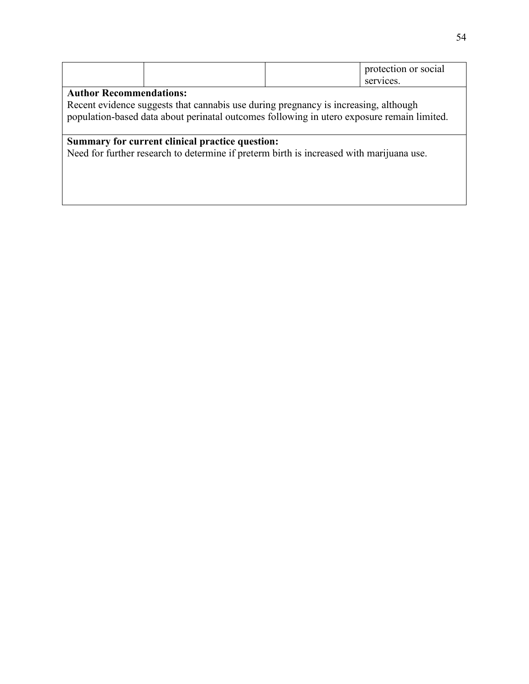|  | protection or social |
|--|----------------------|
|  | vices.<br>sei        |

Recent evidence suggests that cannabis use during pregnancy is increasing, although population-based data about perinatal outcomes following in utero exposure remain limited.

# **Summary for current clinical practice question:**

Need for further research to determine if preterm birth is increased with marijuana use.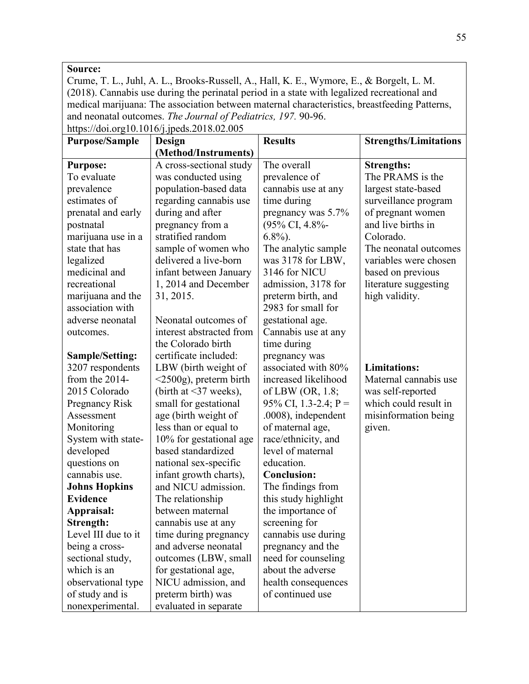#### **Source:**

Crume, T. L., Juhl, A. L., Brooks-Russell, A., Hall, K. E., Wymore, E., & Borgelt, L. M. (2018). Cannabis use during the perinatal period in a state with legalized recreational and medical marijuana: The association between maternal characteristics, breastfeeding Patterns, and neonatal outcomes. *The Journal of Pediatrics, 197.* 90-96.

| <b>Purpose/Sample</b>  | Design                       | <b>Results</b>       | <b>Strengths/Limitations</b> |
|------------------------|------------------------------|----------------------|------------------------------|
|                        | (Method/Instruments)         |                      |                              |
| <b>Purpose:</b>        | A cross-sectional study      | The overall          | <b>Strengths:</b>            |
| To evaluate            | was conducted using          | prevalence of        | The PRAMS is the             |
| prevalence             | population-based data        | cannabis use at any  | largest state-based          |
| estimates of           | regarding cannabis use       | time during          | surveillance program         |
| prenatal and early     | during and after             | pregnancy was 5.7%   | of pregnant women            |
| postnatal              | pregnancy from a             | (95% CI, 4.8%-       | and live births in           |
| marijuana use in a     | stratified random            | $6.8\%$ ).           | Colorado.                    |
| state that has         | sample of women who          | The analytic sample  | The neonatal outcomes        |
| legalized              | delivered a live-born        | was 3178 for LBW,    | variables were chosen        |
| medicinal and          | infant between January       | 3146 for NICU        | based on previous            |
| recreational           | 1, 2014 and December         | admission, 3178 for  | literature suggesting        |
| marijuana and the      | 31, 2015.                    | preterm birth, and   | high validity.               |
| association with       |                              | 2983 for small for   |                              |
| adverse neonatal       | Neonatal outcomes of         | gestational age.     |                              |
| outcomes.              | interest abstracted from     | Cannabis use at any  |                              |
|                        | the Colorado birth           | time during          |                              |
| <b>Sample/Setting:</b> | certificate included:        | pregnancy was        |                              |
| 3207 respondents       | LBW (birth weight of         | associated with 80%  | <b>Limitations:</b>          |
| from the 2014-         | $\leq$ 2500g), preterm birth | increased likelihood | Maternal cannabis use        |
| 2015 Colorado          | (birth at $\leq$ 37 weeks),  | of LBW (OR, 1.8;     | was self-reported            |
| <b>Pregnancy Risk</b>  | small for gestational        | 95% CI, 1.3-2.4; P = | which could result in        |
| Assessment             | age (birth weight of         | .0008), independent  | misinformation being         |
| Monitoring             | less than or equal to        | of maternal age,     | given.                       |
| System with state-     | 10% for gestational age      | race/ethnicity, and  |                              |
| developed              | based standardized           | level of maternal    |                              |
| questions on           | national sex-specific        | education.           |                              |
| cannabis use.          | infant growth charts),       | <b>Conclusion:</b>   |                              |
| <b>Johns Hopkins</b>   | and NICU admission.          | The findings from    |                              |
| <b>Evidence</b>        | The relationship             | this study highlight |                              |
| Appraisal:             | between maternal             | the importance of    |                              |
| Strength:              | cannabis use at any          | screening for        |                              |
| Level III due to it    | time during pregnancy        | cannabis use during  |                              |
| being a cross-         | and adverse neonatal         | pregnancy and the    |                              |
| sectional study,       | outcomes (LBW, small         | need for counseling  |                              |
| which is an            | for gestational age,         | about the adverse    |                              |
| observational type     | NICU admission, and          | health consequences  |                              |
| of study and is        | preterm birth) was           | of continued use     |                              |
| nonexperimental.       | evaluated in separate        |                      |                              |

https://doi.org10.1016/j.jpeds.2018.02.005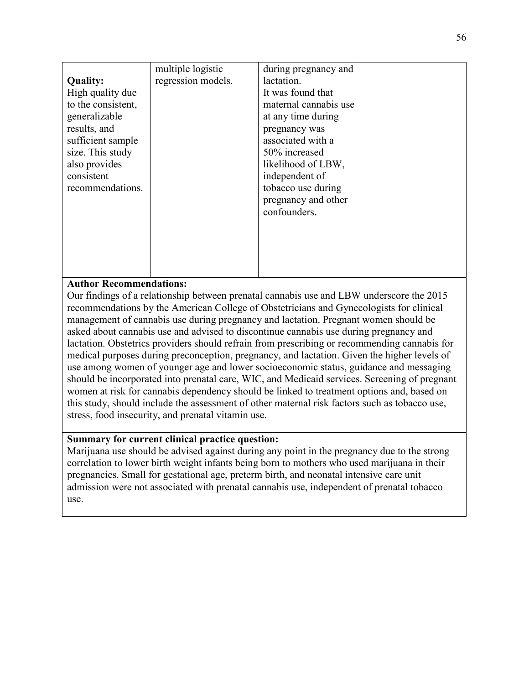|                    | multiple logistic  | during pregnancy and  |  |
|--------------------|--------------------|-----------------------|--|
| <b>Quality:</b>    | regression models. | lactation.            |  |
| High quality due   |                    | It was found that     |  |
| to the consistent, |                    | maternal cannabis use |  |
| generalizable      |                    | at any time during    |  |
| results, and       |                    | pregnancy was         |  |
| sufficient sample  |                    | associated with a     |  |
| size. This study   |                    | 50% increased         |  |
| also provides      |                    | likelihood of LBW,    |  |
| consistent         |                    | independent of        |  |
| recommendations.   |                    | tobacco use during    |  |
|                    |                    | pregnancy and other   |  |
|                    |                    | confounders.          |  |
|                    |                    |                       |  |
|                    |                    |                       |  |
|                    |                    |                       |  |
|                    |                    |                       |  |
|                    |                    |                       |  |

Our findings of a relationship between prenatal cannabis use and LBW underscore the 2015 recommendations by the American College of Obstetricians and Gynecologists for clinical management of cannabis use during pregnancy and lactation. Pregnant women should be asked about cannabis use and advised to discontinue cannabis use during pregnancy and lactation. Obstetrics providers should refrain from prescribing or recommending cannabis for medical purposes during preconception, pregnancy, and lactation. Given the higher levels of use among women of younger age and lower socioeconomic status, guidance and messaging should be incorporated into prenatal care, WIC, and Medicaid services. Screening of pregnant women at risk for cannabis dependency should be linked to treatment options and, based on this study, should include the assessment of other maternal risk factors such as tobacco use, stress, food insecurity, and prenatal vitamin use.

## **Summary for current clinical practice question:**

Marijuana use should be advised against during any point in the pregnancy due to the strong correlation to lower birth weight infants being born to mothers who used marijuana in their pregnancies. Small for gestational age, preterm birth, and neonatal intensive care unit admission were not associated with prenatal cannabis use, independent of prenatal tobacco use.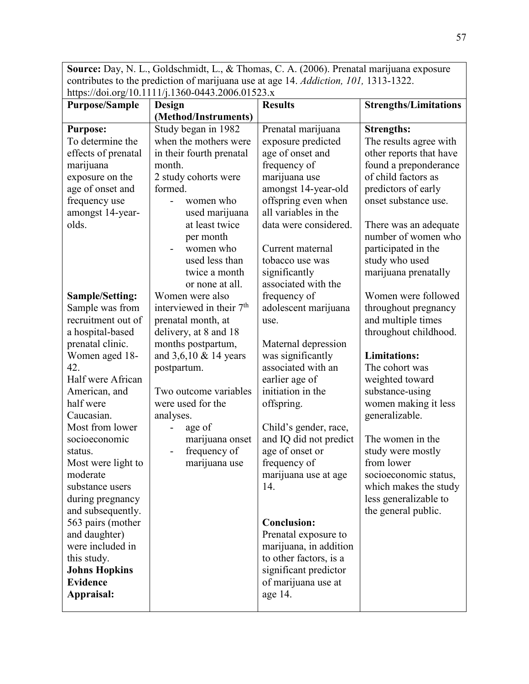**Source:** Day, N. L., Goldschmidt, L., & Thomas, C. A. (2006). Prenatal marijuana exposure contributes to the prediction of marijuana use at age 14. *Addiction, 101,* 1313-1322. https://doi.org/10.1111/j.1360-0443.2006.01523.x

| <b>Purpose/Sample</b>                 | Design                               | <b>Results</b>              | <b>Strengths/Limitations</b>                 |
|---------------------------------------|--------------------------------------|-----------------------------|----------------------------------------------|
|                                       | (Method/Instruments)                 |                             |                                              |
| <b>Purpose:</b>                       | Study began in 1982                  | Prenatal marijuana          | <b>Strengths:</b>                            |
| To determine the                      | when the mothers were                | exposure predicted          | The results agree with                       |
| effects of prenatal                   | in their fourth prenatal             | age of onset and            | other reports that have                      |
| marijuana                             | month.                               | frequency of                | found a preponderance                        |
| exposure on the                       | 2 study cohorts were                 | marijuana use               | of child factors as                          |
| age of onset and                      | formed.                              | amongst 14-year-old         | predictors of early                          |
| frequency use                         | women who                            | offspring even when         | onset substance use.                         |
| amongst 14-year-                      | used marijuana                       | all variables in the        |                                              |
| olds.                                 | at least twice                       | data were considered.       | There was an adequate                        |
|                                       | per month                            |                             | number of women who                          |
|                                       | women who                            | Current maternal            | participated in the                          |
|                                       | used less than                       | tobacco use was             | study who used                               |
|                                       | twice a month                        | significantly               | marijuana prenatally                         |
|                                       | or none at all.                      | associated with the         |                                              |
| <b>Sample/Setting:</b>                | Women were also                      | frequency of                | Women were followed                          |
| Sample was from                       | interviewed in their 7 <sup>th</sup> | adolescent marijuana        | throughout pregnancy                         |
| recruitment out of                    | prenatal month, at                   | use.                        | and multiple times                           |
| a hospital-based                      | delivery, at 8 and 18                |                             | throughout childhood.                        |
| prenatal clinic.                      | months postpartum,                   | Maternal depression         |                                              |
| Women aged 18-                        | and $3,6,10 \& 14 \text{ years}$     | was significantly           | <b>Limitations:</b>                          |
| 42.                                   | postpartum.                          | associated with an          | The cohort was                               |
| Half were African                     |                                      | earlier age of              | weighted toward                              |
| American, and                         | Two outcome variables                | initiation in the           | substance-using                              |
| half were                             | were used for the                    | offspring.                  | women making it less                         |
| Caucasian.                            | analyses.                            |                             | generalizable.                               |
| Most from lower                       | age of                               | Child's gender, race,       |                                              |
| socioeconomic                         | marijuana onset                      | and IQ did not predict      | The women in the                             |
| status.                               | frequency of                         | age of onset or             | study were mostly                            |
| Most were light to                    | marijuana use                        | frequency of                | from lower                                   |
| moderate<br>substance users           |                                      | marijuana use at age<br>14. | socioeconomic status,                        |
|                                       |                                      |                             | which makes the study                        |
| during pregnancy<br>and subsequently. |                                      |                             | less generalizable to<br>the general public. |
| 563 pairs (mother                     |                                      | <b>Conclusion:</b>          |                                              |
| and daughter)                         |                                      | Prenatal exposure to        |                                              |
| were included in                      |                                      | marijuana, in addition      |                                              |
| this study.                           |                                      | to other factors, is a      |                                              |
| <b>Johns Hopkins</b>                  |                                      | significant predictor       |                                              |
| <b>Evidence</b>                       |                                      | of marijuana use at         |                                              |
| Appraisal:                            |                                      | age 14.                     |                                              |
|                                       |                                      |                             |                                              |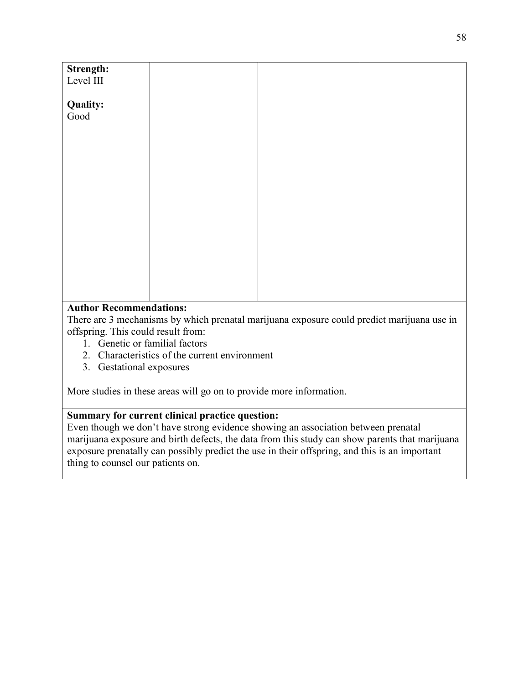| Strength:                                                                                                   |  |  |
|-------------------------------------------------------------------------------------------------------------|--|--|
| Level III                                                                                                   |  |  |
|                                                                                                             |  |  |
| <b>Quality:</b>                                                                                             |  |  |
| Good                                                                                                        |  |  |
|                                                                                                             |  |  |
|                                                                                                             |  |  |
|                                                                                                             |  |  |
|                                                                                                             |  |  |
|                                                                                                             |  |  |
|                                                                                                             |  |  |
|                                                                                                             |  |  |
|                                                                                                             |  |  |
|                                                                                                             |  |  |
|                                                                                                             |  |  |
|                                                                                                             |  |  |
|                                                                                                             |  |  |
|                                                                                                             |  |  |
|                                                                                                             |  |  |
|                                                                                                             |  |  |
|                                                                                                             |  |  |
|                                                                                                             |  |  |
|                                                                                                             |  |  |
| $\mathbf{A}$ and $\mathbf{B}$ are $\mathbf{B}$ and $\mathbf{B}$ are associated to the state of $\mathbf{A}$ |  |  |
|                                                                                                             |  |  |

There are 3 mechanisms by which prenatal marijuana exposure could predict marijuana use in offspring. This could result from:

- 1. Genetic or familial factors
- 2. Characteristics of the current environment
- 3. Gestational exposures

More studies in these areas will go on to provide more information.

# **Summary for current clinical practice question:**

Even though we don't have strong evidence showing an association between prenatal marijuana exposure and birth defects, the data from this study can show parents that marijuana exposure prenatally can possibly predict the use in their offspring, and this is an important thing to counsel our patients on.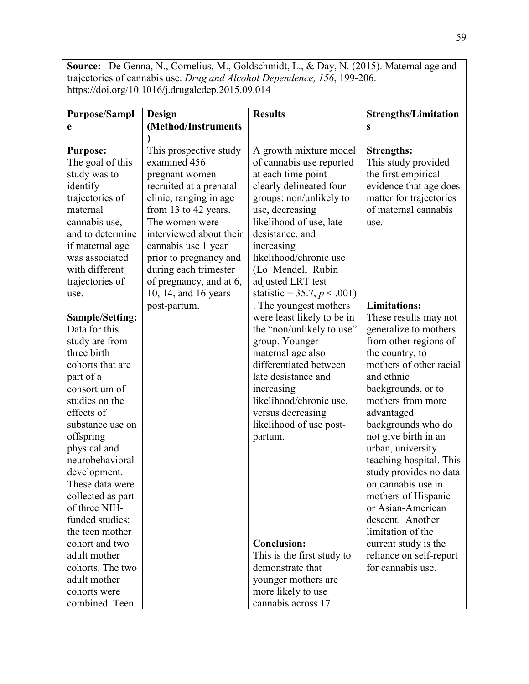**Source:** De Genna, N., Cornelius, M., Goldschmidt, L., & Day, N. (2015). Maternal age and trajectories of cannabis use. *Drug and Alcohol Dependence, 156*, 199-206. https://doi.org/10.1016/j.drugalcdep.2015.09.014

| <b>Purpose/Sampl</b> | Design                  | <b>Results</b>                 | <b>Strengths/Limitation</b> |
|----------------------|-------------------------|--------------------------------|-----------------------------|
| e                    | (Method/Instruments     |                                | S                           |
| <b>Purpose:</b>      | This prospective study  | A growth mixture model         | <b>Strengths:</b>           |
| The goal of this     | examined 456            | of cannabis use reported       | This study provided         |
| study was to         | pregnant women          | at each time point             | the first empirical         |
| identify             | recruited at a prenatal | clearly delineated four        | evidence that age does      |
| trajectories of      | clinic, ranging in age  | groups: non/unlikely to        | matter for trajectories     |
| maternal             | from 13 to 42 years.    | use, decreasing                | of maternal cannabis        |
| cannabis use,        | The women were          | likelihood of use, late        | use.                        |
| and to determine     | interviewed about their | desistance, and                |                             |
| if maternal age      | cannabis use 1 year     | increasing                     |                             |
| was associated       | prior to pregnancy and  | likelihood/chronic use         |                             |
| with different       | during each trimester   | (Lo-Mendell-Rubin              |                             |
| trajectories of      | of pregnancy, and at 6, | adjusted LRT test              |                             |
| use.                 | 10, 14, and 16 years    | statistic = 35.7, $p < .001$ ) |                             |
|                      | post-partum.            | . The youngest mothers         | <b>Limitations:</b>         |
| Sample/Setting:      |                         | were least likely to be in     | These results may not       |
| Data for this        |                         | the "non/unlikely to use"      | generalize to mothers       |
| study are from       |                         | group. Younger                 | from other regions of       |
| three birth          |                         | maternal age also              | the country, to             |
| cohorts that are     |                         | differentiated between         | mothers of other racial     |
| part of a            |                         | late desistance and            | and ethnic                  |
| consortium of        |                         | increasing                     | backgrounds, or to          |
| studies on the       |                         | likelihood/chronic use,        | mothers from more           |
| effects of           |                         | versus decreasing              | advantaged                  |
| substance use on     |                         | likelihood of use post-        | backgrounds who do          |
| offspring            |                         | partum.                        | not give birth in an        |
| physical and         |                         |                                | urban, university           |
| neurobehavioral      |                         |                                | teaching hospital. This     |
| development.         |                         |                                | study provides no data      |
| These data were      |                         |                                | on cannabis use in          |
| collected as part    |                         |                                | mothers of Hispanic         |
| of three NIH-        |                         |                                | or Asian-American           |
| funded studies:      |                         |                                | descent. Another            |
| the teen mother      |                         |                                | limitation of the           |
| cohort and two       |                         | <b>Conclusion:</b>             | current study is the        |
| adult mother         |                         | This is the first study to     | reliance on self-report     |
| cohorts. The two     |                         | demonstrate that               | for cannabis use.           |
| adult mother         |                         | younger mothers are            |                             |
| cohorts were         |                         | more likely to use             |                             |
| combined. Teen       |                         | cannabis across 17             |                             |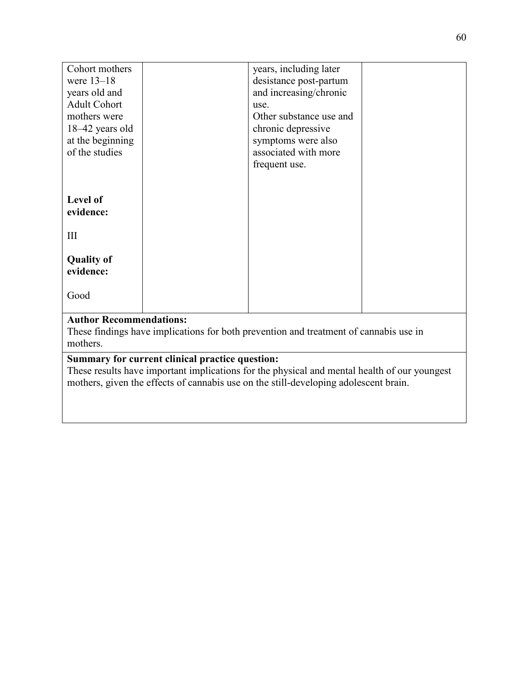| Cohort mothers                                                                                    |  | years, including later  |  |  |  |
|---------------------------------------------------------------------------------------------------|--|-------------------------|--|--|--|
| were $13-18$                                                                                      |  | desistance post-partum  |  |  |  |
| years old and                                                                                     |  | and increasing/chronic  |  |  |  |
| <b>Adult Cohort</b>                                                                               |  | use.                    |  |  |  |
| mothers were                                                                                      |  | Other substance use and |  |  |  |
| $18-42$ years old                                                                                 |  | chronic depressive      |  |  |  |
| at the beginning                                                                                  |  | symptoms were also      |  |  |  |
| of the studies                                                                                    |  | associated with more    |  |  |  |
|                                                                                                   |  | frequent use.           |  |  |  |
|                                                                                                   |  |                         |  |  |  |
|                                                                                                   |  |                         |  |  |  |
| Level of                                                                                          |  |                         |  |  |  |
| evidence:                                                                                         |  |                         |  |  |  |
|                                                                                                   |  |                         |  |  |  |
| III                                                                                               |  |                         |  |  |  |
|                                                                                                   |  |                         |  |  |  |
| <b>Quality of</b>                                                                                 |  |                         |  |  |  |
| evidence:                                                                                         |  |                         |  |  |  |
|                                                                                                   |  |                         |  |  |  |
| Good                                                                                              |  |                         |  |  |  |
| <b>Author Recommendations:</b>                                                                    |  |                         |  |  |  |
|                                                                                                   |  |                         |  |  |  |
| These findings have implications for both prevention and treatment of cannabis use in<br>mothers. |  |                         |  |  |  |
|                                                                                                   |  |                         |  |  |  |
| Summary for current clinical practice question:                                                   |  |                         |  |  |  |

These results have important implications for the physical and mental health of our youngest mothers, given the effects of cannabis use on the still-developing adolescent brain.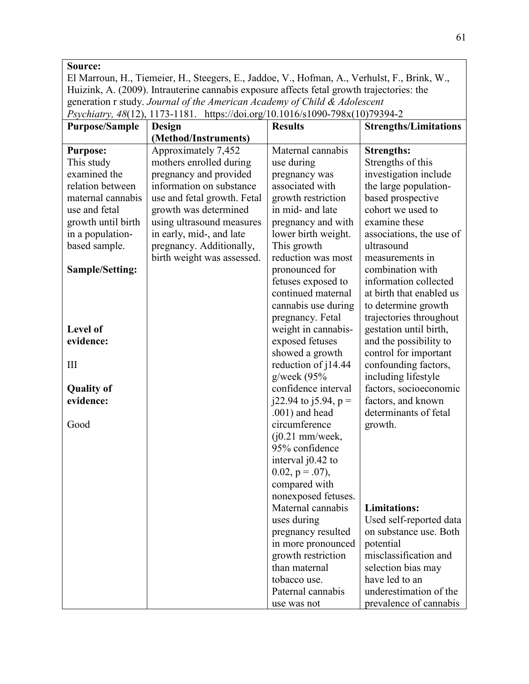#### El Marroun, H., Tiemeier, H., Steegers, E., Jaddoe, V., Hofman, A., Verhulst, F., Brink, W., Huizink, A. (2009). Intrauterine cannabis exposure affects fetal growth trajectories: the generation r study. *Journal of the American Academy of Child & Adolescent Psychiatry, 48*(12), 1173-1181. https://doi.org/10.1016/s1090-798x(10)79394-2 **Purpose/Sample Design (Method/Instruments) Results Strengths/Limitations Purpose:** This study examined the relation between maternal [cannabis](https://www-sciencedirect-com.ezproxy.bethel.edu/topics/medicine-and-dentistry/cannabis-use)  [use](https://www-sciencedirect-com.ezproxy.bethel.edu/topics/medicine-and-dentistry/cannabis-use) and [fetal](https://www-sciencedirect-com.ezproxy.bethel.edu/topics/medicine-and-dentistry/fetus-growth)  [growth](https://www-sciencedirect-com.ezproxy.bethel.edu/topics/medicine-and-dentistry/fetus-growth) until birth in a populationbased sample. **Sample/Setting: Level of evidence:** III **Quality of evidence:** Good Approximately 7,452 mothers enrolled during pregnancy and provided information on substance use and fetal growth. Fetal growth was determined using ultrasound measures in early, mid-, and late pregnancy. Additionally, birth weight was assessed. Maternal cannabis use during pregnancy was associated with growth restriction in mid- and late pregnancy and with lower birth weight. This growth reduction was most pronounced for fetuses exposed to continued maternal cannabis use during pregnancy. Fetal weight in cannabisexposed fetuses showed a growth reduction of j14.44 g/week (95% confidence interval  $j22.94$  to  $j5.94$ ,  $p =$ .001) and head circumference  $(i0.21$  mm/week, 95% confidence interval j0.42 to  $0.02$ ,  $p = .07$ ), compared with nonexposed fetuses. Maternal cannabis uses during pregnancy resulted in more pronounced growth restriction than maternal tobacco use. Paternal cannabis use was not **Strengths:** Strengths of this investigation include the large populationbased prospective cohort we used to examine these associations, the use of ultrasound measurements in combination with information collected at birth that enabled us to determine growth trajectories throughout gestation until birth, and the possibility to control for important confounding factors, including lifestyle factors, socioeconomic factors, and known determinants of fetal growth. **Limitations:** Used self-reported data on substance use. Both potential misclassification and selection bias may have led to an underestimation of the prevalence of cannabis

**Source:**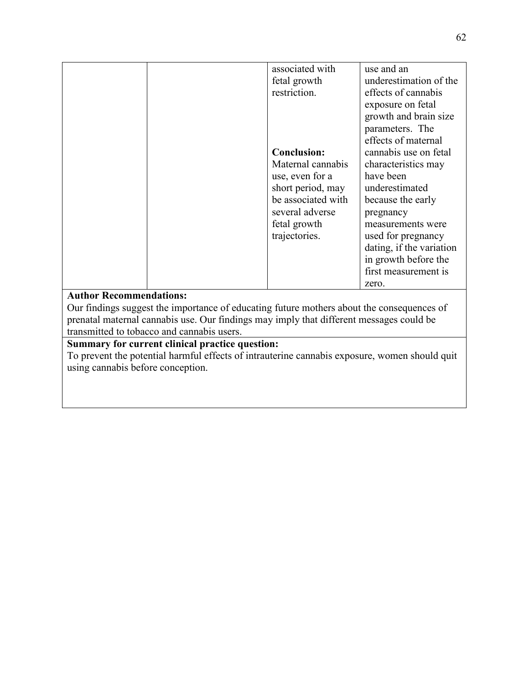|                                                                                               |  | associated with    | use and an               |  |  |
|-----------------------------------------------------------------------------------------------|--|--------------------|--------------------------|--|--|
|                                                                                               |  | fetal growth       | underestimation of the   |  |  |
|                                                                                               |  | restriction.       | effects of cannabis      |  |  |
|                                                                                               |  |                    | exposure on fetal        |  |  |
|                                                                                               |  |                    | growth and brain size    |  |  |
|                                                                                               |  |                    | parameters. The          |  |  |
|                                                                                               |  |                    | effects of maternal      |  |  |
|                                                                                               |  | <b>Conclusion:</b> | cannabis use on fetal    |  |  |
|                                                                                               |  | Maternal cannabis  | characteristics may      |  |  |
|                                                                                               |  | use, even for a    | have been                |  |  |
|                                                                                               |  | short period, may  | underestimated           |  |  |
|                                                                                               |  | be associated with | because the early        |  |  |
|                                                                                               |  | several adverse    | pregnancy                |  |  |
|                                                                                               |  | fetal growth       | measurements were        |  |  |
|                                                                                               |  | trajectories.      | used for pregnancy       |  |  |
|                                                                                               |  |                    | dating, if the variation |  |  |
|                                                                                               |  |                    | in growth before the     |  |  |
|                                                                                               |  |                    | first measurement is     |  |  |
|                                                                                               |  |                    | zero.                    |  |  |
| <b>Author Recommendations:</b>                                                                |  |                    |                          |  |  |
| Our findings suggest the importance of educating future mothers about the consequences of     |  |                    |                          |  |  |
| prenatal maternal cannabis use. Our findings may imply that different messages could be       |  |                    |                          |  |  |
| transmitted to tobacco and cannabis users.                                                    |  |                    |                          |  |  |
| Summary for current clinical practice question:                                               |  |                    |                          |  |  |
| To prevent the potential harmful effects of intrauterine cannabis exposure, women should quit |  |                    |                          |  |  |

using cannabis before conception.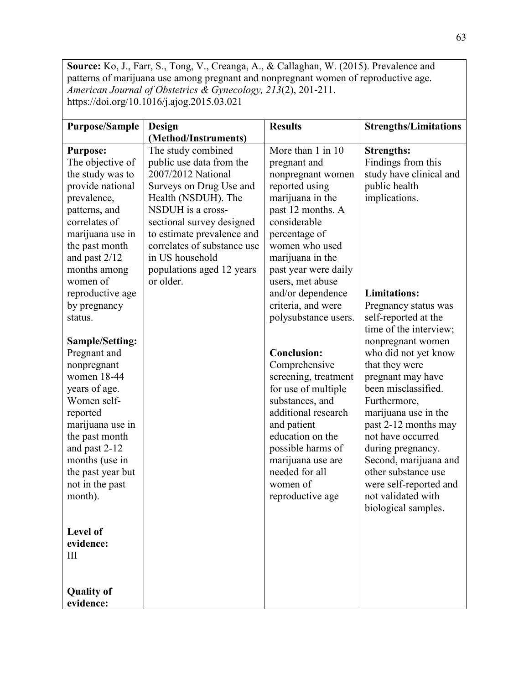**Source:** Ko, J., Farr, S., Tong, V., Creanga, A., & Callaghan, W. (2015). Prevalence and patterns of marijuana use among pregnant and nonpregnant women of reproductive age. *American Journal of Obstetrics & Gynecology, 213*(2), 201-211. https://doi.org/10.1016/j.ajog.2015.03.021

| <b>Purpose/Sample</b><br><b>Purpose:</b><br>The objective of<br>the study was to<br>provide national<br>prevalence,<br>patterns, and<br>correlates of<br>marijuana use in<br>the past month<br>and past 2/12<br>months among<br>women of<br>reproductive age<br>by pregnancy<br>status.<br><b>Sample/Setting:</b><br>Pregnant and<br>nonpregnant<br>women 18-44<br>years of age.<br>Women self-<br>reported<br>marijuana use in<br>the past month<br>and past 2-12<br>months (use in<br>the past year but<br>not in the past<br>month).<br>Level of | Design<br>(Method/Instruments)<br>The study combined<br>public use data from the<br>2007/2012 National<br>Surveys on Drug Use and<br>Health (NSDUH). The<br>NSDUH is a cross-<br>sectional survey designed<br>to estimate prevalence and<br>correlates of substance use<br>in US household<br>populations aged 12 years<br>or older. | <b>Results</b><br>More than 1 in 10<br>pregnant and<br>nonpregnant women<br>reported using<br>marijuana in the<br>past 12 months. A<br>considerable<br>percentage of<br>women who used<br>marijuana in the<br>past year were daily<br>users, met abuse<br>and/or dependence<br>criteria, and were<br>polysubstance users.<br><b>Conclusion:</b><br>Comprehensive<br>screening, treatment<br>for use of multiple<br>substances, and<br>additional research<br>and patient<br>education on the<br>possible harms of<br>marijuana use are<br>needed for all<br>women of<br>reproductive age | <b>Strengths/Limitations</b><br><b>Strengths:</b><br>Findings from this<br>study have clinical and<br>public health<br>implications.<br><b>Limitations:</b><br>Pregnancy status was<br>self-reported at the<br>time of the interview;<br>nonpregnant women<br>who did not yet know<br>that they were<br>pregnant may have<br>been misclassified.<br>Furthermore,<br>marijuana use in the<br>past 2-12 months may<br>not have occurred<br>during pregnancy.<br>Second, marijuana and<br>other substance use<br>were self-reported and<br>not validated with<br>biological samples. |
|-----------------------------------------------------------------------------------------------------------------------------------------------------------------------------------------------------------------------------------------------------------------------------------------------------------------------------------------------------------------------------------------------------------------------------------------------------------------------------------------------------------------------------------------------------|--------------------------------------------------------------------------------------------------------------------------------------------------------------------------------------------------------------------------------------------------------------------------------------------------------------------------------------|------------------------------------------------------------------------------------------------------------------------------------------------------------------------------------------------------------------------------------------------------------------------------------------------------------------------------------------------------------------------------------------------------------------------------------------------------------------------------------------------------------------------------------------------------------------------------------------|-----------------------------------------------------------------------------------------------------------------------------------------------------------------------------------------------------------------------------------------------------------------------------------------------------------------------------------------------------------------------------------------------------------------------------------------------------------------------------------------------------------------------------------------------------------------------------------|
| evidence:                                                                                                                                                                                                                                                                                                                                                                                                                                                                                                                                           |                                                                                                                                                                                                                                                                                                                                      |                                                                                                                                                                                                                                                                                                                                                                                                                                                                                                                                                                                          |                                                                                                                                                                                                                                                                                                                                                                                                                                                                                                                                                                                   |
| III                                                                                                                                                                                                                                                                                                                                                                                                                                                                                                                                                 |                                                                                                                                                                                                                                                                                                                                      |                                                                                                                                                                                                                                                                                                                                                                                                                                                                                                                                                                                          |                                                                                                                                                                                                                                                                                                                                                                                                                                                                                                                                                                                   |
|                                                                                                                                                                                                                                                                                                                                                                                                                                                                                                                                                     |                                                                                                                                                                                                                                                                                                                                      |                                                                                                                                                                                                                                                                                                                                                                                                                                                                                                                                                                                          |                                                                                                                                                                                                                                                                                                                                                                                                                                                                                                                                                                                   |
| <b>Quality of</b><br>evidence:                                                                                                                                                                                                                                                                                                                                                                                                                                                                                                                      |                                                                                                                                                                                                                                                                                                                                      |                                                                                                                                                                                                                                                                                                                                                                                                                                                                                                                                                                                          |                                                                                                                                                                                                                                                                                                                                                                                                                                                                                                                                                                                   |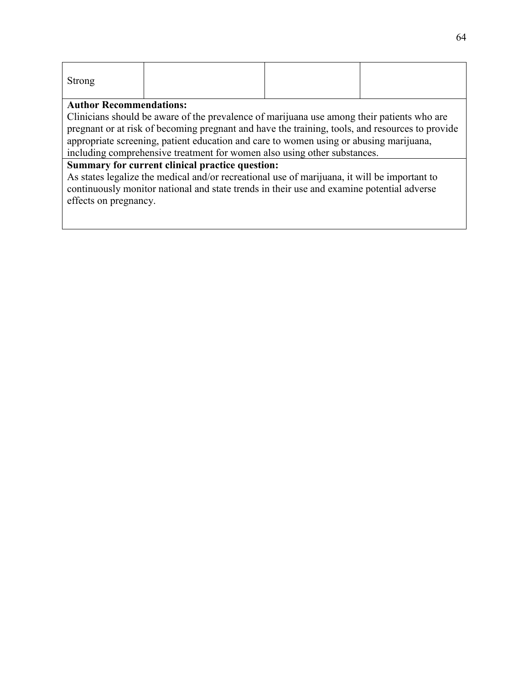| Strong |  |  |
|--------|--|--|
|        |  |  |

Clinicians should be aware of the prevalence of marijuana use among their patients who are pregnant or at risk of becoming pregnant and have the training, tools, and resources to provide appropriate screening, patient education and care to women using or abusing marijuana, including comprehensive treatment for women also using other substances.

#### **Summary for current clinical practice question:**

As states legalize the medical and/or recreational use of marijuana, it will be important to continuously monitor national and state trends in their use and examine potential adverse effects on pregnancy.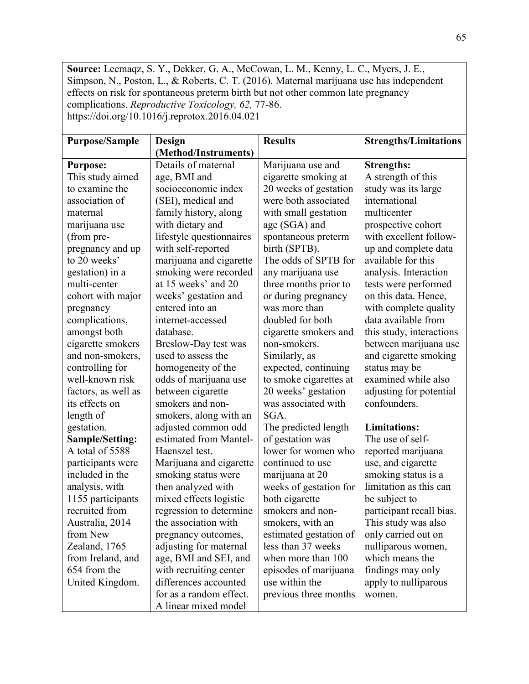**Source:** Leemaqz, S. Y., Dekker, G. A., McCowan, L. M., Kenny, L. C., Myers, J. E., Simpson, N., Poston, L., & Roberts, C. T. (2016). Maternal marijuana use has independent effects on risk for spontaneous preterm birth but not other common late pregnancy complications. *Reproductive Toxicology, 62,* 77-86. https://doi.org/10.1016/j.reprotox.2016.04.021

| <b>Purpose/Sample</b> | Design                   | <b>Results</b>         | <b>Strengths/Limitations</b> |
|-----------------------|--------------------------|------------------------|------------------------------|
|                       | (Method/Instruments)     |                        |                              |
| <b>Purpose:</b>       | Details of maternal      | Marijuana use and      | <b>Strengths:</b>            |
| This study aimed      | age, BMI and             | cigarette smoking at   | A strength of this           |
| to examine the        | socioeconomic index      | 20 weeks of gestation  | study was its large          |
| association of        | (SEI), medical and       | were both associated   | international                |
| maternal              | family history, along    | with small gestation   | multicenter                  |
| marijuana use         | with dietary and         | age (SGA) and          | prospective cohort           |
| (from pre-            | lifestyle questionnaires | spontaneous preterm    | with excellent follow-       |
| pregnancy and up      | with self-reported       | birth (SPTB).          | up and complete data         |
| to 20 weeks'          | marijuana and cigarette  | The odds of SPTB for   | available for this           |
| gestation) in a       | smoking were recorded    | any marijuana use      | analysis. Interaction        |
| multi-center          | at 15 weeks' and 20      | three months prior to  | tests were performed         |
| cohort with major     | weeks' gestation and     | or during pregnancy    | on this data. Hence,         |
| pregnancy             | entered into an          | was more than          | with complete quality        |
| complications,        | internet-accessed        | doubled for both       | data available from          |
| amongst both          | database.                | cigarette smokers and  | this study, interactions     |
| cigarette smokers     | Breslow-Day test was     | non-smokers.           | between marijuana use        |
| and non-smokers,      | used to assess the       | Similarly, as          | and cigarette smoking        |
| controlling for       | homogeneity of the       | expected, continuing   | status may be                |
| well-known risk       | odds of marijuana use    | to smoke cigarettes at | examined while also          |
| factors, as well as   | between cigarette        | 20 weeks' gestation    | adjusting for potential      |
| its effects on        | smokers and non-         | was associated with    | confounders.                 |
| length of             | smokers, along with an   | SGA.                   |                              |
| gestation.            | adjusted common odd      | The predicted length   | <b>Limitations:</b>          |
| Sample/Setting:       | estimated from Mantel-   | of gestation was       | The use of self-             |
| A total of 5588       | Haenszel test.           | lower for women who    | reported marijuana           |
| participants were     | Marijuana and cigarette  | continued to use       | use, and cigarette           |
| included in the       | smoking status were      | marijuana at 20        | smoking status is a          |
| analysis, with        | then analyzed with       | weeks of gestation for | limitation as this can       |
| 1155 participants     | mixed effects logistic   | both cigarette         | be subject to                |
| recruited from        | regression to determine  | smokers and non-       | participant recall bias.     |
| Australia, 2014       | the association with     | smokers, with an       | This study was also          |
| from New              | pregnancy outcomes,      | estimated gestation of | only carried out on          |
| Zealand, 1765         | adjusting for maternal   | less than 37 weeks     | nulliparous women,           |
| from Ireland, and     | age, BMI and SEI, and    | when more than 100     | which means the              |
| 654 from the          | with recruiting center   | episodes of marijuana  | findings may only            |
| United Kingdom.       | differences accounted    | use within the         | apply to nulliparous         |
|                       | for as a random effect.  | previous three months  | women.                       |
|                       | A linear mixed model     |                        |                              |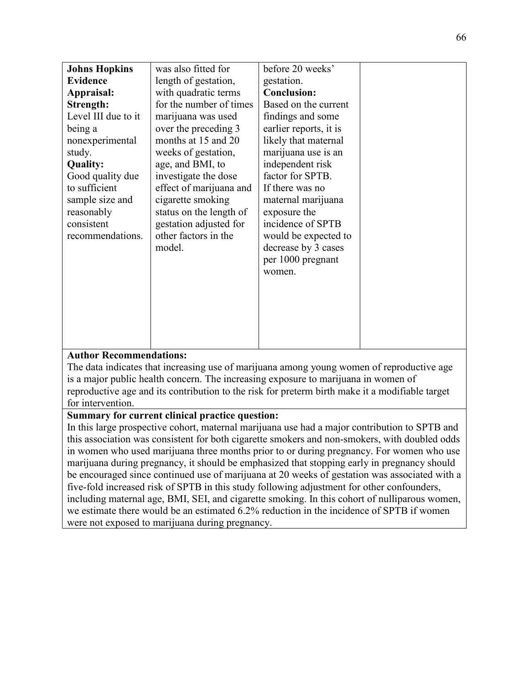| <b>Johns Hopkins</b> | was also fitted for     | before 20 weeks'       |  |
|----------------------|-------------------------|------------------------|--|
| <b>Evidence</b>      | length of gestation,    | gestation.             |  |
| Appraisal:           | with quadratic terms    | <b>Conclusion:</b>     |  |
| Strength:            | for the number of times | Based on the current   |  |
| Level III due to it  | marijuana was used      | findings and some      |  |
| being a              | over the preceding 3    | earlier reports, it is |  |
| nonexperimental      | months at 15 and 20     | likely that maternal   |  |
| study.               | weeks of gestation,     | marijuana use is an    |  |
| <b>Quality:</b>      | age, and BMI, to        | independent risk       |  |
| Good quality due     | investigate the dose    | factor for SPTB.       |  |
| to sufficient        | effect of marijuana and | If there was no        |  |
| sample size and      | cigarette smoking       | maternal marijuana     |  |
| reasonably           | status on the length of | exposure the           |  |
| consistent           | gestation adjusted for  | incidence of SPTB      |  |
| recommendations.     | other factors in the    | would be expected to   |  |
|                      | model.                  | decrease by 3 cases    |  |
|                      |                         | per 1000 pregnant      |  |
|                      |                         | women.                 |  |
|                      |                         |                        |  |
|                      |                         |                        |  |
|                      |                         |                        |  |
|                      |                         |                        |  |
|                      |                         |                        |  |
|                      |                         |                        |  |

The data indicates that increasing use of marijuana among young women of reproductive age is a major public health concern. The increasing exposure to marijuana in women of reproductive age and its contribution to the risk for preterm birth make it a modifiable target for intervention.

## **Summary for current clinical practice question:**

In this large prospective cohort, maternal marijuana use had a major contribution to SPTB and this association was consistent for both cigarette smokers and non-smokers, with doubled odds in women who used marijuana three months prior to or during pregnancy. For women who use marijuana during pregnancy, it should be emphasized that stopping early in pregnancy should be encouraged since continued use of marijuana at 20 weeks of gestation was associated with a five-fold increased risk of SPTB in this study following adjustment for other confounders, including maternal age, BMI, SEI, and cigarette smoking. In this cohort of nulliparous women, we estimate there would be an estimated 6.2% reduction in the incidence of SPTB if women were not exposed to marijuana during pregnancy.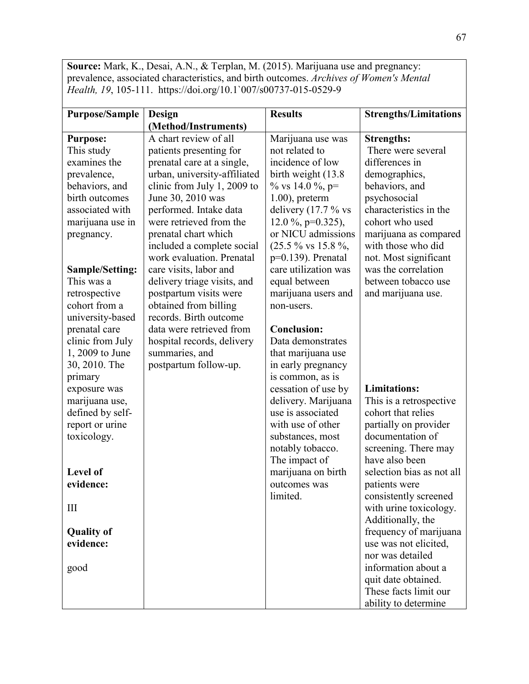**Source:** Mark, K., Desai, A.N., & Terplan, M. (2015). Marijuana use and pregnancy: prevalence, associated characteristics, and birth outcomes. *Archives of Women's Mental Health, 19*, 105-111. https://doi.org/10.1`007/s00737-015-0529-9

| <b>Purpose/Sample</b>  | Design                       | <b>Results</b>                 | <b>Strengths/Limitations</b> |
|------------------------|------------------------------|--------------------------------|------------------------------|
|                        | (Method/Instruments)         |                                |                              |
| <b>Purpose:</b>        | A chart review of all        | Marijuana use was              | <b>Strengths:</b>            |
| This study             | patients presenting for      | not related to                 | There were several           |
| examines the           | prenatal care at a single,   | incidence of low               | differences in               |
| prevalence,            | urban, university-affiliated | birth weight (13.8)            | demographics,                |
| behaviors, and         | clinic from July 1, 2009 to  | % vs 14.0 %, $p=$              | behaviors, and               |
| birth outcomes         | June 30, 2010 was            | $1.00$ ), preterm              | psychosocial                 |
| associated with        | performed. Intake data       | delivery $(17.7 %$ vs          | characteristics in the       |
| marijuana use in       | were retrieved from the      | 12.0 %, $p=0.325$ ),           | cohort who used              |
| pregnancy.             | prenatal chart which         | or NICU admissions             | marijuana as compared        |
|                        | included a complete social   | $(25.5\% \text{ vs } 15.8\%$ , | with those who did           |
|                        | work evaluation. Prenatal    | $p=0.139$ ). Prenatal          | not. Most significant        |
| <b>Sample/Setting:</b> | care visits, labor and       | care utilization was           | was the correlation          |
| This was a             | delivery triage visits, and  | equal between                  | between tobacco use          |
| retrospective          | postpartum visits were       | marijuana users and            | and marijuana use.           |
| cohort from a          | obtained from billing        | non-users.                     |                              |
| university-based       | records. Birth outcome       |                                |                              |
| prenatal care          | data were retrieved from     | <b>Conclusion:</b>             |                              |
| clinic from July       | hospital records, delivery   | Data demonstrates              |                              |
| 1, 2009 to June        | summaries, and               | that marijuana use             |                              |
| 30, 2010. The          | postpartum follow-up.        | in early pregnancy             |                              |
| primary                |                              | is common, as is               |                              |
| exposure was           |                              | cessation of use by            | <b>Limitations:</b>          |
| marijuana use,         |                              | delivery. Marijuana            | This is a retrospective      |
| defined by self-       |                              | use is associated              | cohort that relies           |
| report or urine        |                              | with use of other              | partially on provider        |
| toxicology.            |                              | substances, most               | documentation of             |
|                        |                              | notably tobacco.               | screening. There may         |
|                        |                              | The impact of                  | have also been               |
| Level of               |                              | marijuana on birth             | selection bias as not all    |
| evidence:              |                              | outcomes was                   | patients were                |
|                        |                              | limited.                       | consistently screened        |
| III                    |                              |                                | with urine toxicology.       |
|                        |                              |                                | Additionally, the            |
| <b>Quality of</b>      |                              |                                | frequency of marijuana       |
| evidence:              |                              |                                | use was not elicited,        |
|                        |                              |                                | nor was detailed             |
| good                   |                              |                                | information about a          |
|                        |                              |                                | quit date obtained.          |
|                        |                              |                                | These facts limit our        |
|                        |                              |                                | ability to determine         |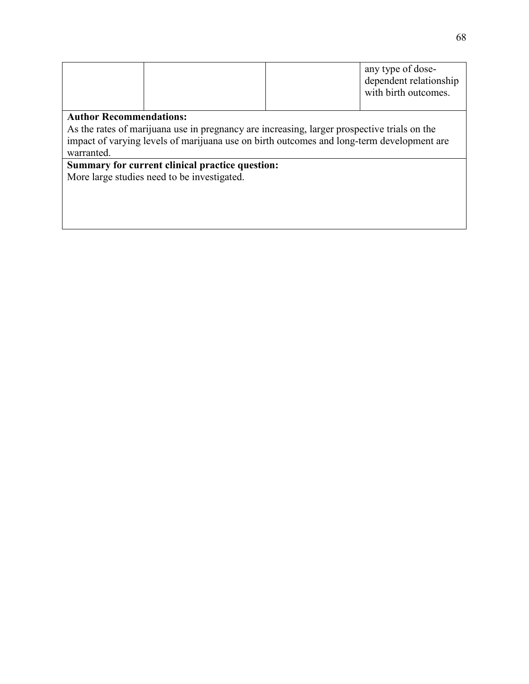|  | any type of dose-<br>dependent relationship<br>with birth outcomes. |
|--|---------------------------------------------------------------------|
|  |                                                                     |

As the rates of marijuana use in pregnancy are increasing, larger prospective trials on the impact of varying levels of marijuana use on birth outcomes and long-term development are warranted.

## **Summary for current clinical practice question:**

More large studies need to be investigated.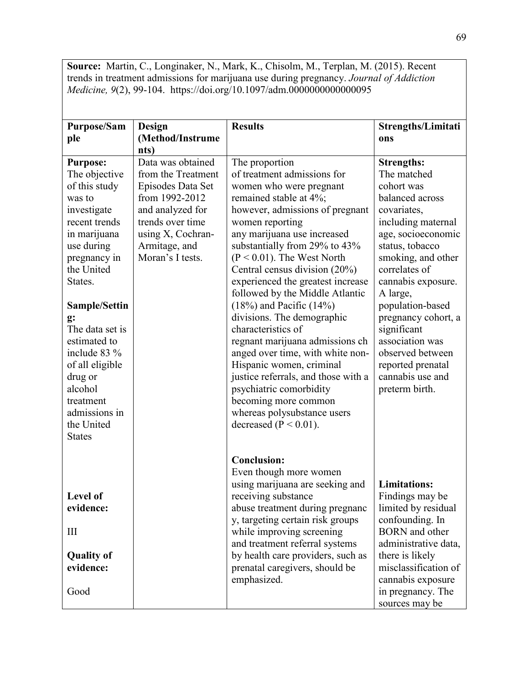**Source:** Martin, C., Longinaker, N., Mark, K., Chisolm, M., Terplan, M. (2015). Recent trends in treatment admissions for marijuana use during pregnancy. *Journal of Addiction Medicine, 9*(2), 99-104. https://doi.org/10.1097/adm.0000000000000095

| <b>Purpose/Sam</b>             | <b>Design</b>            | <b>Results</b>                                                      | Strengths/Limitati                       |
|--------------------------------|--------------------------|---------------------------------------------------------------------|------------------------------------------|
| ple                            | (Method/Instrume<br>nts) |                                                                     | ons                                      |
| <b>Purpose:</b>                | Data was obtained        | The proportion                                                      | <b>Strengths:</b>                        |
| The objective                  | from the Treatment       | of treatment admissions for                                         | The matched                              |
| of this study                  | Episodes Data Set        | women who were pregnant                                             | cohort was                               |
| was to                         | from 1992-2012           | remained stable at 4%;                                              | balanced across                          |
| investigate                    | and analyzed for         | however, admissions of pregnant                                     | covariates,                              |
| recent trends                  | trends over time         | women reporting                                                     | including maternal                       |
| in marijuana                   | using X, Cochran-        | any marijuana use increased                                         | age, socioeconomic                       |
| use during                     | Armitage, and            | substantially from 29% to 43%                                       | status, tobacco                          |
| pregnancy in                   | Moran's I tests.         | $(P < 0.01)$ . The West North                                       | smoking, and other                       |
| the United                     |                          | Central census division (20%)                                       | correlates of                            |
| States.                        |                          | experienced the greatest increase                                   | cannabis exposure.                       |
|                                |                          | followed by the Middle Atlantic                                     | A large,                                 |
| Sample/Settin                  |                          | $(18%)$ and Pacific $(14%)$                                         | population-based                         |
| g:                             |                          | divisions. The demographic                                          | pregnancy cohort, a                      |
| The data set is                |                          | characteristics of                                                  | significant                              |
| estimated to                   |                          | regnant marijuana admissions ch                                     | association was                          |
| include 83 %                   |                          | anged over time, with white non-                                    | observed between                         |
| of all eligible                |                          | Hispanic women, criminal                                            | reported prenatal                        |
| drug or                        |                          | justice referrals, and those with a                                 | cannabis use and                         |
| alcohol                        |                          | psychiatric comorbidity                                             | preterm birth.                           |
| treatment                      |                          | becoming more common                                                |                                          |
| admissions in                  |                          | whereas polysubstance users                                         |                                          |
| the United                     |                          | decreased ( $P < 0.01$ ).                                           |                                          |
| <b>States</b>                  |                          |                                                                     |                                          |
|                                |                          |                                                                     |                                          |
|                                |                          | <b>Conclusion:</b>                                                  |                                          |
|                                |                          | Even though more women                                              |                                          |
|                                |                          | using marijuana are seeking and                                     | <b>Limitations:</b>                      |
| Level of                       |                          | receiving substance                                                 | Findings may be                          |
| evidence:                      |                          | abuse treatment during pregnanc                                     | limited by residual                      |
|                                |                          | y, targeting certain risk groups                                    | confounding. In<br><b>BORN</b> and other |
| Ш                              |                          | while improving screening                                           | administrative data,                     |
|                                |                          | and treatment referral systems                                      |                                          |
| <b>Quality of</b><br>evidence: |                          | by health care providers, such as<br>prenatal caregivers, should be | there is likely<br>misclassification of  |
|                                |                          | emphasized.                                                         | cannabis exposure                        |
| Good                           |                          |                                                                     | in pregnancy. The                        |
|                                |                          |                                                                     |                                          |
|                                |                          |                                                                     | sources may be                           |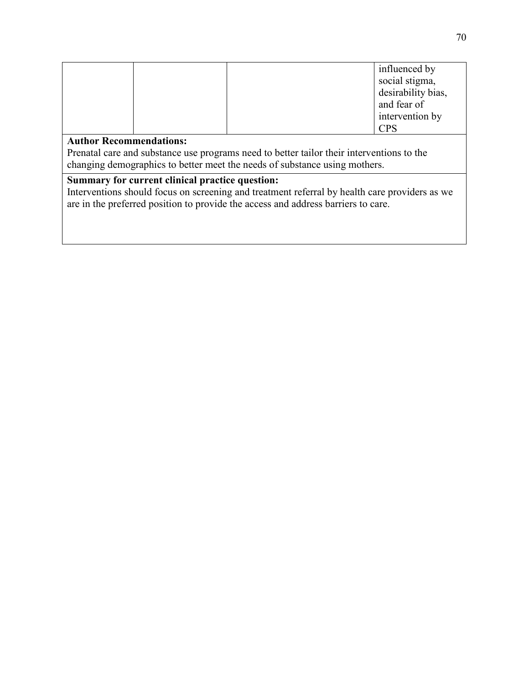|                                                                                               |  | influenced by      |  |  |
|-----------------------------------------------------------------------------------------------|--|--------------------|--|--|
|                                                                                               |  | social stigma,     |  |  |
|                                                                                               |  | desirability bias, |  |  |
|                                                                                               |  | and fear of        |  |  |
|                                                                                               |  | intervention by    |  |  |
|                                                                                               |  | <b>CPS</b>         |  |  |
| <b>Author Recommendations:</b>                                                                |  |                    |  |  |
| Prenatal care and substance use programs need to better tailor their interventions to the     |  |                    |  |  |
| changing demographics to better meet the needs of substance using mothers.                    |  |                    |  |  |
|                                                                                               |  |                    |  |  |
| Summary for current clinical practice question:                                               |  |                    |  |  |
| Interventions should focus on screening and treatment referral by health care providers as we |  |                    |  |  |

are in the preferred position to provide the access and address barriers to care.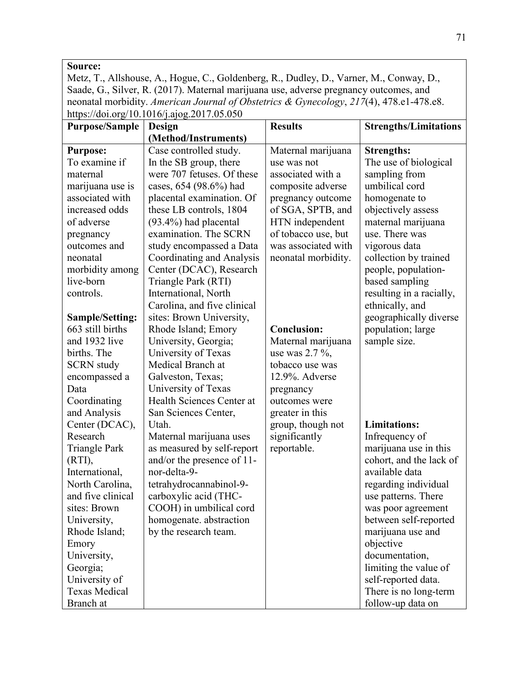# **Source:**

Metz, T., Allshouse, A., Hogue, C., Goldenberg, R., Dudley, D., Varner, M., Conway, D., Saade, G., Silver, R. (2017). Maternal marijuana use, adverse pregnancy outcomes, and neonatal morbidity. *American Journal of Obstetrics & Gynecology*, *217*(4), 478.e1-478.e8. https://doi.org/10.1016/j.ajog.2017.05.050

| <b>Purpose/Sample</b> | Design                      | <b>Results</b>      | <b>Strengths/Limitations</b> |
|-----------------------|-----------------------------|---------------------|------------------------------|
|                       | (Method/Instruments)        |                     |                              |
| <b>Purpose:</b>       | Case controlled study.      | Maternal marijuana  | <b>Strengths:</b>            |
| To examine if         | In the SB group, there      | use was not         | The use of biological        |
| maternal              | were 707 fetuses. Of these  | associated with a   | sampling from                |
| marijuana use is      | cases, 654 (98.6%) had      | composite adverse   | umbilical cord               |
| associated with       | placental examination. Of   | pregnancy outcome   | homogenate to                |
| increased odds        | these LB controls, 1804     | of SGA, SPTB, and   | objectively assess           |
| of adverse            | (93.4%) had placental       | HTN independent     | maternal marijuana           |
| pregnancy             | examination. The SCRN       | of tobacco use, but | use. There was               |
| outcomes and          | study encompassed a Data    | was associated with | vigorous data                |
| neonatal              | Coordinating and Analysis   | neonatal morbidity. | collection by trained        |
| morbidity among       | Center (DCAC), Research     |                     | people, population-          |
| live-born             | Triangle Park (RTI)         |                     | based sampling               |
| controls.             | International, North        |                     | resulting in a racially,     |
|                       | Carolina, and five clinical |                     | ethnically, and              |
| Sample/Setting:       | sites: Brown University,    |                     | geographically diverse       |
| 663 still births      | Rhode Island; Emory         | <b>Conclusion:</b>  | population; large            |
| and 1932 live         | University, Georgia;        | Maternal marijuana  | sample size.                 |
| births. The           | University of Texas         | use was $2.7 \%$ ,  |                              |
| <b>SCRN</b> study     | Medical Branch at           | tobacco use was     |                              |
| encompassed a         | Galveston, Texas;           | 12.9%. Adverse      |                              |
| Data                  | University of Texas         | pregnancy           |                              |
| Coordinating          | Health Sciences Center at   | outcomes were       |                              |
| and Analysis          | San Sciences Center,        | greater in this     |                              |
| Center (DCAC),        | Utah.                       | group, though not   | <b>Limitations:</b>          |
| Research              | Maternal marijuana uses     | significantly       | Infrequency of               |
| <b>Triangle Park</b>  | as measured by self-report  | reportable.         | marijuana use in this        |
| (RTI),                | and/or the presence of 11-  |                     | cohort, and the lack of      |
| International,        | nor-delta-9-                |                     | available data               |
| North Carolina,       | tetrahydrocannabinol-9-     |                     | regarding individual         |
| and five clinical     | carboxylic acid (THC-       |                     | use patterns. There          |
| sites: Brown          | COOH) in umbilical cord     |                     | was poor agreement           |
| University,           | homogenate. abstraction     |                     | between self-reported        |
| Rhode Island;         | by the research team.       |                     | marijuana use and            |
| Emory                 |                             |                     | objective                    |
| University,           |                             |                     | documentation,               |
| Georgia;              |                             |                     | limiting the value of        |
| University of         |                             |                     | self-reported data.          |
| <b>Texas Medical</b>  |                             |                     | There is no long-term        |
| Branch at             |                             |                     | follow-up data on            |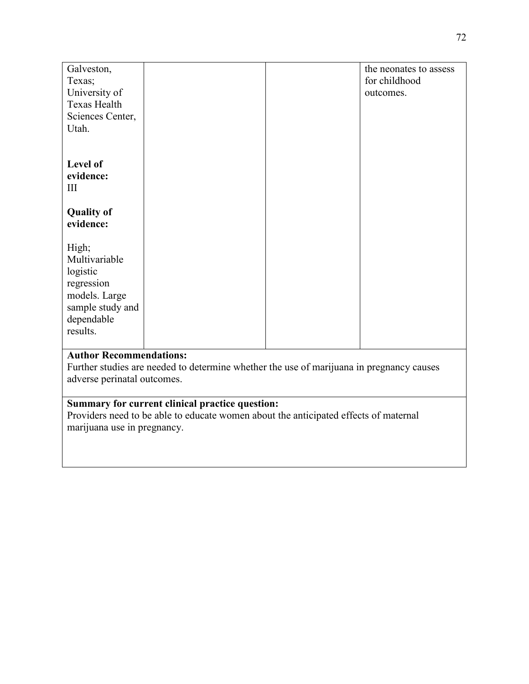| Galveston,             |  | the neonates to assess |
|------------------------|--|------------------------|
| Texas;                 |  | for childhood          |
| University of          |  | outcomes.              |
| Texas Health           |  |                        |
| Sciences Center,       |  |                        |
| Utah.                  |  |                        |
|                        |  |                        |
|                        |  |                        |
| Level of               |  |                        |
| evidence:              |  |                        |
| Ш                      |  |                        |
|                        |  |                        |
| <b>Quality of</b>      |  |                        |
| evidence:              |  |                        |
|                        |  |                        |
| High;<br>Multivariable |  |                        |
|                        |  |                        |
| logistic<br>regression |  |                        |
| models. Large          |  |                        |
| sample study and       |  |                        |
| dependable             |  |                        |
| results.               |  |                        |
|                        |  |                        |
|                        |  |                        |

Further studies are needed to determine whether the use of marijuana in pregnancy causes adverse perinatal outcomes.

# **Summary for current clinical practice question:**

Providers need to be able to educate women about the anticipated effects of maternal marijuana use in pregnancy.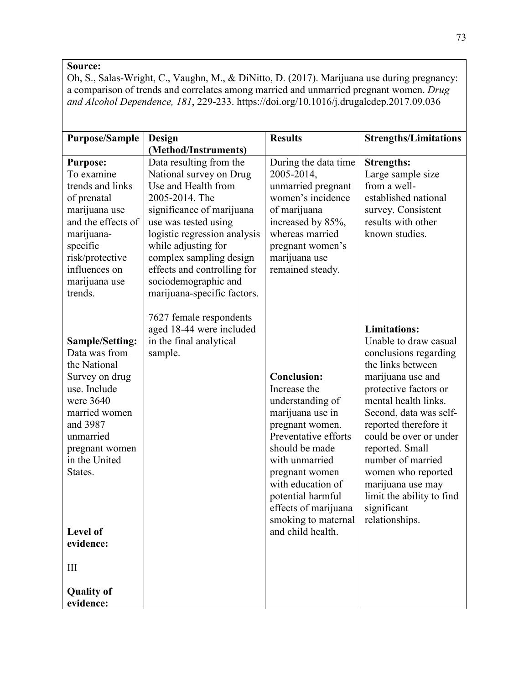## **Source:**

Oh, S., Salas-Wright, C., Vaughn, M., & DiNitto, D. (2017). Marijuana use during pregnancy: a comparison of trends and correlates among married and unmarried pregnant women. *Drug and Alcohol Dependence, 181*, 229-233. https://doi.org/10.1016/j.drugalcdep.2017.09.036

| <b>Purpose/Sample</b>                                                                                                                                                                                                                         | Design<br>(Method/Instruments)                                                                                                                                                                                                                                                                                           | <b>Results</b>                                                                                                                                                                                                                                                                            | <b>Strengths/Limitations</b>                                                                                                                                                                                                                                                                                                                                                                   |
|-----------------------------------------------------------------------------------------------------------------------------------------------------------------------------------------------------------------------------------------------|--------------------------------------------------------------------------------------------------------------------------------------------------------------------------------------------------------------------------------------------------------------------------------------------------------------------------|-------------------------------------------------------------------------------------------------------------------------------------------------------------------------------------------------------------------------------------------------------------------------------------------|------------------------------------------------------------------------------------------------------------------------------------------------------------------------------------------------------------------------------------------------------------------------------------------------------------------------------------------------------------------------------------------------|
| <b>Purpose:</b><br>To examine<br>trends and links<br>of prenatal<br>marijuana use<br>and the effects of<br>marijuana-<br>specific<br>risk/protective<br>influences on<br>marijuana use<br>trends.                                             | Data resulting from the<br>National survey on Drug<br>Use and Health from<br>2005-2014. The<br>significance of marijuana<br>use was tested using<br>logistic regression analysis<br>while adjusting for<br>complex sampling design<br>effects and controlling for<br>sociodemographic and<br>marijuana-specific factors. | During the data time<br>2005-2014,<br>unmarried pregnant<br>women's incidence<br>of marijuana<br>increased by 85%,<br>whereas married<br>pregnant women's<br>marijuana use<br>remained steady.                                                                                            | <b>Strengths:</b><br>Large sample size<br>from a well-<br>established national<br>survey. Consistent<br>results with other<br>known studies.                                                                                                                                                                                                                                                   |
| <b>Sample/Setting:</b><br>Data was from<br>the National<br>Survey on drug<br>use. Include<br>were 3640<br>married women<br>and 3987<br>unmarried<br>pregnant women<br>in the United<br>States.<br>Level of<br>evidence:<br>$\mathop{\rm III}$ | 7627 female respondents<br>aged 18-44 were included<br>in the final analytical<br>sample.                                                                                                                                                                                                                                | <b>Conclusion:</b><br>Increase the<br>understanding of<br>marijuana use in<br>pregnant women.<br>Preventative efforts<br>should be made<br>with unmarried<br>pregnant women<br>with education of<br>potential harmful<br>effects of marijuana<br>smoking to maternal<br>and child health. | <b>Limitations:</b><br>Unable to draw casual<br>conclusions regarding<br>the links between<br>marijuana use and<br>protective factors or<br>mental health links.<br>Second, data was self-<br>reported therefore it<br>could be over or under<br>reported. Small<br>number of married<br>women who reported<br>marijuana use may<br>limit the ability to find<br>significant<br>relationships. |
| <b>Quality of</b><br>evidence:                                                                                                                                                                                                                |                                                                                                                                                                                                                                                                                                                          |                                                                                                                                                                                                                                                                                           |                                                                                                                                                                                                                                                                                                                                                                                                |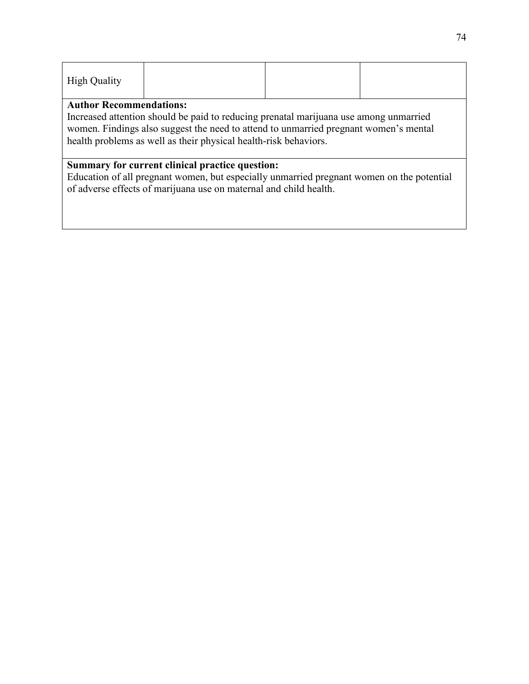| <b>High Quality</b> |  |  |
|---------------------|--|--|
|                     |  |  |

Increased attention should be paid to reducing prenatal marijuana use among unmarried women. Findings also suggest the need to attend to unmarried pregnant women's mental health problems as well as their physical health-risk behaviors.

#### **Summary for current clinical practice question:**

Education of all pregnant women, but especially unmarried pregnant women on the potential of adverse effects of marijuana use on maternal and child health.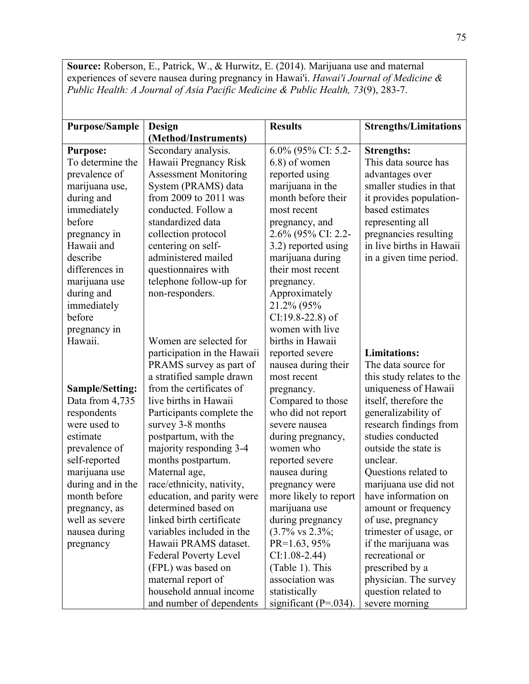**Source:** Roberson, E., Patrick, W., & Hurwitz, E. (2014). Marijuana use and maternal experiences of severe nausea during pregnancy in Hawai'i. *Hawai'i Journal of Medicine & Public Health: A Journal of Asia Pacific Medicine & Public Health, 73*(9), 283-7.

| <b>Purpose/Sample</b>  | <b>Design</b>                | <b>Results</b>               | <b>Strengths/Limitations</b> |
|------------------------|------------------------------|------------------------------|------------------------------|
|                        | (Method/Instruments)         |                              |                              |
| <b>Purpose:</b>        | Secondary analysis.          | 6.0% (95% CI: 5.2-           | <b>Strengths:</b>            |
| To determine the       | Hawaii Pregnancy Risk        | 6.8) of women                | This data source has         |
| prevalence of          | <b>Assessment Monitoring</b> | reported using               | advantages over              |
| marijuana use,         | System (PRAMS) data          | marijuana in the             | smaller studies in that      |
| during and             | from 2009 to 2011 was        | month before their           | it provides population-      |
| immediately            | conducted. Follow a          | most recent                  | based estimates              |
| before                 | standardized data            | pregnancy, and               | representing all             |
| pregnancy in           | collection protocol          | 2.6% (95% CI: 2.2-           | pregnancies resulting        |
| Hawaii and             | centering on self-           | 3.2) reported using          | in live births in Hawaii     |
| describe               | administered mailed          | marijuana during             | in a given time period.      |
| differences in         | questionnaires with          | their most recent            |                              |
| marijuana use          | telephone follow-up for      | pregnancy.                   |                              |
| during and             | non-responders.              | Approximately                |                              |
| immediately            |                              | 21.2% (95%                   |                              |
| before                 |                              | $CI: 19.8 - 22.8$ ) of       |                              |
| pregnancy in           |                              | women with live              |                              |
| Hawaii.                | Women are selected for       | births in Hawaii             |                              |
|                        | participation in the Hawaii  | reported severe              | <b>Limitations:</b>          |
|                        | PRAMS survey as part of      | nausea during their          | The data source for          |
|                        | a stratified sample drawn    | most recent                  | this study relates to the    |
| <b>Sample/Setting:</b> | from the certificates of     | pregnancy.                   | uniqueness of Hawaii         |
| Data from 4,735        | live births in Hawaii        | Compared to those            | itself, therefore the        |
| respondents            | Participants complete the    | who did not report           | generalizability of          |
| were used to           | survey 3-8 months            | severe nausea                | research findings from       |
| estimate               | postpartum, with the         | during pregnancy,            | studies conducted            |
| prevalence of          | majority responding 3-4      | women who                    | outside the state is         |
| self-reported          | months postpartum.           | reported severe              | unclear.                     |
| marijuana use          | Maternal age,                | nausea during                | Questions related to         |
| during and in the      | race/ethnicity, nativity,    | pregnancy were               | marijuana use did not        |
| month before           | education, and parity were   | more likely to report        | have information on          |
| pregnancy, as          | determined based on          | marijuana use                | amount or frequency          |
| well as severe         | linked birth certificate     | during pregnancy             | of use, pregnancy            |
| nausea during          | variables included in the    | $(3.7\% \text{ vs } 2.3\%);$ | trimester of usage, or       |
| pregnancy              | Hawaii PRAMS dataset.        | $PR=1.63, 95\%$              | if the marijuana was         |
|                        | <b>Federal Poverty Level</b> | $CI: 1.08 - 2.44$            | recreational or              |
|                        | (FPL) was based on           | (Table 1). This              | prescribed by a              |
|                        | maternal report of           | association was              | physician. The survey        |
|                        | household annual income      | statistically                | question related to          |
|                        | and number of dependents     | significant ( $P=.034$ ).    | severe morning               |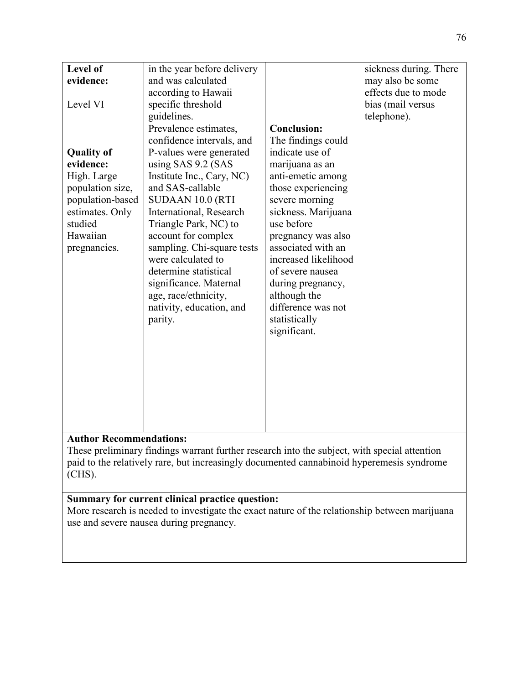| Level of          |                             |                      |                        |
|-------------------|-----------------------------|----------------------|------------------------|
|                   | in the year before delivery |                      | sickness during. There |
| evidence:         | and was calculated          |                      | may also be some       |
|                   | according to Hawaii         |                      | effects due to mode    |
| Level VI          | specific threshold          |                      | bias (mail versus      |
|                   | guidelines.                 |                      | telephone).            |
|                   | Prevalence estimates,       | <b>Conclusion:</b>   |                        |
|                   | confidence intervals, and   | The findings could   |                        |
| <b>Quality of</b> | P-values were generated     | indicate use of      |                        |
| evidence:         | using SAS 9.2 (SAS          | marijuana as an      |                        |
| High. Large       | Institute Inc., Cary, NC)   | anti-emetic among    |                        |
| population size,  | and SAS-callable            | those experiencing   |                        |
| population-based  | SUDAAN 10.0 (RTI            | severe morning       |                        |
| estimates. Only   | International, Research     | sickness. Marijuana  |                        |
| studied           | Triangle Park, NC) to       | use before           |                        |
| Hawaiian          | account for complex         | pregnancy was also   |                        |
| pregnancies.      | sampling. Chi-square tests  | associated with an   |                        |
|                   | were calculated to          | increased likelihood |                        |
|                   | determine statistical       | of severe nausea     |                        |
|                   | significance. Maternal      | during pregnancy,    |                        |
|                   | age, race/ethnicity,        | although the         |                        |
|                   | nativity, education, and    | difference was not   |                        |
|                   | parity.                     | statistically        |                        |
|                   |                             | significant.         |                        |
|                   |                             |                      |                        |
|                   |                             |                      |                        |
|                   |                             |                      |                        |
|                   |                             |                      |                        |
|                   |                             |                      |                        |
|                   |                             |                      |                        |
|                   |                             |                      |                        |
|                   |                             |                      |                        |
|                   |                             |                      |                        |

These preliminary findings warrant further research into the subject, with special attention paid to the relatively rare, but increasingly documented cannabinoid hyperemesis syndrome (CHS).

# **Summary for current clinical practice question:**

More research is needed to investigate the exact nature of the relationship between marijuana use and severe nausea during pregnancy.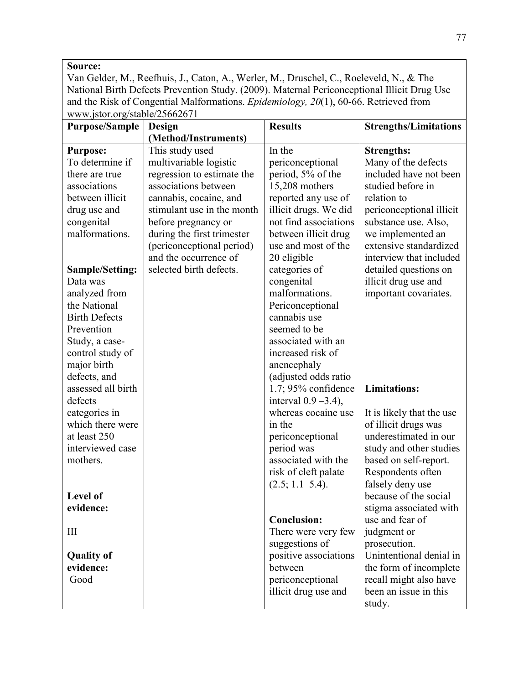### **Source:**

Van Gelder, M., Reefhuis, J., Caton, A., Werler, M., Druschel, C., Roeleveld, N., & The National Birth Defects Prevention Study. (2009). Maternal Periconceptional Illicit Drug Use and the Risk of Congential Malformations. *Epidemiology, 20*(1), 60-66. Retrieved from www.jstor.org/stable/25662671

| <b>Purpose/Sample</b>  | Design                     | <b>Results</b>          | <b>Strengths/Limitations</b> |
|------------------------|----------------------------|-------------------------|------------------------------|
|                        | (Method/Instruments)       |                         |                              |
| <b>Purpose:</b>        | This study used            | In the                  | <b>Strengths:</b>            |
| To determine if        | multivariable logistic     | periconceptional        | Many of the defects          |
| there are true         | regression to estimate the | period, 5% of the       | included have not been       |
| associations           | associations between       | 15,208 mothers          | studied before in            |
| between illicit        | cannabis, cocaine, and     | reported any use of     | relation to                  |
| drug use and           | stimulant use in the month | illicit drugs. We did   | periconceptional illicit     |
| congenital             | before pregnancy or        | not find associations   | substance use. Also,         |
| malformations.         | during the first trimester | between illicit drug    | we implemented an            |
|                        | (periconceptional period)  | use and most of the     | extensive standardized       |
|                        | and the occurrence of      | 20 eligible             | interview that included      |
| <b>Sample/Setting:</b> | selected birth defects.    | categories of           | detailed questions on        |
| Data was               |                            | congenital              | illicit drug use and         |
| analyzed from          |                            | malformations.          | important covariates.        |
| the National           |                            | Periconceptional        |                              |
| <b>Birth Defects</b>   |                            | cannabis use            |                              |
| Prevention             |                            | seemed to be            |                              |
| Study, a case-         |                            | associated with an      |                              |
| control study of       |                            | increased risk of       |                              |
| major birth            |                            | anencephaly             |                              |
| defects, and           |                            | (adjusted odds ratio    |                              |
| assessed all birth     |                            | $1.7;95%$ confidence    | <b>Limitations:</b>          |
| defects                |                            | interval $0.9 - 3.4$ ), |                              |
| categories in          |                            | whereas cocaine use     | It is likely that the use    |
| which there were       |                            | in the                  | of illicit drugs was         |
| at least 250           |                            | periconceptional        | underestimated in our        |
| interviewed case       |                            | period was              | study and other studies      |
| mothers.               |                            | associated with the     | based on self-report.        |
|                        |                            | risk of cleft palate    | Respondents often            |
|                        |                            | (2.5; 1.1–5.4).         | falsely deny use             |
| Level of               |                            |                         | because of the social        |
| evidence:              |                            |                         | stigma associated with       |
|                        |                            | <b>Conclusion:</b>      | use and fear of              |
| $\mathop{\rm III}$     |                            | There were very few     | judgment or                  |
|                        |                            | suggestions of          | prosecution.                 |
| <b>Quality of</b>      |                            | positive associations   | Unintentional denial in      |
| evidence:              |                            | between                 | the form of incomplete       |
| Good                   |                            | periconceptional        | recall might also have       |
|                        |                            | illicit drug use and    | been an issue in this        |
|                        |                            |                         | study.                       |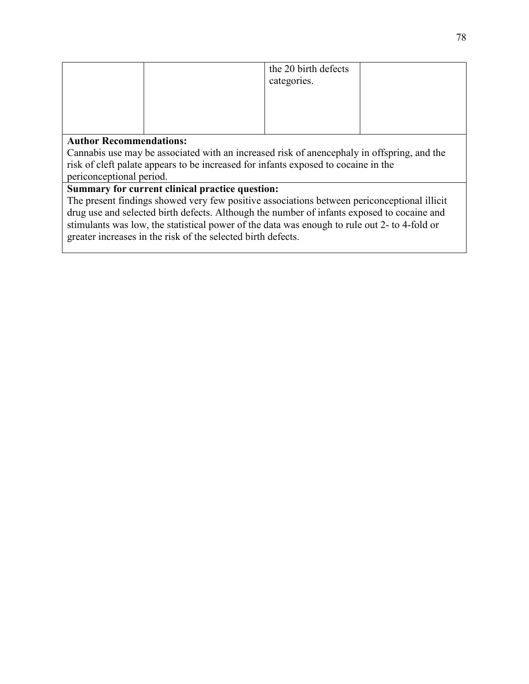|                                                                                           |  | the 20 birth defects |  |
|-------------------------------------------------------------------------------------------|--|----------------------|--|
|                                                                                           |  | categories.          |  |
|                                                                                           |  |                      |  |
|                                                                                           |  |                      |  |
|                                                                                           |  |                      |  |
|                                                                                           |  |                      |  |
| <b>Author Recommendations:</b>                                                            |  |                      |  |
| Connecticuse may be associated with an increased right of anonomoly in offerring, and the |  |                      |  |

Cannabis use may be associated with an increased risk of anencephaly in offspring, and the risk of cleft palate appears to be increased for infants exposed to cocaine in the

periconceptional period. **Summary for current clinical practice question:** 

The present findings showed very few positive associations between periconceptional illicit drug use and selected birth defects. Although the number of infants exposed to cocaine and stimulants was low, the statistical power of the data was enough to rule out 2- to 4-fold or greater increases in the risk of the selected birth defects.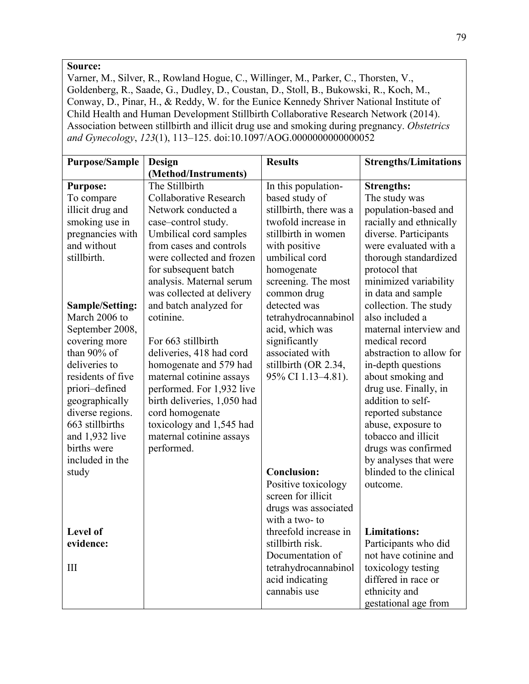#### **Source:**

Varner, M., Silver, R., Rowland Hogue, C., Willinger, M., Parker, C., Thorsten, V., Goldenberg, R., Saade, G., Dudley, D., Coustan, D., Stoll, B., Bukowski, R., Koch, M., Conway, D., Pinar, H., & Reddy, W. for the Eunice Kennedy Shriver National Institute of Child Health and Human Development Stillbirth Collaborative Research Network (2014). Association between stillbirth and illicit drug use and smoking during pregnancy. *Obstetrics and Gynecology*, *123*(1), 113–125. doi:10.1097/AOG.0000000000000052

| <b>Purpose/Sample</b>               | Design                                               | <b>Results</b>          | <b>Strengths/Limitations</b>                 |
|-------------------------------------|------------------------------------------------------|-------------------------|----------------------------------------------|
|                                     | (Method/Instruments)                                 |                         |                                              |
| <b>Purpose:</b>                     | The Stillbirth                                       | In this population-     | <b>Strengths:</b>                            |
| To compare                          | Collaborative Research                               | based study of          | The study was                                |
| illicit drug and                    | Network conducted a                                  | stillbirth, there was a | population-based and                         |
| smoking use in                      | case-control study.                                  | twofold increase in     | racially and ethnically                      |
| pregnancies with                    | Umbilical cord samples                               | stillbirth in women     | diverse. Participants                        |
| and without                         | from cases and controls                              | with positive           | were evaluated with a                        |
| stillbirth.                         | were collected and frozen                            | umbilical cord          | thorough standardized                        |
|                                     | for subsequent batch                                 | homogenate              | protocol that                                |
|                                     | analysis. Maternal serum                             | screening. The most     | minimized variability                        |
|                                     | was collected at delivery                            | common drug             | in data and sample                           |
| <b>Sample/Setting:</b>              | and batch analyzed for                               | detected was            | collection. The study                        |
| March 2006 to                       | cotinine.                                            | tetrahydrocannabinol    | also included a                              |
| September 2008,                     |                                                      | acid, which was         | maternal interview and                       |
| covering more                       | For 663 stillbirth                                   | significantly           | medical record                               |
| than 90% of                         | deliveries, 418 had cord                             | associated with         | abstraction to allow for                     |
| deliveries to                       | homogenate and 579 had                               | stillbirth (OR 2.34,    | in-depth questions                           |
| residents of five                   | maternal cotinine assays                             | 95% CI 1.13-4.81).      | about smoking and                            |
| priori-defined                      | performed. For 1,932 live                            |                         | drug use. Finally, in                        |
| geographically                      | birth deliveries, 1,050 had                          |                         | addition to self-                            |
| diverse regions.<br>663 stillbirths | cord homogenate                                      |                         | reported substance                           |
|                                     | toxicology and 1,545 had<br>maternal cotinine assays |                         | abuse, exposure to<br>tobacco and illicit    |
| and 1,932 live<br>births were       |                                                      |                         |                                              |
| included in the                     | performed.                                           |                         | drugs was confirmed<br>by analyses that were |
| study                               |                                                      | <b>Conclusion:</b>      | blinded to the clinical                      |
|                                     |                                                      | Positive toxicology     | outcome.                                     |
|                                     |                                                      | screen for illicit      |                                              |
|                                     |                                                      | drugs was associated    |                                              |
|                                     |                                                      | with a two- to          |                                              |
| Level of                            |                                                      | threefold increase in   | <b>Limitations:</b>                          |
| evidence:                           |                                                      | stillbirth risk.        | Participants who did                         |
|                                     |                                                      | Documentation of        | not have cotinine and                        |
| III                                 |                                                      | tetrahydrocannabinol    | toxicology testing                           |
|                                     |                                                      | acid indicating         | differed in race or                          |
|                                     |                                                      | cannabis use            | ethnicity and                                |
|                                     |                                                      |                         | gestational age from                         |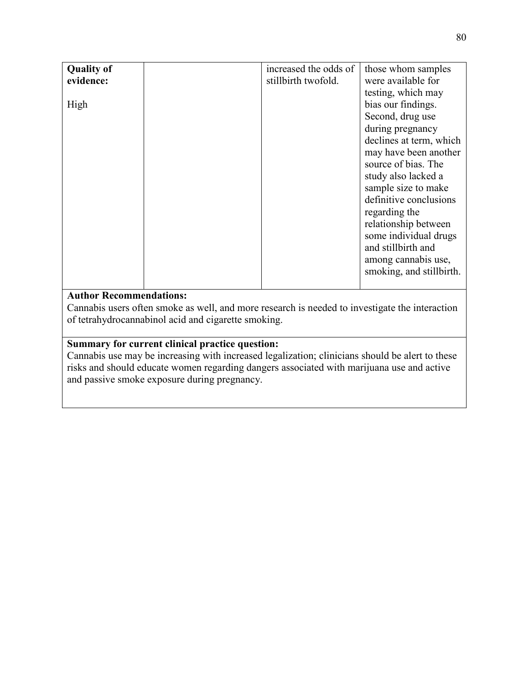| <b>Quality of</b> | increased the odds of | those whom samples       |
|-------------------|-----------------------|--------------------------|
| evidence:         | stillbirth twofold.   | were available for       |
|                   |                       | testing, which may       |
| High              |                       | bias our findings.       |
|                   |                       | Second, drug use         |
|                   |                       | during pregnancy         |
|                   |                       | declines at term, which  |
|                   |                       | may have been another    |
|                   |                       | source of bias. The      |
|                   |                       | study also lacked a      |
|                   |                       | sample size to make      |
|                   |                       | definitive conclusions   |
|                   |                       | regarding the            |
|                   |                       | relationship between     |
|                   |                       | some individual drugs    |
|                   |                       | and stillbirth and       |
|                   |                       | among cannabis use,      |
|                   |                       | smoking, and stillbirth. |
|                   |                       |                          |

Cannabis users often smoke as well, and more research is needed to investigate the interaction of tetrahydrocannabinol acid and cigarette smoking.

# **Summary for current clinical practice question:**

Cannabis use may be increasing with increased legalization; clinicians should be alert to these risks and should educate women regarding dangers associated with marijuana use and active and passive smoke exposure during pregnancy.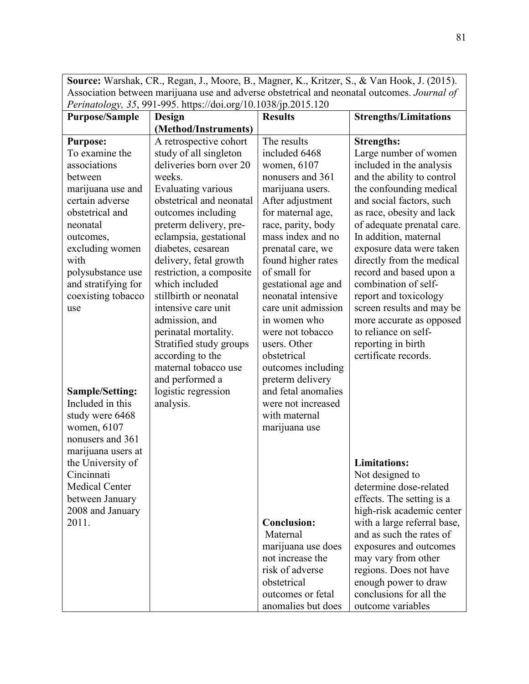**Source:** Warshak, CR., Regan, J., Moore, B., Magner, K., Kritzer, S., & Van Hook, J. (2015). Association between marijuana use and adverse obstetrical and neonatal outcomes. *Journal of Perinatology, 35*, 991-995. https://doi.org/10.1038/jp.2015.120

| <b>Purpose/Sample</b>                      | Design                   | <b>Results</b>                          | <b>Strengths/Limitations</b> |
|--------------------------------------------|--------------------------|-----------------------------------------|------------------------------|
|                                            | (Method/Instruments)     |                                         |                              |
| <b>Purpose:</b>                            | A retrospective cohort   | The results                             | <b>Strengths:</b>            |
| To examine the                             | study of all singleton   | included 6468                           | Large number of women        |
| associations                               | deliveries born over 20  | women, 6107                             | included in the analysis     |
| between                                    | weeks.                   | nonusers and 361                        | and the ability to control   |
| marijuana use and                          | Evaluating various       | marijuana users.                        | the confounding medical      |
| certain adverse                            | obstetrical and neonatal | After adjustment                        | and social factors, such     |
| obstetrical and                            | outcomes including       | for maternal age,                       | as race, obesity and lack    |
| neonatal                                   | preterm delivery, pre-   | race, parity, body                      | of adequate prenatal care.   |
| outcomes,                                  | eclampsia, gestational   | mass index and no                       | In addition, maternal        |
| excluding women                            | diabetes, cesarean       | prenatal care, we                       | exposure data were taken     |
| with                                       | delivery, fetal growth   | found higher rates                      | directly from the medical    |
| polysubstance use                          | restriction, a composite | of small for                            | record and based upon a      |
| and stratifying for                        | which included           | gestational age and                     | combination of self-         |
| coexisting tobacco                         | stillbirth or neonatal   | neonatal intensive                      | report and toxicology        |
| use                                        | intensive care unit      | care unit admission                     | screen results and may be    |
|                                            | admission, and           | in women who                            | more accurate as opposed     |
|                                            | perinatal mortality.     | were not tobacco                        | to reliance on self-         |
|                                            | Stratified study groups  | users. Other                            | reporting in birth           |
|                                            | according to the         | obstetrical                             | certificate records.         |
|                                            | maternal tobacco use     | outcomes including                      |                              |
|                                            | and performed a          | preterm delivery<br>and fetal anomalies |                              |
| <b>Sample/Setting:</b><br>Included in this | logistic regression      | were not increased                      |                              |
|                                            | analysis.                | with maternal                           |                              |
| study were 6468<br>women, 6107             |                          |                                         |                              |
| nonusers and 361                           |                          | marijuana use                           |                              |
| marijuana users at                         |                          |                                         |                              |
| the University of                          |                          |                                         | <b>Limitations:</b>          |
| Cincinnati                                 |                          |                                         | Not designed to              |
| <b>Medical Center</b>                      |                          |                                         | determine dose-related       |
| between January                            |                          |                                         | effects. The setting is a    |
| 2008 and January                           |                          |                                         | high-risk academic center    |
| 2011.                                      |                          | <b>Conclusion:</b>                      | with a large referral base,  |
|                                            |                          | Maternal                                | and as such the rates of     |
|                                            |                          | marijuana use does                      | exposures and outcomes       |
|                                            |                          | not increase the                        | may vary from other          |
|                                            |                          | risk of adverse                         | regions. Does not have       |
|                                            |                          | obstetrical                             | enough power to draw         |
|                                            |                          | outcomes or fetal                       | conclusions for all the      |
|                                            |                          | anomalies but does                      | outcome variables            |